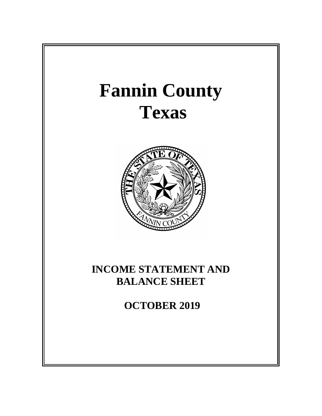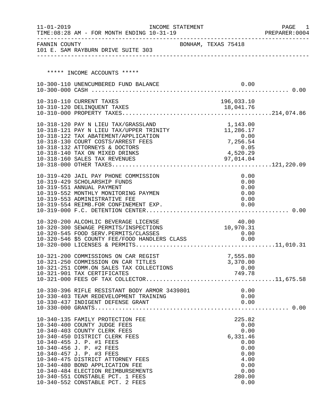| $11 - 01 - 2019$ | TIME: 08:28 AM - FOR MONTH ENDING 10-31-19                                            | INCOME STATEMENT    |                              | PAGE<br>- 1<br>PREPARER: 0004 |
|------------------|---------------------------------------------------------------------------------------|---------------------|------------------------------|-------------------------------|
|                  | FANNIN COUNTY<br>101 E. SAM RAYBURN DRIVE SUITE 303                                   | BONHAM, TEXAS 75418 |                              |                               |
|                  |                                                                                       |                     |                              |                               |
|                  | ***** INCOME ACCOUNTS *****                                                           |                     |                              |                               |
|                  | 10-300-110 UNENCUMBERED FUND BALANCE                                                  |                     | 0.00                         |                               |
|                  |                                                                                       |                     |                              |                               |
|                  | 10-310-110 CURRENT TAXES                                                              |                     | 196,033.10                   |                               |
|                  |                                                                                       |                     |                              |                               |
|                  |                                                                                       |                     |                              |                               |
|                  | 10-318-120 PAY N LIEU TAX/GRASSLAND                                                   |                     | 1,143.00                     |                               |
|                  | 10-318-121 PAY N LIEU TAX/UPPER TRINITY                                               |                     | 11,286.17                    |                               |
|                  | 10-318-122 TAX ABATEMENT/APPLICATION<br>10-318-130 COURT COSTS/ARREST FEES            |                     | 0.00                         |                               |
|                  | 10-318-132 ATTORNEYS & DOCTORS                                                        |                     | 7,256.54<br>0.05<br>4,520.29 |                               |
|                  | 10-318-140 TAX ON MIXED DRINKS                                                        |                     |                              |                               |
|                  | 10-318-160 SALES TAX REVENUES                                                         |                     | 97,014.04                    |                               |
|                  |                                                                                       |                     |                              |                               |
|                  | 10-319-420 JAIL PAY PHONE COMMISSION                                                  |                     | 0.00                         |                               |
|                  | 10-319-429 SCHOLARSHIP FUNDS                                                          |                     | 0.00                         |                               |
|                  | 10-319-551 ANNUAL PAYMENT                                                             |                     | 0.00                         |                               |
|                  | 10-319-552 MONTHLY MONITORING PAYMEN                                                  |                     | 0.00                         |                               |
|                  | 10-319-553 ADMINISTRATIVE FEE<br>10-319-554 REIMB.FOR CONFINEMENT EXP.                |                     | 0.00<br>0.00                 |                               |
|                  |                                                                                       |                     |                              |                               |
|                  |                                                                                       |                     |                              |                               |
|                  | 10-320-200 ALCOHLIC BEVERAGE LICENSE<br>10-320-300 SEWAGE PERMITS/INSPECTIONS         |                     | 40.00<br>10,970.31           |                               |
|                  |                                                                                       |                     | 0.00                         |                               |
|                  | 10-320-545 FOOD SERV.PERMITS/CLASSES<br>10-320-546 \$5 COUNTY FEE/FOOD HANDLERS CLASS |                     | 0.00                         |                               |
|                  |                                                                                       |                     |                              |                               |
|                  | 10-321-200 COMMISSIONS ON CAR REGIST                                                  |                     | 7,555.80                     |                               |
|                  | 10-321-250 COMMISSION ON CAR TITLES                                                   |                     | 3,370.00                     |                               |
|                  | 10-321-251 COMM.ON SALES TAX COLLECTIONS                                              |                     | 0.00                         |                               |
|                  | 10-321-901 TAX CERTIFICATES                                                           |                     | $0.00$<br>749.78             |                               |
|                  |                                                                                       |                     |                              |                               |
|                  | 10-330-396 RIFLE RESISTANT BODY ARMOR 3439801                                         |                     | 0.00                         |                               |
|                  | 10-330-403 TEAM REDEVELOPMENT TRAINING                                                |                     | 0.00                         |                               |
|                  |                                                                                       |                     | 0.00                         |                               |
|                  |                                                                                       |                     |                              |                               |
|                  | 10-340-135 FAMILY PROTECTION FEE                                                      |                     | 225.82                       |                               |
|                  | 10-340-400 COUNTY JUDGE FEES                                                          |                     | 0.00                         |                               |
|                  | 10-340-403 COUNTY CLERK FEES                                                          |                     | 0.00                         |                               |
|                  | 10-340-450 DISTRICT CLERK FEES<br>10-340-455 J. P. #1 FEES                            |                     | 6,331.46<br>0.00             |                               |
|                  | 10-340-456 J. P. #2 FEES                                                              |                     | 0.00                         |                               |
|                  | 10-340-457 J. P. #3 FEES                                                              |                     | 0.00                         |                               |
|                  | 10-340-475 DISTRICT ATTORNEY FEES                                                     |                     | 4.00                         |                               |
|                  | 10-340-480 BOND APPLICATION FEE                                                       |                     | 0.00                         |                               |
|                  | 10-340-484 ELECTION REIMBURSEMENTS<br>10-340-551 CONSTABLE PCT. 1 FEES                |                     | 0.00<br>280.00               |                               |
|                  | 10-340-552 CONSTABLE PCT. 2 FEES                                                      |                     | 0.00                         |                               |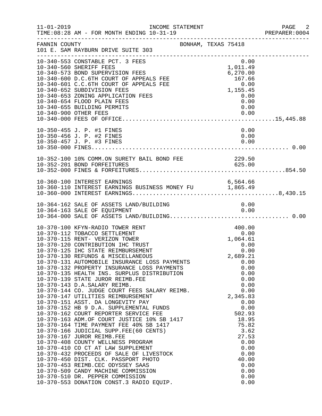| $11 - 01 - 2019$ | INCOME STATEMENT<br>TIME: 08:28 AM - FOR MONTH ENDING 10-31-19                                                                                                                                                                                                                                                                                                                                                                                                                                                                                                                                                                                                                                                                                                                                                                                                  |                                                                                                                                                                                                                                                  | PAGE 2<br>PREPARER: 0004 |
|------------------|-----------------------------------------------------------------------------------------------------------------------------------------------------------------------------------------------------------------------------------------------------------------------------------------------------------------------------------------------------------------------------------------------------------------------------------------------------------------------------------------------------------------------------------------------------------------------------------------------------------------------------------------------------------------------------------------------------------------------------------------------------------------------------------------------------------------------------------------------------------------|--------------------------------------------------------------------------------------------------------------------------------------------------------------------------------------------------------------------------------------------------|--------------------------|
| FANNIN COUNTY    | BONHAM, TEXAS 75418<br>101 E. SAM RAYBURN DRIVE SUITE 303                                                                                                                                                                                                                                                                                                                                                                                                                                                                                                                                                                                                                                                                                                                                                                                                       |                                                                                                                                                                                                                                                  |                          |
|                  | 10-340-553 CONSTABLE PCT. 3 FEES<br>10-340-560 SHERIFF FEES<br>10-340-573 BOND SUPERVISION FEES<br>10-340-600 D.C.6TH COURT OF APPEALS FEE<br>10-340-601 C.C.6TH COURT OF APPEALS FEE<br>10-340-652 SUBDIVISION FEES<br>10-340-653 ZONING APPLICATION FEES<br>10-340-654 FLOOD PLAIN FEES<br>10-340-655 BUILDING PERMITS<br>10-340-900 OTHER FEES                                                                                                                                                                                                                                                                                                                                                                                                                                                                                                               | 0.00<br>1,011.49<br>6,270.00<br>167.66<br>0.00<br>1,155.45<br>0.00<br>0.00<br>0.00<br>0.00                                                                                                                                                       |                          |
|                  | 10-350-455 J. P. #1 FINES<br>10-350-456 J. P. #2 FINES<br>10-350-457 J. P. #3 FINES                                                                                                                                                                                                                                                                                                                                                                                                                                                                                                                                                                                                                                                                                                                                                                             | 0.00<br>0.00<br>0.00                                                                                                                                                                                                                             |                          |
|                  | FEE 229.50<br>625.00<br>10-352-100 10% COMM.ON SURETY BAIL BOND FEE<br>10-352-201 BOND FORFEITURES                                                                                                                                                                                                                                                                                                                                                                                                                                                                                                                                                                                                                                                                                                                                                              |                                                                                                                                                                                                                                                  |                          |
|                  | 10-360-100 INTEREST EARNINGS<br>10-360-100 INTEREST EARNINGS<br>10-360-110 INTEREST EARNINGS BUSINESS MONEY FU                    1,865.49                                                                                                                                                                                                                                                                                                                                                                                                                                                                                                                                                                                                                                                                                                                      | 6,564.66                                                                                                                                                                                                                                         |                          |
|                  | 10-364-162 SALE OF ASSETS LAND/BUILDING                                                                                                                                                                                                                                                                                                                                                                                                                                                                                                                                                                                                                                                                                                                                                                                                                         | 0.00                                                                                                                                                                                                                                             |                          |
|                  | 10-370-100 KFYN-RADIO TOWER RENT<br>10-370-112 TOBACCO SETTLEMENT<br>10-370-115 RENT- VERIZON TOWER<br>10-370-120 CONTRIBUTION IHC TRUST<br>10-370-125 IHC STATE REIMBURSEMENT<br>10-370-130 REFUNDS & MISCELLANEOUS<br>10-370-131 AUTOMOBILE INSURANCE LOSS PAYMENTS<br>10-370-132 PROPERTY INSURANCE LOSS PAYMENTS<br>10-370-135 HEALTH INS. SURPLUS DISTRIBUTION<br>10-370-139 STATE JUROR REIMB.FEE<br>10-370-143 D.A.SALARY REIMB.<br>10-370-144 CO. JUDGE COURT FEES SALARY REIMB.<br>10-370-147 UTILITIES REIMBURSEMENT<br>10-370-151 ASST. DA LONGEVITY PAY<br>10-370-151 ASST. DA LONGEVITY PAY<br>10-370-152 HB 9 D.A. SUPPLEMENTAL FUNDS<br>10-370-162 COURT REPORTER SERVICE FEE<br>10-370-163 ADM.OF COURT JUSTICE 10% SB 1417<br>10-370-164 TIME PAYMENT FEE 40% SB 1417<br>10-370-166 JUDICIAL SUPP.<br>10-370-553 DONATION CONST.3 RADIO EQUIP. | 400.00<br>0.00<br>1,064.61<br>0.00<br>0.00<br>2,689.21<br>0.00<br>0.00<br>0.00<br>0.00<br>0.00<br>0.00<br>2,345.83<br>0.00<br>0.00<br>502.93<br>18.95<br>75.82<br>3.62<br>27.53<br>0.00<br>0.00<br>0.00<br>40.00<br>0.00<br>0.00<br>0.00<br>0.00 |                          |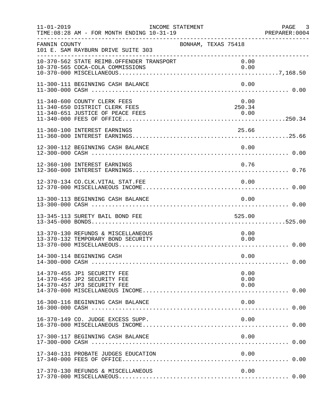| $11 - 01 - 2019$ | INCOME STATEMENT<br>TIME: 08:28 AM - FOR MONTH ENDING 10-31-19                                     |                        | PAGE 3<br>PREPARER: 0004 |
|------------------|----------------------------------------------------------------------------------------------------|------------------------|--------------------------|
| FANNIN COUNTY    | BONHAM, TEXAS 75418<br>101 E. SAM RAYBURN DRIVE SUITE 303                                          |                        |                          |
|                  | 10-370-562 STATE REIMB.OFFENDER TRANSPORT<br>10-370-565 COCA-COLA COMMISSIONS                      | 0.00<br>0.00           |                          |
|                  | 11-300-111 BEGINNING CASH BALANCE                                                                  | 0.00                   |                          |
|                  | 11-340-600 COUNTY CLERK FEES<br>11-340-650 DISTRICT CLERK FEES<br>11-340-651 JUSTICE OF PEACE FEES | 0.00<br>250.34<br>0.00 |                          |
|                  | 11-360-100 INTEREST EARNINGS                                                                       | 25.66                  |                          |
|                  | 12-300-112 BEGINNING CASH BALANCE                                                                  | 0.00                   |                          |
|                  | 12-360-100 INTEREST EARNINGS                                                                       | 0.76                   |                          |
|                  | 12-370-134 CO.CLK.VITAL STAT.FEE                                                                   | 0.00                   |                          |
|                  | 13-300-113 BEGINNING CASH BALANCE                                                                  | 0.00                   |                          |
|                  | 13-345-113 SURETY BAIL BOND FEE                                                                    | 525.00                 |                          |
|                  | 13-370-130 REFUNDS & MISCELLANEOUS<br>13-370-132 TEMPORARY BOND SECURITY                           | 0.00<br>0.00           |                          |
|                  | 14-300-114 BEGINNING CASH                                                                          | 0.00                   |                          |
|                  | 14-370-455 JP1 SECURITY FEE<br>14-370-456 JP2 SECURITY FEE<br>14-370-457 JP3 SECURITY FEE          | 0.00<br>0.00<br>0.00   |                          |
|                  | 16-300-116 BEGINNING CASH BALANCE                                                                  | 0.00                   |                          |
|                  | 16-370-149 CO. JUDGE EXCESS SUPP.                                                                  | 0.00                   |                          |
|                  | 17-300-117 BEGINNING CASH BALANCE                                                                  | 0.00                   |                          |
|                  | 17-340-131 PROBATE JUDGES EDUCATION                                                                | 0.00                   |                          |
|                  | 17-370-130 REFUNDS & MISCELLANEOUS                                                                 | 0.00                   |                          |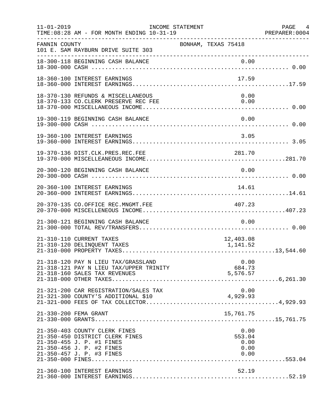| $11 - 01 - 2019$ | TIME: 08:28 AM - FOR MONTH ENDING 10-31-19<br>--------------------------------------                                                                    | INCOME STATEMENT    |                            | PAGE 4                       |
|------------------|---------------------------------------------------------------------------------------------------------------------------------------------------------|---------------------|----------------------------|------------------------------|
| FANNIN COUNTY    | 101 E. SAM RAYBURN DRIVE SUITE 303                                                                                                                      | BONHAM, TEXAS 75418 |                            |                              |
|                  | 18-300-118 BEGINNING CASH BALANCE                                                                                                                       |                     |                            |                              |
|                  | 18-360-100 INTEREST EARNINGS                                                                                                                            |                     | 17.59                      |                              |
|                  | 18-370-130 REFUNDS & MISCELLANEOUS<br>18-370-133 CO. CLERK PRESERVE REC FEE                                                                             |                     |                            | 0.00<br>0.00                 |
|                  | 19-300-119 BEGINNING CASH BALANCE                                                                                                                       |                     |                            | 0.00                         |
|                  | 19-360-100 INTEREST EARNINGS                                                                                                                            |                     |                            | 3.05                         |
|                  | 19-370-136 DIST.CLK.PRES.REC.FEE                                                                                                                        |                     | 281.70                     |                              |
|                  | 20-300-120 BEGINNING CASH BALANCE                                                                                                                       |                     |                            | 0.00                         |
|                  | 20-360-100 INTEREST EARNINGS                                                                                                                            |                     | 14.61                      |                              |
|                  | 20-370-135 CO.OFFICE REC.MNGMT.FEE                                                                                                                      |                     | 407.23                     |                              |
|                  | 21-300-121 BEGINNING CASH BALANCE                                                                                                                       |                     |                            | 0.00                         |
|                  | 21-310-110 CURRENT TAXES<br>21-310-120 DELINQUENT TAXES                                                                                                 |                     | 12,403.08<br>1,141.52      |                              |
|                  | 21-318-120 PAY N LIEU TAX/GRASSLAND<br>21-318-121 PAY N LIEU TAX/UPPER TRINITY<br>21-318-160 SALES TAX REVENUES                                         |                     | 0.00<br>684.73<br>5,576.57 |                              |
|                  | 21-321-200 CAR REGISTRATION/SALES TAX                                                                                                                   |                     | 4,929.93                   | 0.00                         |
|                  | 21-330-200 FEMA GRANT                                                                                                                                   |                     | 15,761.75                  |                              |
|                  | 21-350-403 COUNTY CLERK FINES<br>21-350-450 DISTRICT CLERK FINES<br>21-350-455 J. P. #1 FINES<br>21-350-456 J. P. #2 FINES<br>21-350-457 J. P. #3 FINES |                     | 553.04                     | 0.00<br>0.00<br>0.00<br>0.00 |
|                  | 21-360-100 INTEREST EARNINGS                                                                                                                            |                     | 52.19                      |                              |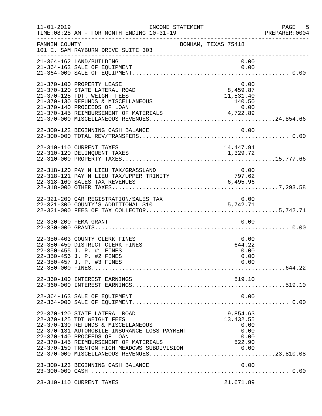| $11 - 01 - 2019$ | INCOME STATEMENT<br>TIME: 08:28 AM - FOR MONTH ENDING 10-31-19                                                                                                                                                                                                           |                                                         | PAGE 5<br>PREPARER:0004 |
|------------------|--------------------------------------------------------------------------------------------------------------------------------------------------------------------------------------------------------------------------------------------------------------------------|---------------------------------------------------------|-------------------------|
| FANNIN COUNTY    | 101 E. SAM RAYBURN DRIVE SUITE 303                                                                                                                                                                                                                                       | BONHAM, TEXAS 75418                                     |                         |
|                  | 21-364-162 LAND/BUILDING<br>21-364-163 SALE OF EQUIPMENT                                                                                                                                                                                                                 | 0.00<br>0.00                                            |                         |
|                  | 21-370-100 PROPERTY LEASE<br>21-370-120 STATE LATERAL ROAD<br>21-370-125 TDT. WEIGHT FEES<br>21-370-130 REFUNDS & MISCELLANEOUS                                                                                                                                          | 0.00<br>8,459.87<br>11,531.40<br>140.50                 |                         |
|                  |                                                                                                                                                                                                                                                                          |                                                         |                         |
|                  | 22-310-110 CURRENT TAXES<br>22-310-120 DELINQUENT TAXES                                                                                                                                                                                                                  | 14,447.94<br>1,329.72                                   |                         |
|                  | 22-318-120 PAY N LIEU TAX/GRASSLAND<br>22-318-121 PAY N LIEU TAX/UPPER TRINITY<br>22-318-160 SALES TAX REVENUES                                                                                                                                                          | 0.00<br>797.62<br>6,495.96                              |                         |
|                  | 22-321-200 CAR REGISTRATION/SALES TAX<br>22-321-300 COUNTY'S ADDITIONAL \$10                                                                                                                                                                                             | 0.00<br>5,742.71                                        |                         |
|                  | 22-330-200 FEMA GRANT                                                                                                                                                                                                                                                    | 0.00                                                    |                         |
|                  | 22-350-403 COUNTY CLERK FINES<br>22-350-450 DISTRICT CLERK FINES<br>22-350-455 J. P. #1 FINES<br>22-350-456 J. P. #2 FINES<br>22-350-457 J. P. #3 FINES                                                                                                                  | 0.00<br>644.22<br>0.00<br>0.00<br>0.00                  |                         |
|                  | 22-360-100 INTEREST EARNINGS                                                                                                                                                                                                                                             | 519.10                                                  |                         |
|                  | 22-364-163 SALE OF EQUIPMENT                                                                                                                                                                                                                                             | 0.00                                                    |                         |
|                  | 22-370-120 STATE LATERAL ROAD<br>22-370-125 TDT WEIGHT FEES<br>22-370-130 REFUNDS & MISCELLANEOUS<br>22-370-131 AUTOMOBILE INSURANCE LOSS PAYMENT<br>22-370-140 PROCEEDS OF LOAN<br>22-370-145 REIMBURSEMENT OF MATERIALS<br>22-370-150 TRENTON HIGH MEADOWS SUBDIVISION | 9,854.63<br>13,432.55<br>0.00<br>0.00<br>0.00<br>522.90 |                         |
|                  | 23-300-123 BEGINNING CASH BALANCE                                                                                                                                                                                                                                        | 0.00                                                    |                         |
|                  | 23-310-110 CURRENT TAXES                                                                                                                                                                                                                                                 | 21,671.89                                               |                         |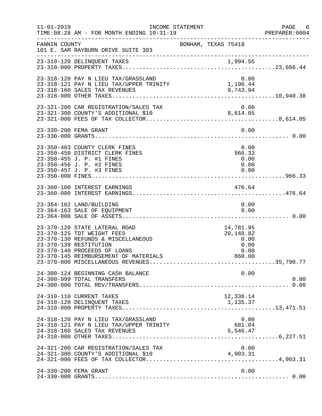| $11 - 01 - 2019$ | TIME: 08:28 AM - FOR MONTH ENDING 10-31-19                                                                                                                                                           | INCOME STATEMENT    |  |                                                          | PAGE 6<br>PREPARER: 0004 |
|------------------|------------------------------------------------------------------------------------------------------------------------------------------------------------------------------------------------------|---------------------|--|----------------------------------------------------------|--------------------------|
| FANNIN COUNTY    | 101 E. SAM RAYBURN DRIVE SUITE 303                                                                                                                                                                   | BONHAM, TEXAS 75418 |  |                                                          |                          |
|                  | 23-310-120 DELINQUENT TAXES                                                                                                                                                                          |                     |  |                                                          |                          |
|                  | 23-318-120 PAY N LIEU TAX/GRASSLAND                                                                                                                                                                  |                     |  | 0.00<br>1,196.44                                         |                          |
|                  | 23-321-200 CAR REGISTRATION/SALES TAX                                                                                                                                                                |                     |  | 0.00                                                     |                          |
|                  | 23-330-200 FEMA GRANT                                                                                                                                                                                |                     |  | 0.00                                                     |                          |
|                  | 23-350-403 COUNTY CLERK FINES<br>23-350-450 DISTRICT CLERK FINES<br>23-350-455 J. P. #1 FINES<br>23-350-456 J. P. #2 FINES<br>23-350-457 J. P. #3 FINES                                              |                     |  | 0.00<br>966.33<br>0.00<br>0.00<br>0.00                   |                          |
|                  |                                                                                                                                                                                                      |                     |  |                                                          |                          |
|                  | 23-364-162 LAND/BUILDING<br>23-364-163 SALE OF EQUIPMENT                                                                                                                                             |                     |  | 0.00<br>0.00                                             |                          |
|                  | 23-370-120 STATE LATERAL ROAD<br>23-370-125 TDT WEIGHT FEES<br>23-370-130 REFUNDS & MISCELLANEOUS<br>23-370-139 RESTITUTION<br>23-370-140 PROCEEDS OF LOANS<br>23-370-145 REIMBURSEMENT OF MATERIALS |                     |  | 14,781.95<br>20,148.82<br>0.00<br>0.00<br>0.00<br>860.00 |                          |
|                  | 24-300-124 BEGINNING CASH BALANCE<br>24-300-999 TOTAL TRANSFERS                                                                                                                                      |                     |  | 0.00                                                     | 0.00                     |
|                  | 24-310-110 CURRENT TAXES<br>24-310-120 DELINQUENT TAXES                                                                                                                                              |                     |  | 12,336.14<br>1,135.37                                    |                          |
|                  | 24-318-120 PAY N LIEU TAX/GRASSLAND<br>24-318-121 PAY N LIEU TAX/UPPER TRINITY<br>24-318-160 SALES TAX REVENUES                                                                                      |                     |  | 0.00<br>681.04<br>5,546.47                               |                          |
|                  | 24-321-200 CAR REGISTRATION/SALES TAX                                                                                                                                                                |                     |  | 0.00<br>4,903.31                                         |                          |
|                  | 24-330-200 FEMA GRANT                                                                                                                                                                                |                     |  | 0.00                                                     |                          |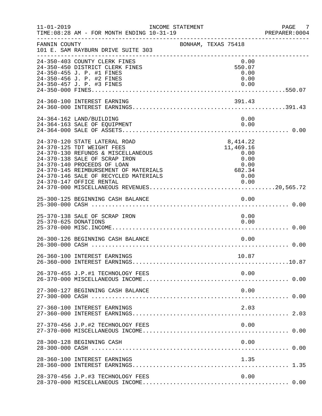| $11 - 01 - 2019$     | TIME: 08:28 AM - FOR MONTH ENDING 10-31-19                                                                                                                                                                                                                                      | INCOME STATEMENT |                                                                         | PAGE 7<br>PREPARER:0004 |
|----------------------|---------------------------------------------------------------------------------------------------------------------------------------------------------------------------------------------------------------------------------------------------------------------------------|------------------|-------------------------------------------------------------------------|-------------------------|
| FANNIN COUNTY        | 101 E. SAM RAYBURN DRIVE SUITE 303                                                                                                                                                                                                                                              |                  | BONHAM, TEXAS 75418                                                     |                         |
|                      | 24-350-403 COUNTY CLERK FINES<br>24-350-450 DISTRICT CLERK FINES<br>24-350-455 J. P. #1 FINES<br>24-350-456 J. P. #2 FINES<br>24-350-457 J. P. #3 FINES                                                                                                                         |                  | 0.00<br>550.07<br>0.00<br>0.00<br>0.00                                  |                         |
|                      | 24-360-100 INTEREST EARNING                                                                                                                                                                                                                                                     |                  | 391.43                                                                  |                         |
|                      | 24-364-162 LAND/BUILDING<br>24-364-163 SALE OF EQUIPMENT                                                                                                                                                                                                                        |                  | 0.00<br>0.00                                                            |                         |
|                      | 24-370-120 STATE LATERAL ROAD<br>24-370-125 TDT WEIGHT FEES<br>24-370-130 REFUNDS & MISCELLANEOUS<br>24-370-138 SALE OF SCRAP IRON<br>24-370-140 PROCEEDS OF LOAN<br>24-370-145 REIMBURSEMENT OF MATERIALS<br>24-370-146 SALE OF RECYCLED MATERIALS<br>24-370-147 OFFICE RENTAL |                  | 8,414.22<br>11,469.16<br>0.00<br>0.00<br>0.00<br>682.34<br>0.00<br>0.00 |                         |
|                      | 25-300-125 BEGINNING CASH BALANCE                                                                                                                                                                                                                                               |                  | 0.00                                                                    |                         |
| 25-370-625 DONATIONS | 25-370-138 SALE OF SCRAP IRON                                                                                                                                                                                                                                                   |                  | 0.00<br>0.00                                                            |                         |
|                      | 26-300-126 BEGINNING CASH BALANCE                                                                                                                                                                                                                                               |                  | 0.00                                                                    |                         |
|                      | 26-360-100 INTEREST EARNINGS                                                                                                                                                                                                                                                    |                  | 10.87                                                                   |                         |
|                      | 26-370-455 J.P.#1 TECHNOLOGY FEES                                                                                                                                                                                                                                               |                  | 0.00                                                                    |                         |
|                      | 27-300-127 BEGINNING CASH BALANCE                                                                                                                                                                                                                                               |                  | 0.00                                                                    |                         |
|                      | 27-360-100 INTEREST EARNINGS                                                                                                                                                                                                                                                    |                  | 2.03                                                                    |                         |
|                      | 27-370-456 J.P.#2 TECHNOLOGY FEES                                                                                                                                                                                                                                               |                  | 0.00                                                                    |                         |
|                      | 28-300-128 BEGINNING CASH                                                                                                                                                                                                                                                       |                  | 0.00                                                                    |                         |
|                      | 28-360-100 INTEREST EARNINGS                                                                                                                                                                                                                                                    |                  | 1.35                                                                    |                         |
|                      | 28-370-456 J.P.#3 TECHNOLOGY FEES                                                                                                                                                                                                                                               |                  | 0.00                                                                    |                         |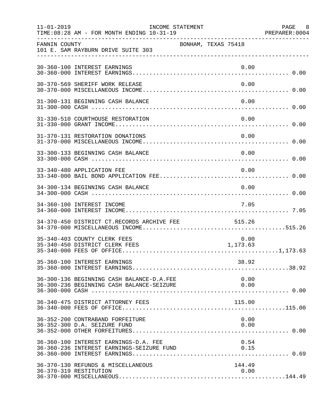| $11 - 01 - 2019$ | TIME: 08:28 AM - FOR MONTH ENDING 10-31-19                                                                                        | INCOME STATEMENT    |                  | PAGE 8<br>PREPARER: 0004 |
|------------------|-----------------------------------------------------------------------------------------------------------------------------------|---------------------|------------------|--------------------------|
| FANNIN COUNTY    | 101 E. SAM RAYBURN DRIVE SUITE 303                                                                                                | BONHAM, TEXAS 75418 |                  |                          |
|                  | 30-360-100 INTEREST EARNINGS                                                                                                      |                     | 0.00             |                          |
|                  | 30-370-569 SHERIFF WORK RELEASE                                                                                                   |                     | 0.00             |                          |
|                  | 31-300-131 BEGINNING CASH BALANCE                                                                                                 |                     | 0.00             |                          |
|                  | 31-330-510 COURTHOUSE RESTORATION                                                                                                 |                     | 0.00             |                          |
|                  | 31-370-131 RESTORATION DONATIONS                                                                                                  |                     | 0.00             |                          |
|                  | 33-300-133 BEGINNING CASH BALANCE                                                                                                 |                     | 0.00             |                          |
|                  | 33-340-480 APPLICATION FEE                                                                                                        |                     | 0.00             |                          |
|                  | 34-300-134 BEGINNING CASH BALANCE                                                                                                 |                     | 0.00             |                          |
|                  | 34-360-100 INTEREST INCOME                                                                                                        |                     | 7.05             |                          |
|                  | 34-370-450 DISTRICT CT.RECORDS ARCHIVE FEE                                                                                        |                     | 515.26           |                          |
|                  | 35-340-403 COUNTY CLERK FEES<br>35-340-450 DISTRICT CLERK FEES                                                                    |                     | 0.00<br>1,173.63 |                          |
|                  | 35-360-100 INTEREST EARNINGS                                                                                                      |                     | 38.92            |                          |
|                  | 36-300-136 BEGINNING CASH BALANCE-D.A.FEE                                                                                         |                     | 0.00             |                          |
|                  | 36-340-475 DISTRICT ATTORNEY FEES                                                                                                 |                     | 115.00           |                          |
|                  | 36-352-200 CONTRABAND FORFEITURE<br>36-352-300 D.A. SEIZURE FUND                                                                  |                     | 0.00<br>0.00     |                          |
|                  | 36-360-100 INTEREST EARNINGS-D.A. FEE<br>36-360-100 INTEREST EARNINGS-D.A. FEE<br>36-360-236 INTEREST EARNINGS-SEIZURE FUND (0.15 |                     | 0.54             |                          |
|                  | 36-370-130 REFUNDS & MISCELLANEOUS<br>36-370-319 RESTITUTION                                                                      |                     | 144.49<br>0.00   |                          |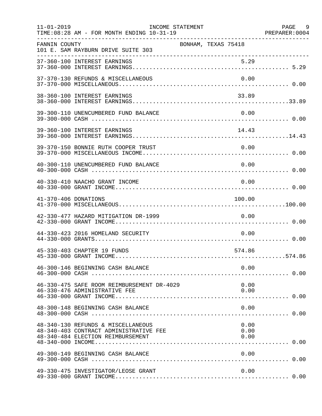| $11 - 01 - 2019$     | TIME: 08:28 AM - FOR MONTH ENDING 10-31-19                                                                        | INCOME STATEMENT    |  |                      | PAGE 9 |
|----------------------|-------------------------------------------------------------------------------------------------------------------|---------------------|--|----------------------|--------|
| FANNIN COUNTY        | 101 E. SAM RAYBURN DRIVE SUITE 303                                                                                | BONHAM, TEXAS 75418 |  |                      |        |
|                      |                                                                                                                   |                     |  |                      |        |
|                      | 37-370-130 REFUNDS & MISCELLANEOUS                                                                                |                     |  | 0.00                 |        |
|                      | 38-360-100 INTEREST EARNINGS                                                                                      |                     |  | 33.89                |        |
|                      | 39-300-110 UNENCUMBERED FUND BALANCE                                                                              |                     |  | 0.00                 |        |
|                      | 39-360-100 INTEREST EARNINGS                                                                                      |                     |  | 14.43                |        |
|                      | 39-370-150 BONNIE RUTH COOPER TRUST                                                                               |                     |  | 0.00                 |        |
|                      | 40-300-110 UNENCUMBERED FUND BALANCE                                                                              |                     |  | 0.00                 |        |
|                      | 40-330-410 NAACHO GRANT INCOME                                                                                    |                     |  | 0.00                 |        |
| 41-370-406 DONATIONS |                                                                                                                   |                     |  | 100.00               |        |
|                      | 42-330-477 HAZARD MITIGATION DR-1999                                                                              |                     |  | 0.00                 |        |
|                      | 44-330-423 2016 HOMELAND SECURITY                                                                                 |                     |  | 0.00                 |        |
|                      | 45-330-403 CHAPTER 19 FUNDS                                                                                       |                     |  | 574.86               |        |
|                      | 46-300-146 BEGINNING CASH BALANCE                                                                                 |                     |  | 0.00                 |        |
|                      | 46-330-475 SAFE ROOM REIMBURSEMENT DR-4029<br>46-330-476 ADMINISTRATIVE FEE                                       |                     |  | 0.00<br>0.00         |        |
|                      | 48-300-148 BEGINNING CASH BALANCE                                                                                 |                     |  | 0.00                 |        |
|                      | 48-340-130 REFUNDS & MISCELLANEOUS<br>48-340-403 CONTRACT ADMINISTRATIVE FEE<br>48-340-484 ELECTION REIMBURSEMENT |                     |  | 0.00<br>0.00<br>0.00 |        |
|                      | 49-300-149 BEGINNING CASH BALANCE                                                                                 |                     |  | 0.00                 |        |
|                      | 49-330-475 INVESTIGATOR/LEOSE GRANT                                                                               |                     |  | 0.00                 |        |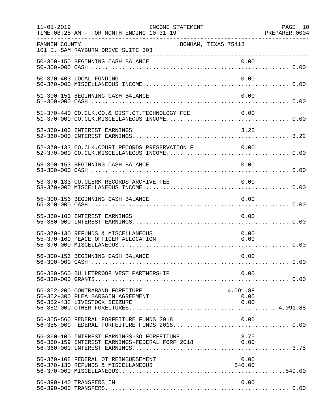| $11 - 01 - 2019$ | TIME: 08:28 AM - FOR MONTH ENDING 10-31-19                                                           | INCOME STATEMENT    |                          | PAGE 10<br>PREPARER: 0004 |
|------------------|------------------------------------------------------------------------------------------------------|---------------------|--------------------------|---------------------------|
| FANNIN COUNTY    | 101 E. SAM RAYBURN DRIVE SUITE 303                                                                   | BONHAM, TEXAS 75418 |                          |                           |
|                  |                                                                                                      |                     |                          |                           |
|                  | 50-370-403 LOCAL FUNDING                                                                             |                     | 0.00                     |                           |
|                  | 51-300-151 BEGINNING CASH BALANCE                                                                    |                     | 0.00                     |                           |
|                  | 51-370-440 CO.CLK.CO.& DIST.CT.TECHNOLOGY FEE                                                        |                     | 0.00                     |                           |
|                  | 52-360-100 INTEREST EARNINGS                                                                         |                     | 3.22                     |                           |
|                  | 52-370-133 CO.CLK.COURT RECORDS PRESERVATION F 0.00                                                  |                     |                          |                           |
|                  | 53-300-153 BEGINNING CASH BALANCE                                                                    |                     | 0.00                     |                           |
|                  | 53-370-133 CO. CLERK RECORDS ARCHIVE FEE                                                             |                     | 0.00                     |                           |
|                  | 55-300-156 BEGINNING CASH BALANCE                                                                    |                     | 0.00                     |                           |
|                  | 55-360-100 INTEREST EARNINGS                                                                         |                     | 0.00                     |                           |
|                  | 55-370-130 REFUNDS & MISCELLANEOUS<br>55-370-160 PEACE OFFICER ALLOCATION                            |                     | 0.00<br>0.00             |                           |
|                  | 56-300-156 BEGINNING CASH BALANCE                                                                    |                     | 0.00                     |                           |
|                  | 56-330-560 BULLETPROOF VEST PARTNERSHIP                                                              |                     | 0.00                     |                           |
|                  | 56-352-200 CONTRABAND FOREITURE<br>56-352-300 PLEA BARGAIN AGREEMENT<br>56-352-432 LIVESTOCK SEIZURE |                     | 4,091.88<br>0.00<br>0.00 |                           |
|                  | 56-355-560 FEDERAL FORFEITURE FUNDS 2018<br>56-355-000 FEDERAL FORFEITURE FUNDS 2018 0.00            |                     | 0.00                     |                           |
|                  | 56-360-100 INTEREST EARNINGS-SO FORFEITURE<br>56-360-159 INTEREST EARNINGS-FEDERAL FORF 2018 0.00    |                     | 3.75                     |                           |
|                  | 56-370-108 FEDERAL OT REIMBURSEMENT<br>56-370-130 REFUNDS & MISCELLANEOUS                            |                     | 0.00<br>540.00           |                           |
|                  | 56-390-140 TRANSFERS IN                                                                              |                     | 0.00                     |                           |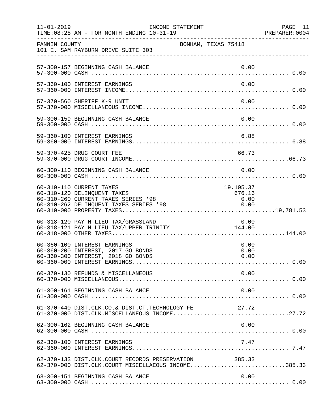| $11 - 01 - 2019$ | TIME: 08:28 AM - FOR MONTH ENDING 10-31-19                                                                                               | INCOME STATEMENT    |                                     | PAGE 11 |
|------------------|------------------------------------------------------------------------------------------------------------------------------------------|---------------------|-------------------------------------|---------|
| FANNIN COUNTY    | 101 E. SAM RAYBURN DRIVE SUITE 303                                                                                                       | BONHAM, TEXAS 75418 |                                     |         |
|                  | 57-300-157 BEGINNING CASH BALANCE                                                                                                        |                     | 0.00                                |         |
|                  | 57-360-100 INTEREST EARNINGS                                                                                                             |                     | 0.00                                |         |
|                  | 57-370-560 SHERIFF K-9 UNIT                                                                                                              |                     | 0.00                                |         |
|                  | 59-300-159 BEGINNING CASH BALANCE                                                                                                        |                     | 0.00                                |         |
|                  | 59-360-100 INTEREST EARNINGS                                                                                                             |                     | 6.88                                |         |
|                  | 59-370-425 DRUG COURT FEE                                                                                                                |                     | 66.73                               |         |
|                  | 60-300-110 BEGINNING CASH BALANCE                                                                                                        |                     | 0.00                                |         |
|                  | 60-310-110 CURRENT TAXES<br>60-310-120 DELINQUENT TAXES<br>60-310-260 CURRENT TAXES SERIES '98<br>60-310-262 DELINQUENT TAXES SERIES '98 |                     | 19,105.37<br>676.16<br>0.00<br>0.00 |         |
|                  | 60-318-120 PAY N LIEU TAX/GRASSLAND<br>60-318-121 PAY N LIEU TAX/UPPER TRINITY 144.00                                                    |                     | 0.00                                |         |
|                  | 60-360-100 INTEREST EARNINGS<br>60-360-200 INTEREST, 2017 GO BONDS<br>60-360-300 INTEREST, 2018 GO BONDS                                 |                     | 0.00<br>0.00<br>0.00                |         |
|                  | 60-370-130 REFUNDS & MISCELLANEOUS                                                                                                       |                     | 0.00                                |         |
|                  | 61-300-161 BEGINNING CASH BALANCE                                                                                                        |                     | 0.00                                |         |
|                  | 61-370-440 DIST.CLK.CO.& DIST.CT.TECHNOLOGY FE<br>61-370-000 DIST.CLK.MISCELLANEOUS INCOME27.72                                          |                     | 27.72                               |         |
|                  | 62-300-162 BEGINNING CASH BALANCE                                                                                                        |                     | 0.00                                |         |
|                  | 62-360-100 INTEREST EARNINGS                                                                                                             |                     | 7.47                                |         |
|                  | 62-370-133 DIST.CLK.COURT RECORDS PRESERVATION<br>62-370-000 DIST.CLK.COURT MISCELLAEOUS INCOME385.33                                    |                     | 385.33                              |         |
|                  | 63-300-151 BEGINNING CASH BALANCE                                                                                                        |                     | 0.00                                |         |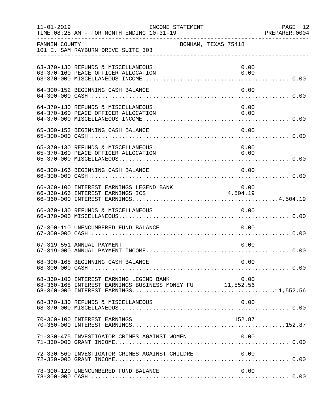| $11 - 01 - 2019$ | TIME: 08:28 AM - FOR MONTH ENDING 10-31-19                                                          | INCOME STATEMENT    |                    |              | PAGE 12<br>PREPARER: 0004 |
|------------------|-----------------------------------------------------------------------------------------------------|---------------------|--------------------|--------------|---------------------------|
| FANNIN COUNTY    | 101 E. SAM RAYBURN DRIVE SUITE 303                                                                  | BONHAM, TEXAS 75418 |                    |              |                           |
|                  | 63-370-130 REFUNDS & MISCELLANEOUS<br>63-370-160 PEACE OFFICER ALLOCATION                           |                     |                    | 0.00<br>0.00 |                           |
|                  | 64-300-152 BEGINNING CASH BALANCE                                                                   |                     |                    | 0.00         |                           |
|                  | 64-370-130 REFUNDS & MISCELLANEOUS<br>64-370-160 PEACE OFFICER ALLOCATION                           |                     |                    | 0.00<br>0.00 |                           |
|                  | 65-300-153 BEGINNING CASH BALANCE                                                                   |                     |                    | 0.00         |                           |
|                  | 65-370-130 REFUNDS & MISCELLANEOUS                                                                  |                     |                    | 0.00         |                           |
|                  | 66-300-166 BEGINNING CASH BALANCE                                                                   |                     |                    | 0.00         |                           |
|                  | 66-360-100 INTEREST EARNINGS LEGEND BANK<br>66-360-166 INTEREST EARNINGS ICS                        |                     | $0.00$<br>4,504.19 |              |                           |
|                  | 66-370-130 REFUNDS & MISCELLANEOUS                                                                  |                     |                    | 0.00         |                           |
|                  | 67-300-110 UNENCUMBERED FUND BALANCE                                                                |                     |                    | 0.00         |                           |
|                  | 67-319-551 ANNUAL PAYMENT                                                                           |                     |                    | 0.00         |                           |
|                  | 68-300-168 BEGINNING CASH BALANCE                                                                   |                     |                    | 0.00         |                           |
|                  | 68-360-100 INTEREST EARNING LEGEND BANK<br>68-360-168 INTEREST EARNINGS BUSINESS MONEY FU 11,552.56 |                     |                    | 0.00         |                           |
|                  | 68-370-130 REFUNDS & MISCELLANEOUS                                                                  |                     |                    | 0.00         |                           |
|                  | 70-360-100 INTEREST EARNINGS                                                                        |                     |                    | 152.87       |                           |
|                  | 71-330-475 INVESTIGATOR CRIMES AGAINST WOMEN                                                        |                     |                    | 0.00         |                           |
|                  | 72-330-560 INVESTIGATOR CRIMES AGAINST CHILDRE                                                      |                     |                    | 0.00         |                           |
|                  | 78-300-120 UNENCUMBERED FUND BALANCE                                                                |                     |                    | 0.00         |                           |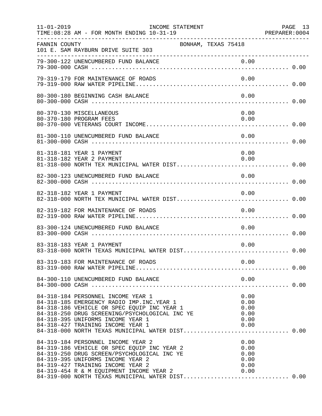| $11 - 01 - 2019$ | INCOME STATEMENT<br>TIME: 08:28 AM - FOR MONTH ENDING 10-31-19                                                                                                                                                                                                                                                   |                                              | PAGE 13 |
|------------------|------------------------------------------------------------------------------------------------------------------------------------------------------------------------------------------------------------------------------------------------------------------------------------------------------------------|----------------------------------------------|---------|
| FANNIN COUNTY    | 101 E. SAM RAYBURN DRIVE SUITE 303                                                                                                                                                                                                                                                                               | BONHAM, TEXAS 75418                          |         |
|                  |                                                                                                                                                                                                                                                                                                                  |                                              |         |
|                  | 79-319-179 FOR MAINTENANCE OF ROADS                                                                                                                                                                                                                                                                              | 0.00                                         |         |
|                  | 80-300-180 BEGINNING CASH BALANCE                                                                                                                                                                                                                                                                                | 0.00                                         |         |
|                  | 80-370-130 MISCELLANEOUS<br>80-370-180 PROGRAM FEES                                                                                                                                                                                                                                                              | 0.00<br>0.00                                 |         |
|                  | 81-300-110 UNENCUMBERED FUND BALANCE                                                                                                                                                                                                                                                                             | 0.00                                         |         |
|                  | 81-318-181 YEAR 1 PAYMENT<br>81-318-182 YEAR 2 PAYMENT                                                                                                                                                                                                                                                           | 0.00<br>0.00                                 |         |
|                  | 82-300-123 UNENCUMBERED FUND BALANCE                                                                                                                                                                                                                                                                             | 0.00                                         |         |
|                  | 82-318-182 YEAR 1 PAYMENT                                                                                                                                                                                                                                                                                        | 0.00                                         |         |
|                  | 82-319-182 FOR MAINTENANCE OF ROADS                                                                                                                                                                                                                                                                              | 0.00                                         |         |
|                  | 83-300-124 UNENCUMBERED FUND BALANCE                                                                                                                                                                                                                                                                             | 0.00                                         |         |
|                  | 83-318-183 YEAR 1 PAYMENT<br>83-318-000 NORTH TEXAS MUNICIPAL WATER DIST 0.00                                                                                                                                                                                                                                    | 0.00                                         |         |
|                  |                                                                                                                                                                                                                                                                                                                  |                                              |         |
|                  | 84-300-110 UNENCUMBERED FUND BALANCE                                                                                                                                                                                                                                                                             | 0.00                                         |         |
|                  | 84-318-184 PERSONNEL INCOME YEAR 1<br>84-318-185 EMERGENCY RADIO IMP. INC. YEAR 1<br>84-318-186 VEHICLE OR SPEC EQUIP INC YEAR 1<br>84-318-250 DRUG SCREENING/PSYCHOLOGICAL INC YE<br>84-318-395 UNIFORMS INCOME YEAR 1<br>84-318-427 TRAINING INCOME YEAR 1<br>84-318-000 NORTH TEXAS MUNICIPAL WATER DIST 0.00 | 0.00<br>0.00<br>0.00<br>0.00<br>0.00<br>0.00 |         |
|                  | 84-319-184 PERSONNEL INCOME YEAR 2<br>84-319-186 VEHICLE OR SPEC EQUIP INC YEAR 2<br>84-319-250 DRUG SCREEN/PSYCHOLOGICAL INC YE<br>84-319-395 UNIFORMS INCOME YEAR 2<br>84-319-427 TRAINING INCOME YEAR 2<br>84-319-454 R & M EQUIPMENT INCOME YEAR 2 0.00<br>84-319-000 NORTH TEXAS MUNICIPAL WATER DIST 0.00  | 0.00<br>0.00<br>0.00<br>0.00<br>0.00         |         |
|                  |                                                                                                                                                                                                                                                                                                                  |                                              |         |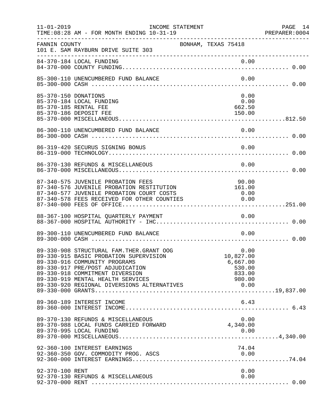| $11 - 01 - 2019$     | INCOME STATEMENT<br>TIME: 08:28 AM - FOR MONTH ENDING 10-31-19                                                                                                                                                                    |                                                             | PAGE 14<br>PREPARER: 0004 |
|----------------------|-----------------------------------------------------------------------------------------------------------------------------------------------------------------------------------------------------------------------------------|-------------------------------------------------------------|---------------------------|
| FANNIN COUNTY        | 101 E. SAM RAYBURN DRIVE SUITE 303                                                                                                                                                                                                | BONHAM, TEXAS 75418                                         |                           |
|                      |                                                                                                                                                                                                                                   |                                                             |                           |
|                      | 85-300-110 UNENCUMBERED FUND BALANCE                                                                                                                                                                                              | 0.00                                                        |                           |
| 85-370-150 DONATIONS | 85-370-184 LOCAL FUNDING<br>85-370-185 RENTAL FEE<br>85-370-186 DEPOSIT FEE                                                                                                                                                       | 0.00<br>0.00<br>662.50<br>150.00                            |                           |
|                      | 86-300-110 UNENCUMBERED FUND BALANCE                                                                                                                                                                                              | 0.00                                                        |                           |
|                      | 86-319-420 SECURUS SIGNING BONUS                                                                                                                                                                                                  | 0.00                                                        |                           |
|                      | 86-370-130 REFUNDS & MISCELLANEOUS                                                                                                                                                                                                | 0.00                                                        |                           |
|                      | 87-340-575 JUVENILE PROBATION FEES<br>87-340-576 JUVENILE PROBATION RESTITUTION<br>87-340-577 JUVENILE PROBATION COURT COSTS<br>87-340-578 FEES RECEIVED FOR OTHER COUNTIES                                                       | 90.00<br>161.00<br>0.00<br>0.00                             |                           |
|                      | 88-367-100 HOSPITAL QUARTERLY PAYMENT                                                                                                                                                                                             | 0.00                                                        |                           |
|                      | 89-300-110 UNENCUMBERED FUND BALANCE                                                                                                                                                                                              | 0.00                                                        |                           |
|                      | 89-330-908 STRUCTURAL FAM. THER. GRANT OOG<br>89-330-915 BASIC PROBATION SUPERVISION<br>89-330-916 COMMUNITY PROGRAMS<br>89-330-917 PRE/POST ADJUDICATION<br>89-330-918 COMMITMENT DIVERSION<br>89-330-919 MENTAL HEALTH SERVICES | 0.00<br>10,827.00<br>6,667.00<br>530.00<br>833.00<br>980.00 |                           |
|                      | 89-360-189 INTEREST INCOME                                                                                                                                                                                                        | 6.43                                                        |                           |
|                      | 89-370-130 REFUNDS & MISCELLANEOUS<br>89-370-988 LOCAL FUNDS CARRIED FORWARD                                                                                                                                                      | 0.00<br>4,340.00                                            |                           |
|                      | 92-360-100 INTEREST EARNINGS                                                                                                                                                                                                      | 74.04                                                       |                           |
| 92-370-100 RENT      | 92-370-130 REFUNDS & MISCELLANEOUS                                                                                                                                                                                                | 0.00<br>0.00                                                |                           |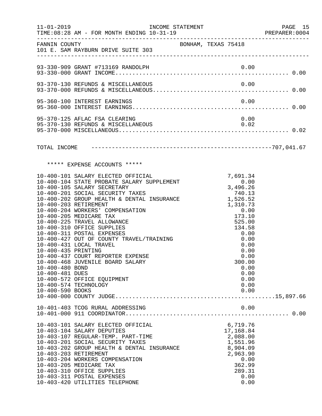|                                                                               | 11-01-2019    INCOME STATEMENT                                                                                                                                                                                                                                                                                                                                                                                                                                                                                                                                                               |                     |                                                                                                                                                                                                | PAGE 15<br>PREPARER: 0004 |
|-------------------------------------------------------------------------------|----------------------------------------------------------------------------------------------------------------------------------------------------------------------------------------------------------------------------------------------------------------------------------------------------------------------------------------------------------------------------------------------------------------------------------------------------------------------------------------------------------------------------------------------------------------------------------------------|---------------------|------------------------------------------------------------------------------------------------------------------------------------------------------------------------------------------------|---------------------------|
|                                                                               | FANNIN COUNTY<br>101 E. SAM RAYBURN DRIVE SUITE 303                                                                                                                                                                                                                                                                                                                                                                                                                                                                                                                                          | BONHAM, TEXAS 75418 |                                                                                                                                                                                                |                           |
|                                                                               | 93-330-909 GRANT #713169 RANDOLPH                                                                                                                                                                                                                                                                                                                                                                                                                                                                                                                                                            |                     |                                                                                                                                                                                                |                           |
|                                                                               | 93-370-130 REFUNDS & MISCELLANEOUS                                                                                                                                                                                                                                                                                                                                                                                                                                                                                                                                                           |                     | 0.00                                                                                                                                                                                           |                           |
|                                                                               | 95-360-100 INTEREST EARNINGS                                                                                                                                                                                                                                                                                                                                                                                                                                                                                                                                                                 |                     | 0.00                                                                                                                                                                                           |                           |
|                                                                               | 95-370-125 AFLAC FSA CLEARING<br>95-370-130 REFUNDS & MISCELLANEOUS                                                                                                                                                                                                                                                                                                                                                                                                                                                                                                                          |                     | 0.00<br>0.02                                                                                                                                                                                   |                           |
|                                                                               |                                                                                                                                                                                                                                                                                                                                                                                                                                                                                                                                                                                              |                     |                                                                                                                                                                                                |                           |
|                                                                               | ***** EXPENSE ACCOUNTS *****                                                                                                                                                                                                                                                                                                                                                                                                                                                                                                                                                                 |                     |                                                                                                                                                                                                |                           |
| 10-400-435 PRINTING<br>10-400-480 BOND<br>10-400-481 DUES<br>10-400-590 BOOKS | 10-400-101 SALARY ELECTED OFFICIAL<br>10-400-104 STATE PROBATE SALARY SUPPLEMENT<br>10-400-105 SALARY SECRETARY<br>10-400-201 SOCIAL SECURITY TAXES<br>10-400-202 GROUP HEALTH & DENTAL INSURANCE<br>10-400-203 RETIREMENT<br>10-400-204 WORKERS' COMPENSATION<br>10-400-205 MEDICARE TAX<br>10-400-225 TRAVEL ALLOWANCE<br>10-400-310 OFFICE SUPPLIES<br>10-400-311 POSTAL EXPENSES<br>10-400-427 OUT OF COUNTY TRAVEL/TRAINING<br>10-400-431 LOCAL TRAVEL<br>10-400-437 COURT REPORTER EXPENSE<br>10-400-468 JUVENILE BOARD SALARY<br>10-400-572 OFFICE EQUIPMENT<br>10-400-574 TECHNOLOGY |                     | 7,691.34<br>0.00<br>3,496.26<br>740.13<br>1,526.52<br>1,310.73<br>0.00<br>173.10<br>525.00<br>134.58<br>0.00<br>0.00<br>0.00<br>0.00<br>0.00<br>300.00<br>0.00<br>0.00<br>0.00<br>0.00<br>0.00 |                           |
|                                                                               | 10-401-403 TCOG RURAL ADDRESSING                                                                                                                                                                                                                                                                                                                                                                                                                                                                                                                                                             |                     | 0.00                                                                                                                                                                                           |                           |
|                                                                               | 10-403-101 SALARY ELECTED OFFICIAL<br>10-403-104 SALARY DEPUTIES<br>10-403-107 REGULAR-TEMP. PART-TIME<br>10-403-201 SOCIAL SECURITY TAXES<br>10-403-202 GROUP HEALTH & DENTAL INSURANCE<br>10-403-203 RETIREMENT<br>10-403-204 WORKERS COMPENSATION<br>10-403-205 MEDICARE TAX<br>10-403-310 OFFICE SUPPLIES<br>10-403-311 POSTAL EXPENSES<br>10-403-420 UTILITIES TELEPHONE                                                                                                                                                                                                                |                     | 6,719.76<br>17,168.84<br>2,088.00<br>1,551.96<br>8,904.09<br>2,963.90<br>0.00<br>362.99<br>289.31<br>0.00<br>0.00                                                                              |                           |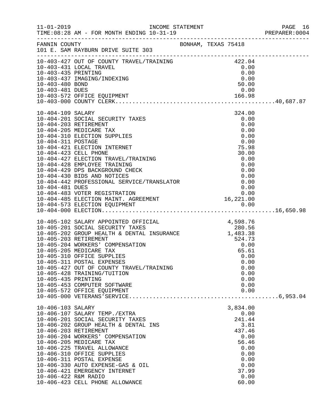|                                    |                                                                                                                                                                                                                                              |  |                                                              | PREPARER: 0004 |
|------------------------------------|----------------------------------------------------------------------------------------------------------------------------------------------------------------------------------------------------------------------------------------------|--|--------------------------------------------------------------|----------------|
|                                    |                                                                                                                                                                                                                                              |  |                                                              |                |
|                                    | 10-403-427 OUT OF COUNTY TRAVEL/TRAINING 422.04<br>10-403-431 LOCAL TRAVEL 6 0.00<br>10-403-435 PRINTING 0.00<br>10-403-437 IMAGING/INDEXING 0.00                                                                                            |  |                                                              |                |
|                                    |                                                                                                                                                                                                                                              |  |                                                              |                |
|                                    |                                                                                                                                                                                                                                              |  |                                                              |                |
|                                    |                                                                                                                                                                                                                                              |  | $\begin{array}{c} 0.00 \\ 0.00 \\ 0.00 \\ 50.00 \end{array}$ |                |
| 10-403-480 BOND<br>10-403-481 DUES |                                                                                                                                                                                                                                              |  | 50.00<br>0.00                                                |                |
|                                    |                                                                                                                                                                                                                                              |  |                                                              |                |
|                                    |                                                                                                                                                                                                                                              |  |                                                              |                |
|                                    |                                                                                                                                                                                                                                              |  |                                                              |                |
| 10-404-109 SALARY                  | 10-404-201 SOCIAL SECURITY TAXES                                                                                                                                                                                                             |  | 324.00<br>0.00                                               |                |
|                                    | 10-404-203 RETIREMENT                                                                                                                                                                                                                        |  | 0.00                                                         |                |
|                                    | 10-404-205 MEDICARE TAX                                                                                                                                                                                                                      |  | 0.00                                                         |                |
|                                    | 10-404-310 ELECTION SUPPLIES                                                                                                                                                                                                                 |  | 0.00                                                         |                |
| 10-404-311 POSTAGE                 |                                                                                                                                                                                                                                              |  | 0.00                                                         |                |
|                                    | 10-404-421 ELECTION INTERNET                                                                                                                                                                                                                 |  | 75.98                                                        |                |
|                                    | 10-404-423 CELL PHONE                                                                                                                                                                                                                        |  | 30.00                                                        |                |
|                                    |                                                                                                                                                                                                                                              |  |                                                              |                |
|                                    |                                                                                                                                                                                                                                              |  |                                                              |                |
|                                    |                                                                                                                                                                                                                                              |  |                                                              |                |
|                                    |                                                                                                                                                                                                                                              |  |                                                              |                |
|                                    |                                                                                                                                                                                                                                              |  |                                                              |                |
|                                    |                                                                                                                                                                                                                                              |  |                                                              |                |
|                                    |                                                                                                                                                                                                                                              |  |                                                              |                |
|                                    |                                                                                                                                                                                                                                              |  |                                                              |                |
|                                    | 10-404-423 CELL PHONE<br>10-404-423 CELL PHONE<br>10-404-423 EMPLOYEE TRAINING<br>10-404-428 EMPLOYEE TRAINING<br>10-404-439 DPS BACKGROUND CHECK<br>10-404-439 DPS BACKGROUND CHECK<br>10-404-433 VOTER SAND NOTICES<br>10-404-442 PROFESSI |  |                                                              |                |
|                                    | 10-405-102 SALARY APPOINTED OFFICIAL 4,598.76<br>10-405-201 SOCIAL SECURITY TAXES 280.56<br>10-405-202 GROUP HEALTH & DENTAL INSURANCE 1,483.38<br>10-405-203 RETIREMENT 524.73<br>10-405-204 WORKERS' COMPENSATION 0.00<br>65.61            |  |                                                              |                |
|                                    |                                                                                                                                                                                                                                              |  |                                                              |                |
|                                    |                                                                                                                                                                                                                                              |  |                                                              |                |
|                                    |                                                                                                                                                                                                                                              |  |                                                              |                |
|                                    |                                                                                                                                                                                                                                              |  |                                                              |                |
|                                    | 10-405-310 OFFICE SUPPLIES                                                                                                                                                                                                                   |  | 65.61<br>0.00                                                |                |
|                                    | 10-405-311 POSTAL EXPENSES                                                                                                                                                                                                                   |  | 0.00                                                         |                |
|                                    | 10-405-427 OUT OF COUNTY TRAVEL/TRAINING                                                                                                                                                                                                     |  | 0.00                                                         |                |
|                                    | 10-405-428 TRAINING/TUITION                                                                                                                                                                                                                  |  | 0.00                                                         |                |
| 10-405-435 PRINTING                |                                                                                                                                                                                                                                              |  | 0.00                                                         |                |
|                                    | 10-405-453 COMPUTER SOFTWARE                                                                                                                                                                                                                 |  | 0.00                                                         |                |
|                                    | 10-405-572 OFFICE EQUIPMENT                                                                                                                                                                                                                  |  | 0.00                                                         |                |
|                                    |                                                                                                                                                                                                                                              |  |                                                              |                |
| 10-406-103 SALARY                  |                                                                                                                                                                                                                                              |  | 3,834.00                                                     |                |
|                                    | 10-406-107 SALARY TEMP./EXTRA                                                                                                                                                                                                                |  | 0.00                                                         |                |
|                                    | 10-406-201 SOCIAL SECURITY TAXES                                                                                                                                                                                                             |  | 241.44                                                       |                |
|                                    | 10-406-202 GROUP HEALTH & DENTAL INS                                                                                                                                                                                                         |  | 3.81                                                         |                |
|                                    | 10-406-203 RETIREMENT                                                                                                                                                                                                                        |  | 437.46                                                       |                |
|                                    | 10-406-204 WORKERS' COMPENSATION<br>10-406-205 MEDICARE TAX                                                                                                                                                                                  |  | 0.00<br>56.46                                                |                |
|                                    | 10-406-225 TRAVEL ALLOWANCE                                                                                                                                                                                                                  |  | 0.00                                                         |                |
|                                    | 10-406-310 OFFICE SUPPLIES                                                                                                                                                                                                                   |  | 0.00                                                         |                |
|                                    | 10-406-311 POSTAL EXPENSE                                                                                                                                                                                                                    |  | 0.00                                                         |                |
|                                    | 10-406-330 AUTO EXPENSE-GAS & OIL                                                                                                                                                                                                            |  | 0.00                                                         |                |
|                                    | 10-406-421 EMERGENCY INTERNET                                                                                                                                                                                                                |  | 37.99                                                        |                |
| 10-406-422 R&M RADIO               |                                                                                                                                                                                                                                              |  | 0.00                                                         |                |
|                                    | 10-406-423 CELL PHONE ALLOWANCE                                                                                                                                                                                                              |  | 60.00                                                        |                |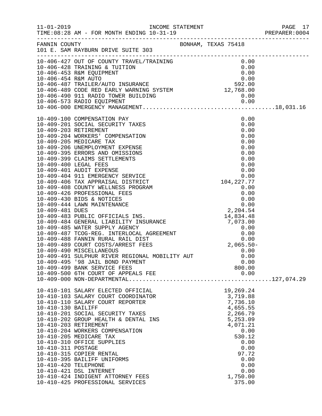|                      |                                                                                                                                                                                                                                                                                                                                   |               | PAGE 17<br>PREPARER: 0004 |
|----------------------|-----------------------------------------------------------------------------------------------------------------------------------------------------------------------------------------------------------------------------------------------------------------------------------------------------------------------------------|---------------|---------------------------|
|                      |                                                                                                                                                                                                                                                                                                                                   |               |                           |
|                      |                                                                                                                                                                                                                                                                                                                                   |               |                           |
|                      |                                                                                                                                                                                                                                                                                                                                   |               |                           |
|                      |                                                                                                                                                                                                                                                                                                                                   |               |                           |
|                      |                                                                                                                                                                                                                                                                                                                                   |               |                           |
|                      |                                                                                                                                                                                                                                                                                                                                   |               |                           |
|                      |                                                                                                                                                                                                                                                                                                                                   |               |                           |
|                      |                                                                                                                                                                                                                                                                                                                                   |               |                           |
|                      |                                                                                                                                                                                                                                                                                                                                   |               |                           |
|                      | $[10-409-100 \text{ CMPENKGENENTON PAYKIS 10-409-203 \text{ ROTINENATION PAYKIS 0.00010-409-203 \text{ RPTIENMENT V TAKES 0.00010-409-203 \text{ RPTIENMENT V TAKES 0.00010-409-203 \text{ RPTIENMENT S 0.00010-409-206 \text{ MDDICARE TAX 0.00010-409-206 \text{ MDDICARE PAYKISSE 0.00010-409-395 \text{ ERRORS AND OMISSIONS$ |               |                           |
|                      |                                                                                                                                                                                                                                                                                                                                   |               |                           |
|                      |                                                                                                                                                                                                                                                                                                                                   |               |                           |
|                      |                                                                                                                                                                                                                                                                                                                                   |               |                           |
|                      |                                                                                                                                                                                                                                                                                                                                   |               |                           |
|                      |                                                                                                                                                                                                                                                                                                                                   |               |                           |
|                      |                                                                                                                                                                                                                                                                                                                                   |               |                           |
|                      |                                                                                                                                                                                                                                                                                                                                   |               |                           |
|                      |                                                                                                                                                                                                                                                                                                                                   |               |                           |
|                      |                                                                                                                                                                                                                                                                                                                                   |               |                           |
|                      |                                                                                                                                                                                                                                                                                                                                   |               |                           |
|                      |                                                                                                                                                                                                                                                                                                                                   |               |                           |
|                      |                                                                                                                                                                                                                                                                                                                                   |               |                           |
|                      |                                                                                                                                                                                                                                                                                                                                   |               |                           |
|                      |                                                                                                                                                                                                                                                                                                                                   |               |                           |
|                      |                                                                                                                                                                                                                                                                                                                                   |               |                           |
|                      |                                                                                                                                                                                                                                                                                                                                   |               |                           |
|                      |                                                                                                                                                                                                                                                                                                                                   |               |                           |
|                      |                                                                                                                                                                                                                                                                                                                                   |               |                           |
|                      |                                                                                                                                                                                                                                                                                                                                   |               |                           |
|                      |                                                                                                                                                                                                                                                                                                                                   |               |                           |
|                      |                                                                                                                                                                                                                                                                                                                                   |               |                           |
|                      |                                                                                                                                                                                                                                                                                                                                   |               |                           |
|                      |                                                                                                                                                                                                                                                                                                                                   |               |                           |
|                      |                                                                                                                                                                                                                                                                                                                                   |               |                           |
|                      | 10-409-495 '98 JAIL BOND PAYMENT                                                                                                                                                                                                                                                                                                  | 0.00          |                           |
|                      | 10-409-499 BANK SERVICE FEES                                                                                                                                                                                                                                                                                                      | 800.00        |                           |
|                      | 10-409-500 6TH COURT OF APPEALS FEE                                                                                                                                                                                                                                                                                               | 0.00          |                           |
|                      |                                                                                                                                                                                                                                                                                                                                   |               |                           |
|                      | 10-410-101 SALARY ELECTED OFFICIAL                                                                                                                                                                                                                                                                                                | 19,269.24     |                           |
|                      | 10-410-103 SALARY COURT COORDINATOR                                                                                                                                                                                                                                                                                               | 3,719.88      |                           |
|                      | 10-410-110 SALARY COURT REPORTER                                                                                                                                                                                                                                                                                                  | 7,736.10      |                           |
| 10-410-130 BAILIFF   |                                                                                                                                                                                                                                                                                                                                   | 4,655.55      |                           |
|                      | 10-410-201 SOCIAL SECURITY TAXES                                                                                                                                                                                                                                                                                                  | 2,266.79      |                           |
|                      | 10-410-202 GROUP HEALTH & DENTAL INS                                                                                                                                                                                                                                                                                              | 5,253.09      |                           |
|                      | 10-410-203 RETIREMENT                                                                                                                                                                                                                                                                                                             | 4,071.21      |                           |
|                      | 10-410-204 WORKERS COMPENSATION                                                                                                                                                                                                                                                                                                   | 0.00          |                           |
|                      | 10-410-205 MEDICARE TAX                                                                                                                                                                                                                                                                                                           | 530.12        |                           |
| 10-410-311 POSTAGE   | 10-410-310 OFFICE SUPPLIES                                                                                                                                                                                                                                                                                                        | 0.00          |                           |
|                      | 10-410-315 COPIER RENTAL                                                                                                                                                                                                                                                                                                          | 0.00<br>97.72 |                           |
|                      | 10-410-395 BAILIFF UNIFORMS                                                                                                                                                                                                                                                                                                       | 0.00          |                           |
| 10-410-420 TELEPHONE |                                                                                                                                                                                                                                                                                                                                   | 0.00          |                           |
|                      | 10-410-421 DSL INTERNET                                                                                                                                                                                                                                                                                                           | 0.00          |                           |
|                      | 10-410-424 INDIGENT ATTORNEY FEES                                                                                                                                                                                                                                                                                                 | 1,750.00      |                           |
|                      | 10-410-425 PROFESSIONAL SERVICES                                                                                                                                                                                                                                                                                                  | 375.00        |                           |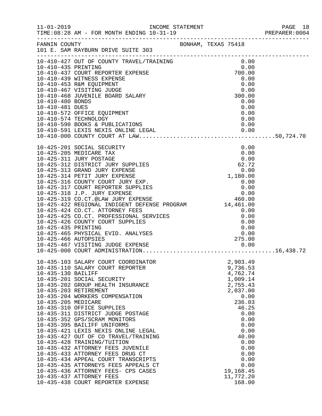|                     |                                                                                                                                                                                                                                                 |  |                      |              | PREPARER: 0004 |
|---------------------|-------------------------------------------------------------------------------------------------------------------------------------------------------------------------------------------------------------------------------------------------|--|----------------------|--------------|----------------|
|                     |                                                                                                                                                                                                                                                 |  |                      |              |                |
|                     | 10-410-427 OUT OF COUNTY TRAVEL/TRAINING 0.00<br>10-410-435 PRINTING 0.00<br>10-410-437 COURT REPORTER EXPENSE 700.00<br>10-410-439 WITNESS EXPENSE 0.00<br>10.410-452 PSM FOUTDMENT                                                            |  |                      |              |                |
|                     |                                                                                                                                                                                                                                                 |  |                      |              |                |
|                     |                                                                                                                                                                                                                                                 |  | 0.00                 |              |                |
|                     |                                                                                                                                                                                                                                                 |  | 0.00                 |              |                |
|                     | 10-410-437 COURT REPURIER EAFENSE<br>10-410-439 WITNESS EXPENSE<br>10-410-453 R&M EQUIPMENT<br>10-410-467 VISITING JUDGE<br>10-410-468 JUVENILE BOARD SALARY                                                                                    |  | 300.00               |              |                |
|                     |                                                                                                                                                                                                                                                 |  |                      |              |                |
|                     |                                                                                                                                                                                                                                                 |  |                      |              |                |
|                     |                                                                                                                                                                                                                                                 |  |                      |              |                |
|                     |                                                                                                                                                                                                                                                 |  |                      |              |                |
|                     | 10-410-480 BONDS<br>10-410-481 DUES<br>10-410-572 OFFICE EQUIPMENT<br>10-410-572 OFFICE EQUIPMENT<br>10-410-574 TECHNOLOGY<br>10-410-590 BOOKS & PUBLICATIONS<br>10-410-591 LEXIS NEXIS ONLINE LEGAL<br>10-410-591 LEXIS NEXIS ONLINE LEGAL<br> |  |                      |              |                |
|                     |                                                                                                                                                                                                                                                 |  |                      |              |                |
|                     | 10-425-201 SOCIAL SECURITY                                                                                                                                                                                                                      |  |                      |              |                |
|                     |                                                                                                                                                                                                                                                 |  |                      |              |                |
|                     |                                                                                                                                                                                                                                                 |  |                      |              |                |
|                     |                                                                                                                                                                                                                                                 |  |                      |              |                |
|                     |                                                                                                                                                                                                                                                 |  |                      |              |                |
|                     |                                                                                                                                                                                                                                                 |  |                      |              |                |
|                     |                                                                                                                                                                                                                                                 |  |                      |              |                |
|                     |                                                                                                                                                                                                                                                 |  |                      |              |                |
|                     |                                                                                                                                                                                                                                                 |  |                      |              |                |
|                     | 10-425-424 CO.CT. ATTORNEY FEES<br>10-425-425 CO.CT. PROFESSIONAL SERVICES<br>10-425-426 COUNTY COURT SUPPLIES 0.00<br>10-425-435 PRINTING 0.00                                                                                                 |  |                      |              |                |
|                     |                                                                                                                                                                                                                                                 |  |                      |              |                |
|                     |                                                                                                                                                                                                                                                 |  |                      |              |                |
|                     |                                                                                                                                                                                                                                                 |  |                      |              |                |
|                     |                                                                                                                                                                                                                                                 |  |                      |              |                |
|                     |                                                                                                                                                                                                                                                 |  |                      |              |                |
|                     |                                                                                                                                                                                                                                                 |  |                      |              |                |
|                     | 10-435-103 SALARY COURT COORDINATOR                                                                                                                                                                                                             |  | 2,903.49             |              |                |
|                     | 10-435-110 SALARY COURT REPORTER                                                                                                                                                                                                                |  | 9,736.53             |              |                |
| 10-435-130 BAILIFF  |                                                                                                                                                                                                                                                 |  | 4,762.74             |              |                |
|                     | 10-435-201 SOCIAL SECURITY                                                                                                                                                                                                                      |  | 1,009.14             |              |                |
|                     | 10-435-202 GROUP HEALTH INSURANCE<br>10-435-203 RETIREMENT                                                                                                                                                                                      |  | 2,755.43<br>2,037.00 |              |                |
|                     | 10-435-204 WORKERS COMPENSATION                                                                                                                                                                                                                 |  |                      | 0.00         |                |
| 10-435-205 MEDICARE |                                                                                                                                                                                                                                                 |  | 236.03               |              |                |
|                     | 10-435-310 OFFICE SUPPLIES                                                                                                                                                                                                                      |  | 46.25                |              |                |
|                     | 10-435-311 DISTRICT JUDGE POSTAGE                                                                                                                                                                                                               |  |                      | 0.00         |                |
|                     | 10-435-352 GPS/SCRAM MONITORS<br>10-435-395 BAILIFF UNIFORMS                                                                                                                                                                                    |  |                      | 0.00<br>0.00 |                |
|                     | 10-435-421 LEXIS NEXIS ONLINE LEGAL                                                                                                                                                                                                             |  |                      | 0.00         |                |
|                     | 10-435-427 OUT OF CO TRAVEL/TRAINING                                                                                                                                                                                                            |  | 40.00                |              |                |
|                     | 10-435-428 TRAINING/TUITION                                                                                                                                                                                                                     |  |                      | 0.00         |                |
|                     | 10-435-432 ATTORNEY FEES JUVENILE                                                                                                                                                                                                               |  |                      | 0.00         |                |
|                     | 10-435-433 ATTORNEY FEES DRUG CT<br>10-435-434 APPEAL COURT TRANSCRIPTS                                                                                                                                                                         |  |                      | 0.00<br>0.00 |                |
|                     | 10-435-435 ATTORNEYS FEES APPEALS CT                                                                                                                                                                                                            |  |                      | 0.00         |                |
|                     | 10-435-436 ATTORNEY FEES- CPS CASES                                                                                                                                                                                                             |  | 19,168.45            |              |                |
|                     | 10-435-437 ATTORNEY FEES                                                                                                                                                                                                                        |  | 11,772.20            |              |                |
|                     | 10-435-438 COURT REPORTER EXPENSE                                                                                                                                                                                                               |  | 168.00               |              |                |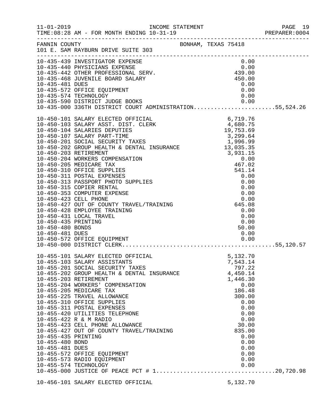|                     |                                                                                                                                                                                                                                            |                | PAGE 19 |
|---------------------|--------------------------------------------------------------------------------------------------------------------------------------------------------------------------------------------------------------------------------------------|----------------|---------|
|                     |                                                                                                                                                                                                                                            |                |         |
|                     | FANNIN COUNTY<br>101 E. SAM RAYBURN DRIVE SUITE 303                                                                                                                                                                                        |                |         |
|                     | 10-435-439 INVESTIGATOR EXPENSE<br>10-435-442 OTHER PROFESSIONAL SERV.<br>10-435-442 OTHER PROFESSIONAL SERV.<br>10-435-442 OTHER PROFESSIONAL SERV.<br>10-435-468 JUVENILE BOARD SALARY<br>10-435-572 OFFICE EQUIPMENT<br>10-435-572 OFFI |                |         |
|                     |                                                                                                                                                                                                                                            |                |         |
|                     |                                                                                                                                                                                                                                            |                |         |
|                     |                                                                                                                                                                                                                                            |                |         |
|                     |                                                                                                                                                                                                                                            |                |         |
|                     |                                                                                                                                                                                                                                            |                |         |
|                     |                                                                                                                                                                                                                                            |                |         |
|                     |                                                                                                                                                                                                                                            |                |         |
|                     |                                                                                                                                                                                                                                            |                |         |
|                     |                                                                                                                                                                                                                                            |                |         |
|                     |                                                                                                                                                                                                                                            |                |         |
|                     |                                                                                                                                                                                                                                            |                |         |
|                     |                                                                                                                                                                                                                                            |                |         |
|                     |                                                                                                                                                                                                                                            |                |         |
|                     |                                                                                                                                                                                                                                            |                |         |
|                     |                                                                                                                                                                                                                                            |                |         |
|                     |                                                                                                                                                                                                                                            |                |         |
|                     |                                                                                                                                                                                                                                            |                |         |
|                     |                                                                                                                                                                                                                                            |                |         |
|                     |                                                                                                                                                                                                                                            |                |         |
|                     |                                                                                                                                                                                                                                            |                |         |
|                     |                                                                                                                                                                                                                                            |                |         |
|                     |                                                                                                                                                                                                                                            |                |         |
|                     |                                                                                                                                                                                                                                            |                |         |
|                     |                                                                                                                                                                                                                                            |                |         |
|                     |                                                                                                                                                                                                                                            |                |         |
|                     |                                                                                                                                                                                                                                            |                |         |
|                     |                                                                                                                                                                                                                                            |                |         |
|                     |                                                                                                                                                                                                                                            |                |         |
|                     | 10-455-101 SALARY ELECTED OFFICIAL                                                                                                                                                                                                         | 5,132.70       |         |
|                     | 10-455-103 SALARY ASSISTANTS                                                                                                                                                                                                               | 7,543.14       |         |
|                     | 10-455-201 SOCIAL SECURITY TAXES                                                                                                                                                                                                           | 797.22         |         |
|                     | 10-455-202 GROUP HEALTH & DENTAL INSURANCE                                                                                                                                                                                                 | 4,450.14       |         |
|                     | 10-455-203 RETIREMENT                                                                                                                                                                                                                      | 1,446.30       |         |
|                     | 10-455-204 WORKERS' COMPENSATION<br>10-455-205 MEDICARE TAX                                                                                                                                                                                | 0.00<br>186.48 |         |
|                     | 10-455-225 TRAVEL ALLOWANCE                                                                                                                                                                                                                | 300.00         |         |
|                     | 10-455-310 OFFICE SUPPLIES                                                                                                                                                                                                                 | 0.00           |         |
|                     | 10-455-311 POSTAL EXPENSES                                                                                                                                                                                                                 | 0.00           |         |
|                     | 10-455-420 UTILITIES TELEPHONE                                                                                                                                                                                                             | 0.00           |         |
|                     | 10-455-422 R & M RADIO                                                                                                                                                                                                                     | 0.00           |         |
|                     | 10-455-423 CELL PHONE ALLOWANCE                                                                                                                                                                                                            | 30.00          |         |
|                     | 10-455-427 OUT OF COUNTY TRAVEL/TRAINING                                                                                                                                                                                                   | 835.00         |         |
| 10-455-435 PRINTING |                                                                                                                                                                                                                                            | 0.00           |         |
| 10-455-480 BOND     |                                                                                                                                                                                                                                            | 0.00           |         |
| 10-455-481 DUES     |                                                                                                                                                                                                                                            | 0.00           |         |
|                     | 10-455-572 OFFICE EQUIPMENT                                                                                                                                                                                                                | 0.00           |         |
|                     | 10-455-573 RADIO EQUIPMENT<br>10-455-574 TECHNOLOGY                                                                                                                                                                                        | 0.00<br>0.00   |         |
|                     |                                                                                                                                                                                                                                            |                |         |
|                     |                                                                                                                                                                                                                                            |                |         |
|                     | 10-456-101 SALARY ELECTED OFFICIAL                                                                                                                                                                                                         | 5,132.70       |         |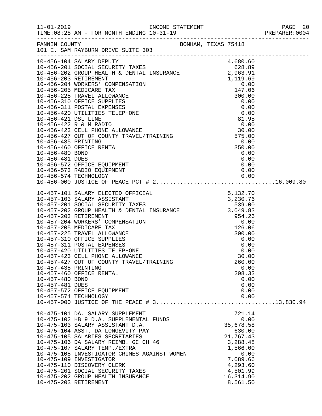| $11 - 01 - 2019$                                          | TIME: 08:28 AM - FOR MONTH ENDING 10-31-19                                                                                                                                                                                                                                                                                                                                                                                                         |                     |                                                                                                                                                  |  |
|-----------------------------------------------------------|----------------------------------------------------------------------------------------------------------------------------------------------------------------------------------------------------------------------------------------------------------------------------------------------------------------------------------------------------------------------------------------------------------------------------------------------------|---------------------|--------------------------------------------------------------------------------------------------------------------------------------------------|--|
| FANNIN COUNTY                                             | 101 E. SAM RAYBURN DRIVE SUITE 303                                                                                                                                                                                                                                                                                                                                                                                                                 | BONHAM, TEXAS 75418 |                                                                                                                                                  |  |
|                                                           | 10-456-104 SALARY DEPUTY<br>10-456-201 SOCIAL SECURITY TAXES 628.89<br>10-456-202 GROUP HEALTH & DENTAL INSURANCE 2,963.91<br>10-456-573 RADIO EQUIPMENT                                                                                                                                                                                                                                                                                           |                     | 0.00                                                                                                                                             |  |
|                                                           |                                                                                                                                                                                                                                                                                                                                                                                                                                                    |                     |                                                                                                                                                  |  |
| 10-457-435 PRINTING<br>10-457-480 BOND<br>10-457-481 DUES | 10-457-427 OUT OF COUNTY TRAVEL/TRAINING<br>10-457-460 OFFICE RENTAL<br>10-457-572 OFFICE EQUIPMENT<br>10-457-574 TECHNOLOGY                                                                                                                                                                                                                                                                                                                       |                     | 260.00<br>0.00<br>208.33<br>0.00<br>0.00<br>0.00<br>0.00                                                                                         |  |
| 10-475-203 RETIREMENT                                     | 10-475-101 DA. SALARY SUPPLEMENT<br>10-475-102 HB 9 D.A. SUPPLEMENTAL FUNDS<br>10-475-103 SALARY ASSISTANT D.A.<br>10-475-104 ASST. DA LONGEVITY PAY<br>10-475-105 SALARIES SECRETARIES<br>10-475-106 DA SALARY REIMB. GC CH 46<br>10-475-107 SALARY TEMP./EXTRA<br>10-475-108 INVESTIGATOR CRIMES AGAINST WOMEN<br>10-475-109 INVESTIGATOR<br>10-475-110 DISCOVERY CLERK<br>10-475-201 SOCIAL SECURITY TAXES<br>10-475-202 GROUP HEALTH INSURANCE |                     | 721.14<br>0.00<br>35,678.58<br>630.00<br>21,767.43<br>3,288.48<br>1,566.00<br>0.00<br>7,089.66<br>4,293.60<br>4,501.99<br>16, 314.90<br>8,561.50 |  |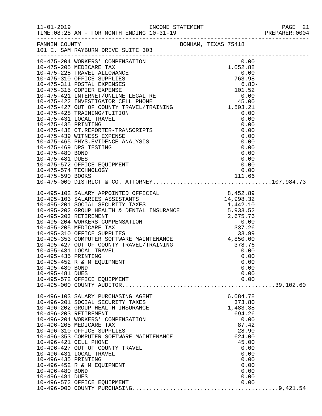|                                                           | FANNIN COUNTY<br>101 E. SAM RAYBURN DRIVE SUITE 303                                                                                                                                                                                                                                                                                                                                                                                                                           |  |                                                                                                                                               |  |
|-----------------------------------------------------------|-------------------------------------------------------------------------------------------------------------------------------------------------------------------------------------------------------------------------------------------------------------------------------------------------------------------------------------------------------------------------------------------------------------------------------------------------------------------------------|--|-----------------------------------------------------------------------------------------------------------------------------------------------|--|
|                                                           |                                                                                                                                                                                                                                                                                                                                                                                                                                                                               |  |                                                                                                                                               |  |
|                                                           |                                                                                                                                                                                                                                                                                                                                                                                                                                                                               |  |                                                                                                                                               |  |
| 10-495-480 BOND<br>10-495-481 DUES                        | 10-495-452 R & M EQUIPMENT<br>10-495-572 OFFICE EQUIPMENT                                                                                                                                                                                                                                                                                                                                                                                                                     |  | 0.00<br>0.00<br>0.00<br>0.00<br>0.00                                                                                                          |  |
| 10-496-435 PRINTING<br>10-496-480 BOND<br>10-496-481 DUES | 10-496-103 SALARY PURCHASING AGENT<br>10-496-201 SOCIAL SECURITY TAXES<br>10-496-202 GROUP HEALTH INSURANCE<br>10-496-203 RETIREMENT<br>10-496-204 WORKERS' COMPENSATION<br>10-496-205 MEDICARE TAX<br>10-496-310 OFFICE SUPPLIES<br>10-496-353 COMPUTER SOFTWARE MAINTENANCE<br>10-496-353 COMPUTER SOFTWARE MAINTENANCE<br>10-496-421 CELL PHONE<br>10-496-427 OUT OF COUNTY TRAVEL<br>10-496-431 LOCAL TRAVEL<br>10-496-452 R & M EQUIPMENT<br>10-496-572 OFFICE EQUIPMENT |  | 6,084.78<br>373.80<br>1,483.38<br>694.26<br>0.00<br>87.42<br>28.90<br>624.00<br>45.00<br>0.00<br>0.00<br>0.00<br>0.00<br>0.00<br>0.00<br>0.00 |  |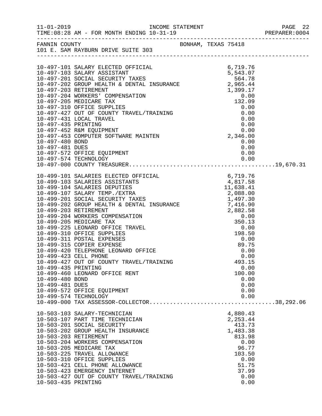|                                                                                    |                                                                                                                                                                                                                                                                                                                                                                                                        |                                                                                                                           | PAGE 22 |
|------------------------------------------------------------------------------------|--------------------------------------------------------------------------------------------------------------------------------------------------------------------------------------------------------------------------------------------------------------------------------------------------------------------------------------------------------------------------------------------------------|---------------------------------------------------------------------------------------------------------------------------|---------|
|                                                                                    | FANNIN COUNTY<br>101 E. SAM RAYBURN DRIVE SUITE 303                                                                                                                                                                                                                                                                                                                                                    |                                                                                                                           |         |
|                                                                                    | 10-497-480 BOND<br>10-497-481 DUES<br>10-497-572 OFFICE EQUIPMENT<br>10-497-574 TECHNOLOGY                                                                                                                                                                                                                                                                                                             | 0.00<br>0.00<br>0.00                                                                                                      |         |
|                                                                                    |                                                                                                                                                                                                                                                                                                                                                                                                        |                                                                                                                           |         |
| 10-499-423 CELL PHONE<br>10-499-435 PRINTING<br>10-499-480 BOND<br>10-499-481 DUES | 10-499-427 OUT OF COUNTY TRAVEL/TRAINING<br>10-499-460 LEONARD OFFICE RENT                                                                                                                                                                                                                                                                                                                             | 0.00<br>0.00<br>493.15<br>0.00<br>100.00<br>0.00<br>0.00                                                                  |         |
|                                                                                    | 10-499-572 OFFICE EQUIPMENT<br>10-499-574 TECHNOLOGY                                                                                                                                                                                                                                                                                                                                                   | 0.00<br>0.00                                                                                                              |         |
| 10-503-435 PRINTING                                                                | 10-503-103 SALARY-TECHNICIAN<br>10-503-107 PART TIME TECHNICIAN<br>10-503-201 SOCIAL SECURITY<br>10-503-202 GROUP HEALTH INSURANCE<br>10-503-203 RETIREMENT<br>10-503-204 WORKERS COMPENSATION<br>10-503-205 MEDICARE TAX<br>10-503-225 TRAVEL ALLOWANCE<br>10-503-310 OFFICE SUPPLIES<br>10-503-421 CELL PHONE ALLOWANCE<br>10-503-423 EMERGENCY INTERNET<br>10-503-427 OUT OF COUNTY TRAVEL/TRAINING | 4,880.43<br>2,253.44<br>413.73<br>1,483.38<br>813.98<br>0.00<br>96.77<br>103.50<br>0.00<br>51.75<br>37.99<br>0.00<br>0.00 |         |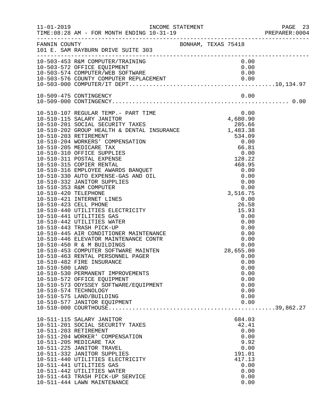|                       |                                                                                                                                                                                                                                          |  |           |              | PAGE 23<br>PREPARER:0004<br>PAGE 23 |
|-----------------------|------------------------------------------------------------------------------------------------------------------------------------------------------------------------------------------------------------------------------------------|--|-----------|--------------|-------------------------------------|
|                       | FANNIN COUNTY<br>101 E. SAM RAYBURN DRIVE SUITE 303                                                                                                                                                                                      |  |           |              |                                     |
|                       |                                                                                                                                                                                                                                          |  |           |              |                                     |
|                       |                                                                                                                                                                                                                                          |  |           |              |                                     |
|                       |                                                                                                                                                                                                                                          |  |           |              |                                     |
|                       | 10-503-453 R&M COMPUTER/TRAINING<br>10-503-572 OFFICE EQUIPMENT 0.00<br>10-503-574 COMPUTER/WEB SOFTWARE 0.00<br>10-503-576 COUNTY COMPUTER REPLACEMENT 0.00<br>10-503-576 COUNTY COMPUTER REPLACEMENT 0.00<br>10-503-000 COMPUTER/IT DE |  |           |              |                                     |
|                       |                                                                                                                                                                                                                                          |  |           |              |                                     |
|                       |                                                                                                                                                                                                                                          |  |           |              |                                     |
|                       |                                                                                                                                                                                                                                          |  |           |              |                                     |
|                       |                                                                                                                                                                                                                                          |  |           |              |                                     |
|                       |                                                                                                                                                                                                                                          |  |           |              |                                     |
|                       |                                                                                                                                                                                                                                          |  |           |              |                                     |
|                       |                                                                                                                                                                                                                                          |  |           |              |                                     |
|                       |                                                                                                                                                                                                                                          |  |           |              |                                     |
|                       |                                                                                                                                                                                                                                          |  |           |              |                                     |
|                       |                                                                                                                                                                                                                                          |  |           |              |                                     |
|                       |                                                                                                                                                                                                                                          |  |           |              |                                     |
|                       |                                                                                                                                                                                                                                          |  |           |              |                                     |
|                       |                                                                                                                                                                                                                                          |  |           |              |                                     |
|                       |                                                                                                                                                                                                                                          |  |           |              |                                     |
|                       |                                                                                                                                                                                                                                          |  |           |              |                                     |
|                       |                                                                                                                                                                                                                                          |  |           |              |                                     |
|                       |                                                                                                                                                                                                                                          |  |           |              |                                     |
|                       |                                                                                                                                                                                                                                          |  |           |              |                                     |
|                       |                                                                                                                                                                                                                                          |  |           |              |                                     |
|                       |                                                                                                                                                                                                                                          |  |           |              |                                     |
|                       |                                                                                                                                                                                                                                          |  |           |              |                                     |
|                       |                                                                                                                                                                                                                                          |  |           |              |                                     |
|                       |                                                                                                                                                                                                                                          |  |           |              |                                     |
|                       | 10-510-450 R & M BUILDINGS<br>10-510-453 COMPUTER SOFTWARE MAINTEN<br>10-510-463 RENTAL PERSONNEL PAGER                                                                                                                                  |  | 28,655.00 |              |                                     |
|                       |                                                                                                                                                                                                                                          |  |           | 0.00         |                                     |
|                       | 10-510-482 FIRE INSURANCE                                                                                                                                                                                                                |  |           | 0.00         |                                     |
| 10-510-500 LAND       | 10-510-530 PERMANENT IMPROVEMENTS                                                                                                                                                                                                        |  |           | 0.00<br>0.00 |                                     |
|                       | 10-510-572 OFFICE EQUIPMENT                                                                                                                                                                                                              |  |           | 0.00         |                                     |
|                       | 10-510-573 ODYSSEY SOFTWARE/EQUIPMENT                                                                                                                                                                                                    |  |           | 0.00         |                                     |
|                       | 10-510-574 TECHNOLOGY                                                                                                                                                                                                                    |  |           | 0.00         |                                     |
|                       | 10-510-575 LAND/BUILDING                                                                                                                                                                                                                 |  |           | 0.00         |                                     |
|                       | 10-510-577 JANITOR EQUIPMENT                                                                                                                                                                                                             |  |           | 0.00         |                                     |
|                       |                                                                                                                                                                                                                                          |  |           |              |                                     |
|                       | 10-511-115 SALARY JANITOR                                                                                                                                                                                                                |  | 684.03    |              |                                     |
|                       | 10-511-201 SOCIAL SECURITY TAXES                                                                                                                                                                                                         |  | 42.41     |              |                                     |
| 10-511-203 RETIREMENT |                                                                                                                                                                                                                                          |  |           | 0.00         |                                     |
|                       | 10-511-204 WORKER' COMPENSATION<br>10-511-205 MEDICARE TAX                                                                                                                                                                               |  |           | 0.00<br>9.92 |                                     |
|                       | 10-511-225 JANITOR TRAVEL                                                                                                                                                                                                                |  |           | 0.00         |                                     |
|                       | 10-511-332 JANITOR SUPPLIES                                                                                                                                                                                                              |  | 191.01    |              |                                     |
|                       | 10-511-440 UTILITIES ELECTRICITY                                                                                                                                                                                                         |  | 417.13    |              |                                     |
|                       | 10-511-441 UTILITIES GAS                                                                                                                                                                                                                 |  |           | 0.00         |                                     |
|                       | 10-511-442 UTILITIES WATER                                                                                                                                                                                                               |  |           | 0.00         |                                     |
|                       | 10-511-443 TRASH PICK-UP SERVICE                                                                                                                                                                                                         |  |           | 0.00         |                                     |
|                       | 10-511-444 LAWN MAINTENANCE                                                                                                                                                                                                              |  |           | 0.00         |                                     |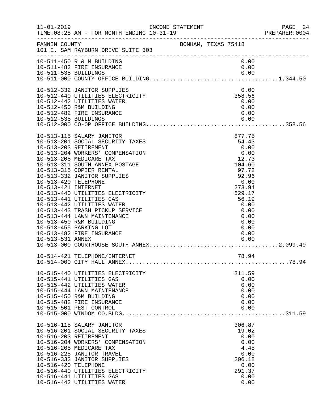| $11 - 01 - 2019$                                                | INCOME STATEMENT<br>TIME: 08:28 AM - FOR MONTH ENDING 10-31-19                                                                                                                                                                                                                                                                                                                                                                                                                                       |                     |  |                                                                                                                                                                   | PAGE 24<br>PREPARER:0004 |
|-----------------------------------------------------------------|------------------------------------------------------------------------------------------------------------------------------------------------------------------------------------------------------------------------------------------------------------------------------------------------------------------------------------------------------------------------------------------------------------------------------------------------------------------------------------------------------|---------------------|--|-------------------------------------------------------------------------------------------------------------------------------------------------------------------|--------------------------|
| FANNIN COUNTY                                                   | 101 E. SAM RAYBURN DRIVE SUITE 303                                                                                                                                                                                                                                                                                                                                                                                                                                                                   | BONHAM, TEXAS 75418 |  |                                                                                                                                                                   |                          |
|                                                                 | 10-511-450 R & M BUILDING<br>10-511-482 FIRE INSURANCE                                                                                                                                                                                                                                                                                                                                                                                                                                               |                     |  | 0.00<br>0.00                                                                                                                                                      |                          |
| 10-512-535 BUILDINGS                                            | 10-512-332 JANITOR SUPPLIES<br>10-512-440 UTILITIES ELECTRICITY<br>10-512-442 UTILITIES WATER<br>10-512-450 R&M BUILDING<br>10-512-482 FIRE INSURANCE                                                                                                                                                                                                                                                                                                                                                |                     |  | 0.00<br>358.56<br>0.00<br>0.00<br>0.00<br>0.00                                                                                                                    |                          |
| 10-513-420 TELEPHONE<br>10-513-421 INTERNET<br>10-513-531 ANNEX | 10-513-115 SALARY JANITOR<br>10-513-201 SOCIAL SECURITY TAXES<br>10-513-203 RETIREMENT<br>10-513-204 WORKERS' COMPENSATION<br>10-513-205 MEDICARE TAX<br>10-513-311 SOUTH ANNEX POSTAGE<br>10-513-315 COPIER RENTAL<br>10-513-332 JANITOR SUPPLIES<br>10-513-440 UTILITIES ELECTRICITY<br>10-513-441 UTILITIES GAS<br>10-513-442 UTILITIES WATER<br>10-513-443 TRASH PICKUP SERVICE<br>10-513-444 LAWN MAINTENANCE<br>10-513-450 R&M BUILDING<br>10-513-455 PARKING LOT<br>10-513-482 FIRE INSURANCE |                     |  | 877.75<br>54.43<br>0.00<br>0.00<br>12.73<br>104.60<br>97.72<br>92.96<br>0.00<br>273.94<br>529.17<br>56.19<br>0.00<br>0.00<br>0.00<br>0.00<br>0.00<br>0.00<br>0.00 |                          |
|                                                                 | 10-514-421 TELEPHONE/INTERNET                                                                                                                                                                                                                                                                                                                                                                                                                                                                        |                     |  | 78.94                                                                                                                                                             |                          |
|                                                                 | 10-515-440 UTILITIES ELECTRICITY<br>10-515-441 UTILITIES GAS<br>10-515-442 UTILITIES WATER<br>10-515-444 LAWN MAINTENANCE<br>10-515-450 R&M BUILDING<br>10-515-482 FIRE INSURANCE<br>10-515-501 PEST CONTROL                                                                                                                                                                                                                                                                                         |                     |  | 311.59<br>0.00<br>0.00<br>0.00<br>0.00<br>0.00<br>0.00                                                                                                            |                          |
| 10-516-420 TELEPHONE                                            | 10-516-115 SALARY JANITOR<br>10-516-201 SOCIAL SECURITY TAXES<br>10-516-203 RETIREMENT<br>10-516-204 WORKERS' COMPENSATION<br>10-516-205 MEDICARE TAX<br>10-516-225 JANITOR TRAVEL<br>10-516-332 JANITOR SUPPLIES<br>10-516-440 UTILITIES ELECTRICITY<br>10-516-441 UTILITIES GAS<br>10-516-442 UTILITIES WATER                                                                                                                                                                                      |                     |  | 306.87<br>19.02<br>0.00<br>0.00<br>4.45<br>0.00<br>206.18<br>0.00<br>291.37<br>0.00<br>0.00                                                                       |                          |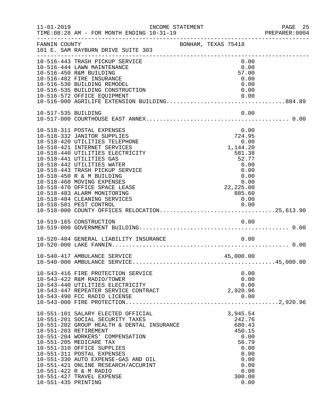| $11 - 01 - 2019$                             |                                                                                                                                                                                                                                                                                                                                                                                                                         | INCOME STATEMENT    |                                                                                                                                           | PAGE 25<br>PREPARER:0004 |
|----------------------------------------------|-------------------------------------------------------------------------------------------------------------------------------------------------------------------------------------------------------------------------------------------------------------------------------------------------------------------------------------------------------------------------------------------------------------------------|---------------------|-------------------------------------------------------------------------------------------------------------------------------------------|--------------------------|
| FANNIN COUNTY                                | 101 E. SAM RAYBURN DRIVE SUITE 303                                                                                                                                                                                                                                                                                                                                                                                      | BONHAM, TEXAS 75418 |                                                                                                                                           |                          |
|                                              | 10-516-443 TRASH PICKUP SERVICE<br>10-516-444 LAWN MAINTENANCE<br>10-516-450 R&M BUILDING<br>10-516-482 FIRE INSURANCE<br>10-516-530 BUILDING REMODEL<br>10-516-535 BUILDING CONSTRUCTION<br>10-516-572 OFFICE EQUIPMENT                                                                                                                                                                                                |                     | 0.00<br>0.00<br>57.00<br>0.00<br>0.00<br>0.00<br>0.00                                                                                     |                          |
| 10-517-535 BUILDING                          |                                                                                                                                                                                                                                                                                                                                                                                                                         |                     | 0.00                                                                                                                                      |                          |
|                                              | 10-518-311 POSTAL EXPENSES<br>10-518-332 JANITOR SUPPLIES<br>10-518-420 UTILITIES TELEPHONE<br>10-518-421 INTERNET SERVICES<br>10-518-440 UTILITIES ELECTRICITY<br>10-518-441 UTILITIES GAS<br>10-518-442 UTILITIES WATER<br>10-518-443 TRASH PICKUP SERVICE<br>10-518-450 R & M BUILDING<br>10-518-460 MOVING EXPENSES<br>10-518-470 OFFICE SPACE LEASE<br>10-518-483 ALARM MONITORING<br>10-518-484 CLEANING SERVICES |                     | 0.00<br>724.95<br>0.00<br>1,144.20<br>581.38<br>52.77<br>0.00<br>0.00<br>0.00<br>$0.00$<br>0.00<br>22,225.00<br>0.05 60<br>885.60<br>0.00 |                          |
|                                              | 10-519-165 CONSTRUCTION                                                                                                                                                                                                                                                                                                                                                                                                 |                     | 0.00                                                                                                                                      |                          |
|                                              |                                                                                                                                                                                                                                                                                                                                                                                                                         |                     |                                                                                                                                           |                          |
|                                              | 10-540-417 AMBULANCE SERVICE                                                                                                                                                                                                                                                                                                                                                                                            |                     | 45,000.00                                                                                                                                 |                          |
|                                              | 10-543-416 FIRE PROTECTION SERVICE<br>10-543-422 R&M RADIO/TOWER<br>10-543-440 UTILITIES ELECTRICITY<br>10-543-447 REPEATER SERVICE CONTRACT<br>10-543-490 FCC RADIO LICENSE                                                                                                                                                                                                                                            |                     | 0.00<br>0.00<br>0.00<br>2,920.96<br>0.00                                                                                                  |                          |
| 10-551-203 RETIREMENT<br>10-551-435 PRINTING | 10-551-101 SALARY ELECTED OFFICIAL<br>10-551-201 SOCIAL SECURITY TAXES<br>10-551-202 GROUP HEALTH & DENTAL INSURANCE<br>10-551-204 WORKERS' COMPENSATION<br>10-551-205 MEDICARE TAX<br>10-551-310 OFFICE SUPPLIES<br>10-551-311 POSTAL EXPENSES<br>10-551-330 AUTO EXPENSE-GAS AND OIL<br>10-551-421 ONLINE RESEARCH/ACCURINT<br>10-551-422 R & M RADIO<br>10-551-427 TRAVEL EXPENSE                                    |                     | 3,945.54<br>242.76<br>680.43<br>450.15<br>0.00<br>56.79<br>0.00<br>0.00<br>0.00<br>0.00<br>0.00<br>300.00<br>0.00                         |                          |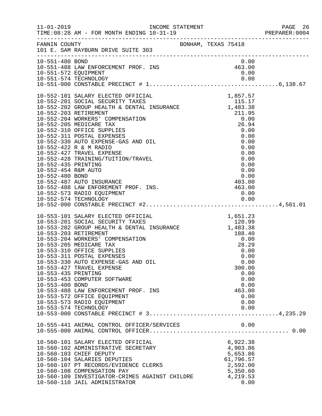|                                        |                                                                                                                                                                                                                                                                                                                                                                                                                                                                                                                                                                     |        |                                                                                                   | PAGE 26<br>PREPARER:0004 |
|----------------------------------------|---------------------------------------------------------------------------------------------------------------------------------------------------------------------------------------------------------------------------------------------------------------------------------------------------------------------------------------------------------------------------------------------------------------------------------------------------------------------------------------------------------------------------------------------------------------------|--------|---------------------------------------------------------------------------------------------------|--------------------------|
|                                        | FANNIN COUNTY BONHAM, TEXAS 75418<br>101 E. SAM RAYBURN DRIVE SUITE 303                                                                                                                                                                                                                                                                                                                                                                                                                                                                                             |        |                                                                                                   |                          |
| 10-551-480 BOND                        | 10-551-488 LAW ENFORCEMENT PROF. INS<br>10-551-572 EQUIPMENT<br>10-551-572 EQUIPMENT                                                                                                                                                                                                                                                                                                                                                                                                                                                                                | 463.00 | 0.00<br>0.00                                                                                      |                          |
|                                        | 10-552-101 SALARY ELECTED OFFICIAL<br>10-552-201 SOCIAL SECURITY TAXES<br>10-552-202 GROUP HEALTH & DENTAL INSURANCE<br>10-552-203 RETIREMENT<br>10-552-203 RETIREMENT<br>10-552-204 WORKERS' COMPENSATION<br>10-552-205 MEDICARE TAX<br>10-<br>10-552-427 TRAVEL EXPENSE<br>10-552-428 TRAINING/TUITION/TRAVEL<br>10-552-435 PRINTING<br>10-552-434 R&M AUTO<br>10-552-480 BOND<br>10-552-487 AUTO INSURANCE<br>10-552-488 LAW ENFOREMENT PROF. INS.<br>10-552-573 RADIO EQUIPMENT                                                                                 |        | 0.00<br>0.00<br>0.00<br>0.00<br>0.00<br>403.00<br>463.00<br>0.00                                  |                          |
| 10-553-435 PRINTING<br>10-553-480 BOND | 10-553-101 SALARY ELECTED OFFICIAL<br>10-553-201 SOCIAL SECURITY TAXES<br>10-553-202 GROUP HEALTH & DENTAL INSURANCE<br>10-553-203 RETIREMENT<br>10-553-204 WORKERS' COMPENSATION<br>10-553-204 WORKERS' COMPENSATION<br>10-553-205 MEDICA<br>10-553-205 MEDICARE TAX<br>10-553-310 OFFICE SUPPLIES<br>10-553-311 POSTAL EXPENSES<br>10-553-330 AUTO EXPENSE-GAS AND OIL<br>10-553-427 TRAVEL EXPENSE<br>10-553-453 COMPUTER SOFTWARE<br>10-553-488 LAW ENFORCEMENT PROF. INS<br>10-553-572 OFFICE EQUIPMENT<br>10-553-573 RADIO EQUIPMENT<br>10-553-574 TECHNOLOGY |        | 28.29<br>0.00<br>0.00<br>0.00<br>300.00<br>0.00<br>0.00<br>0.00<br>463.00<br>0.00<br>0.00<br>0.00 |                          |
|                                        | 10-560-101 SALARY ELECTED OFFICIAL<br>10-560-102 ADMINISTRATIVE SECRETARY<br>10-560-103 CHIEF DEPUTY<br>10-560-104 SALARIES DEPUTIES<br>10-560-107 PT RECORDS/EVIDENCE CLERKS<br>10-560-108 COMPENSATION PAY<br>10-560-109 INVESTIGATOR-CRIMES AGAINST CHILDRE<br>10-560-110 JAIL ADMINISTRATOR                                                                                                                                                                                                                                                                     |        | 6,922.38<br>4,903.86<br>5,653.86<br>61,796.57<br>2,592.00<br>5,350.60<br>4,219.53<br>0.00         |                          |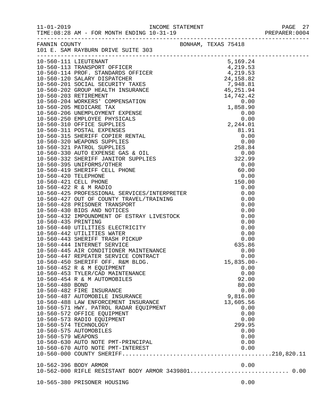|                    | FANNIN COUNTY<br>101 E. SAM RAYBURN DRIVE SUITE 303 |               |  |
|--------------------|-----------------------------------------------------|---------------|--|
|                    |                                                     |               |  |
|                    |                                                     |               |  |
|                    |                                                     |               |  |
|                    |                                                     |               |  |
|                    |                                                     |               |  |
|                    |                                                     |               |  |
|                    |                                                     |               |  |
|                    |                                                     |               |  |
|                    |                                                     |               |  |
|                    |                                                     |               |  |
|                    |                                                     |               |  |
|                    |                                                     |               |  |
|                    |                                                     |               |  |
|                    |                                                     |               |  |
|                    |                                                     |               |  |
|                    |                                                     |               |  |
|                    |                                                     |               |  |
|                    |                                                     |               |  |
|                    |                                                     |               |  |
|                    |                                                     |               |  |
|                    |                                                     |               |  |
|                    |                                                     |               |  |
|                    |                                                     |               |  |
|                    |                                                     |               |  |
|                    |                                                     |               |  |
|                    |                                                     |               |  |
|                    |                                                     |               |  |
|                    |                                                     |               |  |
|                    |                                                     |               |  |
|                    |                                                     |               |  |
|                    |                                                     |               |  |
|                    |                                                     |               |  |
|                    |                                                     |               |  |
|                    | 10-560-450 SHERIFF OFF. R&M BLDG.                   |               |  |
|                    | 10-560-452 R & M EQUIPMENT                          | $15,835.00 -$ |  |
|                    | 10-560-453 TYLER/CAD MAINTENANCE                    | 0.00<br>0.00  |  |
|                    | 10-560-454 R & M AUTOMOBILES                        | 92.00         |  |
| 10-560-480 BOND    |                                                     | 80.00         |  |
|                    | 10-560-482 FIRE INSURANCE                           | 0.00          |  |
|                    | 10-560-487 AUTOMOBILE INSURANCE                     | 9,816.00      |  |
|                    | 10-560-488 LAW ENFORCEMENT INSURANCE                | 13,605.56     |  |
|                    | 10-560-571 HWY. PATROL RADAR EQUIPMENT              | 0.00          |  |
|                    | 10-560-572 OFFICE EQUIPMENT                         | 0.00          |  |
|                    | 10-560-573 RADIO EQUIPMENT                          | 0.00          |  |
|                    | 10-560-574 TECHNOLOGY                               | 299.95        |  |
|                    | 10-560-575 AUTOMOBILES                              | 0.00          |  |
| 10-560-579 WEAPONS |                                                     | 0.00          |  |
|                    | 10-560-630 AUTO NOTE PMT-PRINCIPAL                  | 0.00          |  |
|                    |                                                     |               |  |
|                    |                                                     |               |  |
|                    |                                                     |               |  |
|                    |                                                     |               |  |
|                    |                                                     |               |  |
|                    | 10-565-380 PRISONER HOUSING                         | 0.00          |  |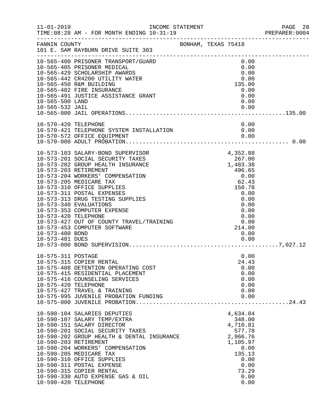|                                                            | INCOME STATEMENT                                                                                                                                                                                                                                                                                                                                                                                                                        |  |                                                                                                                                               | PREPARER: 0004 |
|------------------------------------------------------------|-----------------------------------------------------------------------------------------------------------------------------------------------------------------------------------------------------------------------------------------------------------------------------------------------------------------------------------------------------------------------------------------------------------------------------------------|--|-----------------------------------------------------------------------------------------------------------------------------------------------|----------------|
| FANNIN COUNTY                                              | BONHAM, TEXAS 75418<br>101 E. SAM RAYBURN DRIVE SUITE 303                                                                                                                                                                                                                                                                                                                                                                               |  |                                                                                                                                               |                |
| 10-565-500 LAND<br>10-565-532 JAIL                         | 10-565-400 PRISONER TRANSPORT/GUARD<br>10-565-405 PRISONER MEDICAL<br>10-565-429 SCHOLARSHIP AWARDS<br>10-565-442 CR4200 UTILITY WATER<br>10-565-450 R&M BUILDING<br>10-565-482 FIRE INSURANCE<br>10-565-491 JUSTICE ASSISTANCE GRANT                                                                                                                                                                                                   |  | 0.00<br>0.00<br>0.00<br>0.00<br>135.00<br>0.00<br>0.00<br>0.00<br>0.00                                                                        |                |
| 10-570-420 TELEPHONE                                       | 10-570-421 TELEPHONE SYSTEM INSTALLATION<br>10-570-572 OFFICE EQUIPMENT<br>10-570-572 OFFICE EQUIPMENT                                                                                                                                                                                                                                                                                                                                  |  | 0.00<br>0.00<br>0.00                                                                                                                          |                |
| 10-573-420 TELEPHONE<br>10-573-480 BOND<br>10-573-481 DUES | 10-573-103 SALARY-BOND SUPERVISOR<br>10-573-201 SOCIAL SECURITY TAXES<br>10-573-202 GROUP HEALTH INSURANCE<br>10-573-203 RETIREMENT<br>10-573-204 WORKERS' COMPENSATION<br>10-573-205 MEDICARE TAX<br>10-573-310 OFFICE SUPPLIES<br>10-573-311 POSTAL EXPENSES<br>10-573-313 DRUG TESTING SUPPLIES<br>10-573-340 EVALUATIONS<br>10-573-353 COMPUTER EXPENSE<br>10-573-427 OUT OF COUNTY TRAVEL/TRAINING<br>10-573-453 COMPUTER SOFTWARE |  | 4,352.88<br>267.00<br>1,483.38<br>496.65<br>0.00<br>62.43<br>150.78<br>0.00<br>0.00<br>0.00<br>0.00<br>0.00<br>0.00<br>214.00<br>0.00<br>0.00 |                |
| 10-575-311 POSTAGE<br>10-575-420 TELEPHONE                 | 10-575-315 COPIER RENTAL<br>10-575-408 DETENTION OPERATING COST<br>10-575-415 RESIDENTIAL PLACEMENT<br>10-575-416 COUNSELING SERVICES<br>10-575-427 TRAVEL & TRAINING<br>10-575-995 JUVENILE PROBATION FUNDING                                                                                                                                                                                                                          |  | 0.00<br>24.43<br>0.00<br>0.00<br>0.00<br>0.00<br>0.00<br>0.00                                                                                 |                |
| 10-590-420 TELEPHONE                                       | 10-590-104 SALARIES DEPUTIES<br>10-590-107 SALARY TEMP/EXTRA<br>10-590-151 SALARY DIRECTOR<br>10-590-201 SOCIAL SECURITY TAXES<br>10-590-202 GROUP HEALTH & DENTAL INSURANCE<br>10-590-203 RETIREMENT<br>10-590-204 WORKERS' COMPENSATION<br>10-590-205 MEDICARE TAX<br>10-590-310 OFFICE SUPPLIES<br>10-590-311 POSTAL EXPENSE<br>10-590-315 COPIER RENTAL<br>10-590-330 AUTO EXPENSE GAS & OIL                                        |  | 4,634.04<br>348.00<br>4,710.81<br>577.78<br>2,966.76<br>1,105.97<br>0.00<br>135.13<br>0.00<br>0.00<br>73.29<br>0.00<br>0.00                   |                |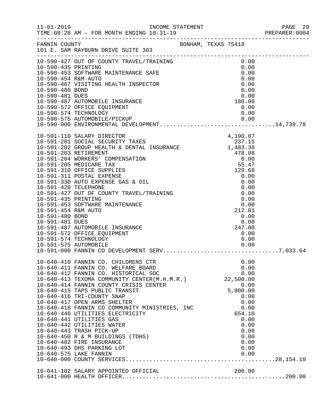|                 | 10-590-427 OUT OF COUNTY TRAVEL/TRAINING<br>10-590-435 PRINTING<br>10-590-453 SOFTWARE MAINTENANCE SAFE<br>10-590-454 R&M AUTO<br>10-590-467 VISITING HEALTH INSPECTOR<br>10-590-480 BOND<br>10-590-480 BOND<br>10-590-481 DUES                            |                                                                 |                        |  |
|-----------------|------------------------------------------------------------------------------------------------------------------------------------------------------------------------------------------------------------------------------------------------------------|-----------------------------------------------------------------|------------------------|--|
| 10-590-481 DUES | 10-590-487 AUTOMOBILE INSURANCE                                                                                                                                                                                                                            |                                                                 | 0.00<br>188.00         |  |
|                 | 10-590-572 OFFICE EQUIPMENT<br>10-590-574 TECHNOLOGY<br>10-590-575 AUTOMOBILE/PICKUP 0.00<br>10-590-000 ENVIRONMENTAL DEVELOPMENT14,739.78                                                                                                                 |                                                                 | 0.00                   |  |
|                 |                                                                                                                                                                                                                                                            |                                                                 |                        |  |
|                 |                                                                                                                                                                                                                                                            |                                                                 |                        |  |
|                 |                                                                                                                                                                                                                                                            |                                                                 |                        |  |
|                 |                                                                                                                                                                                                                                                            |                                                                 |                        |  |
|                 |                                                                                                                                                                                                                                                            |                                                                 |                        |  |
| 10-591-480 BOND |                                                                                                                                                                                                                                                            |                                                                 |                        |  |
| 10-591-481 DUES | 10-591-487 AUTOMOBILE INSURANCE<br>10-591-572 OFFICE EQUIPMENT<br>10-591-574 TECHNOLOGY                                                                                                                                                                    | $\begin{array}{r} -22.31 \\ 0.00 \\ 0.00 \\ 247.00 \end{array}$ | 0.00<br>0.00           |  |
|                 | MENT<br>The contract of the contract of the contract of the contract of the contract of the contract of the contract of the contract of the contract of the contract of the contract of the contract of the contract of the contr<br>10-591-575 AUTOMOBILE |                                                                 | 0.00                   |  |
|                 | 10-640-410 FANNIN CO. CHILDRENS CTR<br>10-640-411 FANNIN CO. WELFARE BOARD<br>10-640-412 FANNIN CO. HISTORICAL SOC                                                                                                                                         |                                                                 | 0.00<br>0.00<br>0.00   |  |
|                 | 10-640-412 FANNIN CU. HISIURICAL SUC<br>10-640-413 TEXOMA COMMUNITY CENTER(M.H.M.R.) 22,500.00<br>10-640-414 FANNIN COUNTY CRISIS CENTER<br>10-640-415 TAPS PUBLIC TRANSIT                                                                                 | $0.000, 00$<br>5,000.00                                         | 0.00                   |  |
|                 | 10-640-416 TRI-COUNTY SNAP<br>10-640-418 FANNIN CO COMMUNITY MINISTRIES, INC<br>10-640-440 UTILITIES ELECTRICITY                                                                                                                                           |                                                                 | 0.00<br>0.00<br>0.00   |  |
|                 | 10-640-441 UTILITIES GAS<br>10-640-442 UTILITIES WATER                                                                                                                                                                                                     |                                                                 | 654.10<br>0.00<br>0.00 |  |
|                 | 10-640-443 TRASH PICK-UP<br>10-640-450 R & M BUILDINGS (TDHS)<br>10-640-482 FIRE INSURANCE                                                                                                                                                                 |                                                                 | 0.00<br>0.00<br>0.00   |  |
|                 | 10-640-493 DHS PARKING LOT                                                                                                                                                                                                                                 |                                                                 | 0.00                   |  |
|                 | 10-641-102 SALARY APPOINTED OFFICIAL 200.00                                                                                                                                                                                                                |                                                                 |                        |  |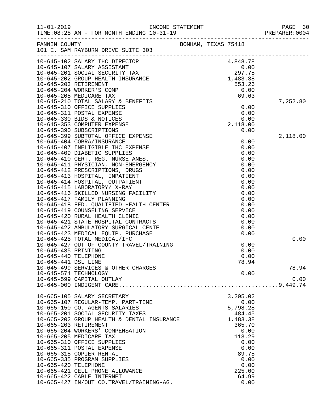| $11 - 01 - 2019$                            | TIME: 08:28 AM - FOR MONTH ENDING 10-31-19                                                                                                                                                                                      | INCOME STATEMENT |                     |                                                                    | PAGE 30<br>PREPARER: 0004 |
|---------------------------------------------|---------------------------------------------------------------------------------------------------------------------------------------------------------------------------------------------------------------------------------|------------------|---------------------|--------------------------------------------------------------------|---------------------------|
|                                             | FANNIN COUNTY<br>101 E. SAM RAYBURN DRIVE SUITE 303                                                                                                                                                                             |                  | BONHAM, TEXAS 75418 |                                                                    |                           |
|                                             | ---------------<br>10-645-102 SALARY IHC DIRECTOR<br>10-645-107 SALARY ASSISTANT<br>10-645-201 SOCIAL SECURITY TAX<br>10-645-202 GROUP HEALTH INSURANCE                                                                         |                  |                     | 4,848.78                                                           |                           |
|                                             |                                                                                                                                                                                                                                 |                  |                     | 0.00<br>297.75                                                     |                           |
|                                             |                                                                                                                                                                                                                                 |                  |                     | 1,483.38                                                           |                           |
|                                             | 10-645-203 RETIREMENT                                                                                                                                                                                                           |                  |                     | 553.26                                                             |                           |
|                                             | 10-645-204 WORKER'S COMP                                                                                                                                                                                                        |                  |                     | 0.00                                                               |                           |
|                                             | 10-645-205 MEDICARE TAX                                                                                                                                                                                                         |                  |                     | 69.63                                                              |                           |
|                                             | 10-645-210 TOTAL SALARY & BENEFITS                                                                                                                                                                                              |                  |                     |                                                                    | 7,252.80                  |
|                                             | 10-645-310 OFFICE SUPPLIES                                                                                                                                                                                                      |                  |                     | $\begin{smallmatrix}0.00\0.00\0.00\0.00\2.118.00\end{smallmatrix}$ |                           |
|                                             | 10-645-311 POSTAL EXPENSE                                                                                                                                                                                                       |                  |                     |                                                                    |                           |
|                                             | 10-645-330 BIDS & NOTICES                                                                                                                                                                                                       |                  |                     |                                                                    |                           |
|                                             | 10-645-353 COMPUTER EXPENSE                                                                                                                                                                                                     |                  |                     |                                                                    |                           |
|                                             | 10-645-390 SUBSCRIPTIONS                                                                                                                                                                                                        |                  |                     | 0.00                                                               |                           |
|                                             | 10-645-399 SUBTOTAL OFFICE EXPENSE                                                                                                                                                                                              |                  |                     |                                                                    | 2,118.00                  |
|                                             | 10-645-404 COBRA/INSURANCE                                                                                                                                                                                                      |                  |                     | 0.00                                                               |                           |
|                                             | 10-645-407 INELIGIBLE IHC EXPENSE                                                                                                                                                                                               |                  |                     | 0.00                                                               |                           |
|                                             | 10-645-409 DIABETIC SUPPLIES<br>10-645-410 CERT. REG. NURSE ANES.                                                                                                                                                               |                  |                     | 0.00                                                               |                           |
|                                             | 10-645-411 PHYSICIAN, NON-EMERGENCY                                                                                                                                                                                             |                  |                     | 0.00<br>0.00                                                       |                           |
|                                             | 10-645-412 PRESCRIPTIONS, DRUGS                                                                                                                                                                                                 |                  |                     | 0.00                                                               |                           |
|                                             | 10-645-413 HOSPITAL, INPATIENT                                                                                                                                                                                                  |                  |                     | 0.00                                                               |                           |
|                                             | 10-645-414 HOSPITAL, OUTPATIENT                                                                                                                                                                                                 |                  |                     | 0.00                                                               |                           |
|                                             | 10-645-415 LABORATORY/ X-RAY                                                                                                                                                                                                    |                  |                     | 0.00                                                               |                           |
|                                             | 10-645-416 SKILLED NURSING FACILITY                                                                                                                                                                                             |                  |                     | 0.00                                                               |                           |
|                                             | 10-645-417 FAMILY PLANNING                                                                                                                                                                                                      |                  |                     | 0.00                                                               |                           |
|                                             | 10-645-418 FED. QUALIFIED HEALTH CENTER<br>10-645-419 COUNSELING SERVICE<br>10-645-420 RURAL HEALTH CLINIC<br>10-645-421 STATE HOSPITAL CONTRACTS<br>10-645-422 AMBULATORY SURGICAL CENTE<br>10-645-423 MEDICAL EQUIP. PURCHASE |                  |                     | 0.00                                                               |                           |
|                                             |                                                                                                                                                                                                                                 |                  |                     | 0.00                                                               |                           |
|                                             |                                                                                                                                                                                                                                 |                  |                     | 0.00                                                               |                           |
|                                             |                                                                                                                                                                                                                                 |                  |                     | 0.00                                                               |                           |
|                                             |                                                                                                                                                                                                                                 |                  |                     | 0.00                                                               |                           |
|                                             |                                                                                                                                                                                                                                 |                  |                     | 0.00                                                               |                           |
|                                             | 10-645-425 TOTAL MEDICAL/IHC                                                                                                                                                                                                    |                  |                     |                                                                    | 0.00                      |
|                                             | 10-645-427 OUT OF COUNTY TRAVEL/TRAINING                                                                                                                                                                                        |                  |                     | 0.00                                                               |                           |
| 10-645-435 PRINTING<br>10-645-440 TELEPHONE |                                                                                                                                                                                                                                 |                  |                     | 0.00<br>0.00                                                       |                           |
| 10-645-441 DSL LINE                         |                                                                                                                                                                                                                                 |                  |                     |                                                                    |                           |
|                                             | 10-645-499 SERVICES & OTHER CHARGES                                                                                                                                                                                             |                  |                     | 78.94                                                              | 78.94                     |
|                                             | 10-645-574 TECHNOLOGY                                                                                                                                                                                                           |                  |                     | 0.00                                                               |                           |
|                                             | 10-645-599 CAPITAL OUTLAY                                                                                                                                                                                                       |                  |                     |                                                                    | 0.00                      |
|                                             |                                                                                                                                                                                                                                 |                  |                     |                                                                    |                           |
|                                             | 10-665-105 SALARY SECRETARY                                                                                                                                                                                                     |                  |                     | 3,205.02                                                           |                           |
|                                             | 10-665-107 REGULAR-TEMP. PART-TIME                                                                                                                                                                                              |                  |                     | 0.00                                                               |                           |
|                                             | 10-665-150 CO. AGENTS SALARIES                                                                                                                                                                                                  |                  |                     | 5,798.28                                                           |                           |
|                                             | 10-665-201 SOCIAL SECURITY TAXES                                                                                                                                                                                                |                  |                     | 484.45                                                             |                           |
|                                             | 10-665-202 GROUP HEALTH & DENTAL INSURANCE                                                                                                                                                                                      |                  |                     | 1,483.38                                                           |                           |
| 10-665-203 RETIREMENT                       |                                                                                                                                                                                                                                 |                  |                     | 365.70                                                             |                           |
|                                             | 10-665-204 WORKERS' COMPENSATION                                                                                                                                                                                                |                  |                     | 0.00                                                               |                           |
|                                             | 10-665-205 MEDICARE TAX                                                                                                                                                                                                         |                  |                     | 113.29                                                             |                           |
|                                             | 10-665-310 OFFICE SUPPLIES                                                                                                                                                                                                      |                  |                     | 0.00                                                               |                           |
|                                             | 10-665-311 POSTAL EXPENSE                                                                                                                                                                                                       |                  |                     | 0.00                                                               |                           |
|                                             | 10-665-315 COPIER RENTAL                                                                                                                                                                                                        |                  |                     | 89.75                                                              |                           |
|                                             | 10-665-335 PROGRAM SUPPLIES                                                                                                                                                                                                     |                  |                     | 0.00                                                               |                           |
| 10-665-420 TELEPHONE                        | 10-665-421 CELL PHONE ALLOWANCE                                                                                                                                                                                                 |                  |                     | 0.00<br>225.00                                                     |                           |
|                                             | 10-665-422 CABLE INTERNET                                                                                                                                                                                                       |                  |                     | 64.99                                                              |                           |
|                                             | 10-665-427 IN/OUT CO.TRAVEL/TRAINING-AG.                                                                                                                                                                                        |                  |                     | 0.00                                                               |                           |
|                                             |                                                                                                                                                                                                                                 |                  |                     |                                                                    |                           |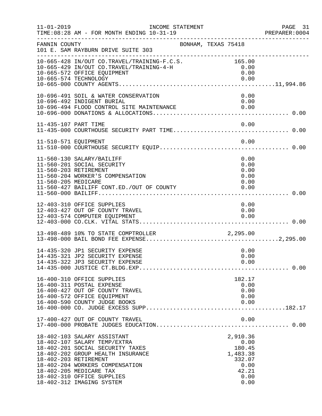| $11 - 01 - 2019$                             | INCOME STATEMENT<br>TIME: 08:28 AM - FOR MONTH ENDING 10-31-19                                                                                                                                                                                                |                                                                                   | PAGE 31<br>PREPARER:0004 |
|----------------------------------------------|---------------------------------------------------------------------------------------------------------------------------------------------------------------------------------------------------------------------------------------------------------------|-----------------------------------------------------------------------------------|--------------------------|
| FANNIN COUNTY                                | BONHAM, TEXAS 75418<br>101 E. SAM RAYBURN DRIVE SUITE 303<br>_____________________________________                                                                                                                                                            |                                                                                   |                          |
|                                              | 10-665-428 IN/OUT CO.TRAVEL/TRAINING-F.C.S. 165.00<br>10-665-429 IN/OUT CO.TRAVEL/TRAINING-4-H<br>10-665-572 OFFICE EQUIPMENT                                                                                                                                 | 0.00<br>0.00                                                                      |                          |
|                                              | 10-696-491 SOIL & WATER CONSERVATION<br>10-696-492 INDIGENT BURIAL                                                                                                                                                                                            | 0.00<br>0.00                                                                      |                          |
| 11-435-107 PART TIME                         |                                                                                                                                                                                                                                                               | 0.00                                                                              |                          |
|                                              |                                                                                                                                                                                                                                                               |                                                                                   |                          |
| 11-560-203 RETIREMENT<br>11-560-205 MEDICARE | 11-560-130 SALARY/BAILIFF<br>11-560-201 SOCIAL SECURITY<br>11-560-204 WORKER'S COMPENSATION<br>11-560-427 BAILIFF CONT.ED./OUT OF COUNTY                                                                                                                      | 0.00<br>0.00<br>0.00<br>0.00<br>0.00<br>0.00                                      |                          |
|                                              | 12-403-310 OFFICE SUPPLIES<br>12-403-427 OUT OF COUNTY TRAVEL<br>12-403-574 COMPUTER EQUIPMENT                                                                                                                                                                | 0.00<br>0.00<br>0.00                                                              |                          |
|                                              | 13-498-489 10% TO STATE COMPTROLLER 2,295.00                                                                                                                                                                                                                  |                                                                                   |                          |
|                                              | 14-435-320 JP1 SECURITY EXPENSE<br>14-435-321 JP2 SECURITY EXPENSE                                                                                                                                                                                            | 0.00<br>0.00<br>0.00                                                              |                          |
|                                              | 16-400-310 OFFICE SUPPLIES<br>16-400-311 POSTAL EXPENSE<br>16-400-427 OUT OF COUNTY TRAVEL<br>16-400-572 OFFICE EQUIPMENT<br>16-400-590 COUNTY JUDGE BOOKS                                                                                                    | 182.17<br>0.00<br>0.00<br>0.00<br>0.00                                            |                          |
|                                              | 17-400-427 OUT OF COUNTY TRAVEL                                                                                                                                                                                                                               | 0.00                                                                              |                          |
| 18-402-203 RETIREMENT                        | 18-402-103 SALARY ASSISTANT<br>18-402-107 SALARY TEMP/EXTRA<br>18-402-201 SOCIAL SECURITY TAXES<br>18-402-202 GROUP HEALTH INSURANCE<br>18-402-204 WORKERS COMPENSATION<br>18-402-205 MEDICARE TAX<br>18-402-310 OFFICE SUPPLIES<br>18-402-312 IMAGING SYSTEM | 2,910.36<br>0.00<br>180.45<br>1,483.38<br>332.07<br>0.00<br>42.21<br>0.00<br>0.00 |                          |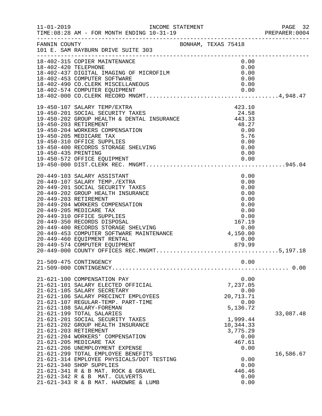|                      |                                                                                                                                                                                                                                                                                                                                                                                                                                              |                                                                                                                          | 92 PAGE<br>2004:PREPARER |
|----------------------|----------------------------------------------------------------------------------------------------------------------------------------------------------------------------------------------------------------------------------------------------------------------------------------------------------------------------------------------------------------------------------------------------------------------------------------------|--------------------------------------------------------------------------------------------------------------------------|--------------------------|
| FANNIN COUNTY        | BONHAM, TEXAS 75418<br>101 E. SAM RAYBURN DRIVE SUITE 303<br>.________________________________                                                                                                                                                                                                                                                                                                                                               |                                                                                                                          |                          |
| 18-402-420 TELEPHONE | 18-402-315 COPIER MAINTENANCE<br>18-402-437 DIGITAL IMAGING OF MICROFILM<br>18-402-453 COMPUTER SOFTWARE<br>18-402-453 COMPUTER SOFTWARE                                                                                                                                                                                                                                                                                                     | 0.00<br>0.00<br>0.00<br>0.00                                                                                             |                          |
| 19-450-435 PRINTING  | 19-450-107 SALARY TEMP/EXTRA<br>19-450-201 SOCIAL SECURITY TAXES 24.58<br>19-450-202 GROUP HEALTH & DENTAL INSURANCE 443.33<br>19-450-203 PETIPEMENT<br>19-450-203 RETIREMENT<br>19-450-204 WORKERS COMPENSATION<br>19-450-205 MEDICARE TAX<br>19-450-310 OFFICE SUPPLIES<br>19-450-400 RECORDS STORAGE SHELVING<br>19-450-572 OFFICE EQUIPMENT<br>19-450-000 FEET                                                                           | $\begin{array}{r} 40.27 \\ 0.00 \\ 5.76 \\ 2.00 \end{array}$<br>0.00<br>0.00<br>0.00                                     |                          |
|                      | 20-449-103 SALARY ASSISTANT<br>20-449-107 SALARY TEMP./EXTRA                                                                                                                                                                                                                                                                                                                                                                                 | 0.00<br>0.00                                                                                                             |                          |
|                      | 21-509-475 CONTINGENCY                                                                                                                                                                                                                                                                                                                                                                                                                       | 0.00                                                                                                                     |                          |
|                      | 21-621-100 COMPENSATION PAY<br>21-621-101 SALARY ELECTED OFFICIAL<br>21-621-105 SALARY SECRETARY<br>21-621-106 SALARY PRECINCT EMPLOYEES<br>21-621-107 REGULAR-TEMP. PART-TIME<br>21-621-108 SALARY-FOREMAN<br>21-621-199 TOTAL SALARIES<br>21-621-201 SOCIAL SECURITY TAXES<br>21-621-202 GROUP HEALTH INSURANCE<br>21-621-203 RETIREMENT<br>21-621-204 WORKERS' COMPENSATION<br>21-621-205 MEDICARE TAX<br>21-621-206 UNEMPLOYMENT EXPENSE | 0.00<br>7,237.05<br>0.00<br>20,713.71<br>0.00<br>5,136.72<br>1,999.44<br>10,344.33<br>3,775.29<br>0.00<br>467.61<br>0.00 | 33,087.48                |
|                      | 21-621-299 TOTAL EMPLOYEE BENEFITS<br>21-621-314 EMPLOYEE PHYSICALS/DOT TESTING<br>21-621-340 SHOP SUPPLIES<br>21-621-341 R & B MAT. ROCK & GRAVEL<br>21-621-342 R & B MAT. CULVERTS<br>21-621-343 R & B MAT. HARDWRE & LUMB                                                                                                                                                                                                                 | 0.00<br>0.00<br>446.46<br>0.00<br>0.00                                                                                   | 16,586.67                |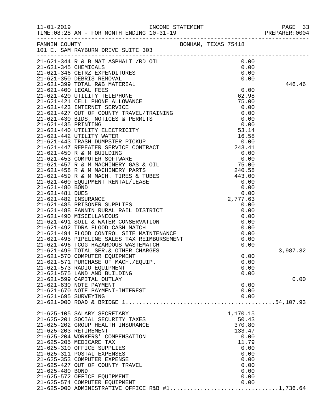|                 |                                     |  |          | PREPARER: 0004 |
|-----------------|-------------------------------------|--|----------|----------------|
|                 |                                     |  |          |                |
|                 |                                     |  |          |                |
|                 |                                     |  |          |                |
|                 |                                     |  |          |                |
|                 |                                     |  |          |                |
|                 |                                     |  |          | 446.46         |
|                 |                                     |  |          |                |
|                 |                                     |  |          |                |
|                 |                                     |  |          |                |
|                 |                                     |  |          |                |
|                 |                                     |  |          |                |
|                 |                                     |  |          |                |
|                 |                                     |  |          |                |
|                 |                                     |  |          |                |
|                 |                                     |  |          |                |
|                 |                                     |  |          |                |
|                 |                                     |  |          |                |
|                 |                                     |  |          |                |
|                 |                                     |  |          |                |
|                 |                                     |  |          |                |
|                 |                                     |  |          |                |
|                 |                                     |  |          |                |
|                 |                                     |  |          |                |
|                 |                                     |  |          |                |
|                 |                                     |  |          |                |
|                 |                                     |  |          |                |
|                 |                                     |  |          |                |
|                 |                                     |  |          |                |
|                 |                                     |  |          |                |
|                 |                                     |  |          |                |
|                 |                                     |  |          |                |
|                 |                                     |  |          |                |
|                 |                                     |  |          | 3,987.32       |
|                 | 21-621-570 COMPUTER EQUIPMENT       |  | 0.00     |                |
|                 | 21-621-571 PURCHASE OF MACH./EQUIP. |  | 0.00     |                |
|                 | 21-621-573 RADIO EQUIPMENT          |  | 0.00     |                |
|                 | 21-621-575 LAND AND BUILDING        |  | 0.00     |                |
|                 | 21-621-599 CAPITAL OUTLAY           |  |          | 0.00           |
|                 | 21-621-630 NOTE PAYMENT             |  | 0.00     |                |
|                 | 21-621-670 NOTE PAYMENT-INTEREST    |  | 0.00     |                |
|                 | 21-621-695 SURVEYING                |  | 0.00     |                |
|                 |                                     |  |          |                |
|                 | 21-625-105 SALARY SECRETARY         |  | 1,170.15 |                |
|                 | 21-625-201 SOCIAL SECURITY TAXES    |  | 50.43    |                |
|                 | 21-625-202 GROUP HEALTH INSURANCE   |  | 370.80   |                |
|                 | 21-625-203 RETIREMENT               |  | 133.47   |                |
|                 | 21-625-204 WORKERS' COMPENSATION    |  | 0.00     |                |
|                 | 21-625-205 MEDICARE TAX             |  | 11.79    |                |
|                 | 21-625-310 OFFICE SUPPLIES          |  | 0.00     |                |
|                 | 21-625-311 POSTAL EXPENSES          |  | 0.00     |                |
|                 | 21-625-353 COMPUTER EXPENSE         |  | 0.00     |                |
|                 | 21-625-427 OUT OF COUNTY TRAVEL     |  | 0.00     |                |
| 21-625-480 BOND |                                     |  | 0.00     |                |
|                 | 21-625-572 OFFICE EQUIPMENT         |  | 0.00     |                |
|                 | 21-625-574 COMPUTER EQUIPMENT       |  | 0.00     |                |
|                 |                                     |  |          |                |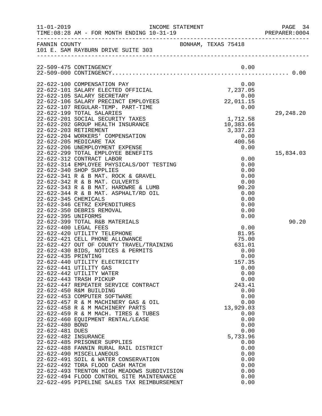|                      |                                                                                 |                                        | PREPARER: 0004 |
|----------------------|---------------------------------------------------------------------------------|----------------------------------------|----------------|
|                      | FANNIN COUNTY<br>101 E. SAM RAYBURN DRIVE SUITE 303                             | BONHAM, TEXAS 75418                    |                |
|                      |                                                                                 |                                        |                |
|                      | 22-509-475 CONTINGENCY                                                          | 0.00                                   |                |
|                      |                                                                                 |                                        |                |
|                      | 22-622-100 COMPENSATION PAY                                                     | 0.00                                   |                |
|                      | 22-622-101 SALARY ELECTED OFFICIAL<br>22-622-105 SALARY SECRETARY               |                                        |                |
|                      | 22-622-106 SALARY PRECINCT EMPLOYEES                                            | $7,237.05$<br>0.00<br>22,011.15        |                |
|                      | 22-622-107 REGULAR-TEMP. PART-TIME                                              | 0.00                                   |                |
|                      | 22-622-199 TOTAL SALARIES                                                       |                                        | 29,248.20      |
|                      | 22-622-201 SOCIAL SECURITY TAXES<br>22-622-202 GROUP HEALTH INSURANCE           | $1,712.58$<br>$10.383.66$<br>10,383.66 |                |
|                      | 22-622-203 RETIREMENT                                                           | 3,337.23                               |                |
|                      | 22-622-204 WORKERS' COMPENSATION                                                | 0.00                                   |                |
|                      | 22-622-205 MEDICARE TAX                                                         | 400.56                                 |                |
|                      | 22-622-206 UNEMPLOYMENT EXPENSE<br>22-622-299 TOTAL EMPLOYEE BENEFITS           | 0.00                                   |                |
|                      | 22-622-312 CONTRACT LABOR                                                       | 0.00                                   | 15,834.03      |
|                      | 22-622-314 EMPLOYEE PHYSICALS/DOT TESTING                                       | 0.00                                   |                |
|                      | 22-622-340 SHOP SUPPLIES                                                        | 0.00                                   |                |
|                      | 22-622-341 R & B MAT. ROCK & GRAVEL                                             | 0.00                                   |                |
|                      | 22-622-342 R & B MAT. CULVERTS<br>22-622-343 R & B MAT. HARDWRE & LUMB          | 0.00<br>90.20                          |                |
|                      | 22-622-344 R & B MAT. ASPHALT/RD OIL                                            | 0.00                                   |                |
| 22-622-345 CHEMICALS |                                                                                 | 0.00                                   |                |
|                      | 22-622-346 CETRZ EXPENDITURES                                                   | 0.00                                   |                |
| 22-622-395 UNIFORMS  | 22-622-350 DEBRIS REMOVAL                                                       | 0.00<br>0.00                           |                |
|                      | 22-622-399 TOTAL R&B MATERIALS                                                  |                                        | 90.20          |
|                      | 22-622-400 LEGAL FEES                                                           | 0.00                                   |                |
|                      | 22-622-420 UTILITY TELEPHONE                                                    | 81.95                                  |                |
|                      | 22-622-421 CELL PHONE ALLOWANCE<br>22-622-427 OUT OF COUNTY TRAVEL/TRAINING     | 75.00<br>631.01                        |                |
|                      | 22-622-430 BIDS, NOTICES & PERMITS                                              | 0.00                                   |                |
| 22-622-435 PRINTING  |                                                                                 | 0.00                                   |                |
|                      | 22-622-440 UTILITY ELECTRICITY                                                  | 157.35                                 |                |
|                      | 22-622-441 UTILITY GAS                                                          | 0.00                                   |                |
|                      | 22-622-442 UTILITY WATER<br>22-622-443 TRASH PICKUP                             | 0.00<br>0.00                           |                |
|                      | 22-622-447 REPEATER SERVICE CONTRACT                                            | 243.41                                 |                |
|                      | 22-622-450 R&M BUILDING                                                         | 0.00                                   |                |
|                      | 22-622-453 COMPUTER SOFTWARE                                                    | 0.00                                   |                |
|                      | 22-622-457 R & M MACHINERY GAS & OIL<br>22-622-458 R & M MACHINERY PARTS        | 0.00<br>13,929.03                      |                |
|                      | 22-622-459 R & M MACH. TIRES & TUBES                                            | 0.00                                   |                |
|                      | 22-622-460 EQUIPMENT RENTAL/LEASE                                               | 0.00                                   |                |
| 22-622-480 BOND      |                                                                                 | 0.00                                   |                |
| 22-622-481 DUES      |                                                                                 | 0.00                                   |                |
| 22-622-482 INSURANCE | 22-622-485 PRISONER SUPPLIES                                                    | 5,733.96<br>0.00                       |                |
|                      | 22-622-488 FANNIN RURAL RAIL DISTRICT                                           | 0.00                                   |                |
|                      | 22-622-490 MISCELLANEOUS                                                        | 0.00                                   |                |
|                      | 22-622-491 SOIL & WATER CONSERVATION                                            | 0.00                                   |                |
|                      | 22-622-492 TDRA FLOOD CASH MATCH<br>22-622-493 TRENTON HIGH MEADOWS SUBDIVISION | 0.00<br>0.00                           |                |
|                      | 22-622-494 FLOOD CONTROL SITE MAINTENANCE                                       | 0.00                                   |                |
|                      | 22-622-495 PIPELINE SALES TAX REIMBURSEMENT                                     | 0.00                                   |                |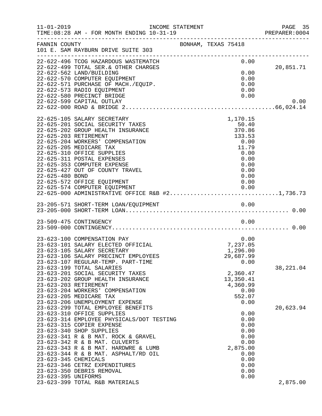| $11 - 01 - 2019$                            | INCOME STATEMENT<br>TIME: 08:28 AM - FOR MONTH ENDING 10-31-19                                                                                                                                                                                                                                                                                                                                                                                     |                                                                                                        | PAGE 35<br>PREPARER:0004 |
|---------------------------------------------|----------------------------------------------------------------------------------------------------------------------------------------------------------------------------------------------------------------------------------------------------------------------------------------------------------------------------------------------------------------------------------------------------------------------------------------------------|--------------------------------------------------------------------------------------------------------|--------------------------|
| FANNIN COUNTY                               | 101 E. SAM RAYBURN DRIVE SUITE 303                                                                                                                                                                                                                                                                                                                                                                                                                 | BONHAM, TEXAS 75418                                                                                    |                          |
|                                             | 22-622-496 TCOG HAZARDOUS WASTEMATCH<br>22-622-499 TOTAL SER.& OTHER CHARGES<br>22-622-562 LAND/BUILDING<br>22-622-570 COMPUTER EQUIPMENT<br>22-622-571 PURCHASE OF MACH./EQUIP.<br>22-622-573 RADIO EQUIPMENT<br>22-622-580 PRECINCT BRIDGE<br>22-622-599 CAPITAL OUTLAY                                                                                                                                                                          | 0.00<br>0.00<br>0.00<br>0.00<br>0.00<br>0.00                                                           | 20,851.71<br>0.00        |
| 22-625-480 BOND                             | 22-625-105 SALARY SECRETARY<br>22-625-201 SOCIAL SECURITY TAXES<br>22-625-202 GROUP HEALTH INSURANCE<br>22-625-203 RETIREMENT<br>22-625-204 WORKERS' COMPENSATION<br>22-625-205 MEDICARE TAX<br>22-625-310 OFFICE SUPPLIES<br>22-625-311 POSTAL EXPENSES<br>22-625-353 COMPUTER EXPENSE<br>22-625-427 OUT OF COUNTY TRAVEL<br>22-625-572 OFFICE EQUIPMENT<br>22-625-574 COMPUTER EQUIPMENT 0.00<br>22-625-000 ADMINISTRATIVE OFFICE R&B #21,736.73 | 1,170.15<br>50.40<br>370.86<br>133.53<br>0.00<br>11.79<br>0.00<br>0.00<br>0.00<br>0.00<br>0.00<br>0.00 |                          |
|                                             |                                                                                                                                                                                                                                                                                                                                                                                                                                                    |                                                                                                        |                          |
|                                             | 23-509-475 CONTINGENCY                                                                                                                                                                                                                                                                                                                                                                                                                             | 0.00                                                                                                   |                          |
|                                             | 23-623-100 COMPENSATION PAY<br>23-623-101 SALARY ELECTED OFFICIAL<br>23-623-105 SALARY SECRETARY<br>23-623-106 SALARY PRECINCT EMPLOYEES<br>23-623-107 REGULAR-TEMP. PART-TIME<br>23-623-199 TOTAL SALARIES                                                                                                                                                                                                                                        | 0.00<br>7,237.05<br>1,296.00<br>29,687.99<br>0.00                                                      | 38, 221.04               |
|                                             | 23-623-201 SOCIAL SECURITY TAXES<br>23-623-202 GROUP HEALTH INSURANCE<br>23-623-203 RETIREMENT<br>23-623-204 WORKERS' COMPENSATION<br>23-623-205 MEDICARE TAX<br>23-623-206 UNEMPLOYMENT EXPENSE                                                                                                                                                                                                                                                   | 2,360.47<br>13,350.41<br>4,360.99<br>0.00<br>552.07<br>0.00                                            |                          |
| 23-623-345 CHEMICALS<br>23-623-395 UNIFORMS | 23-623-299 TOTAL EMPLOYEE BENEFITS<br>23-623-310 OFFICE SUPPLIES<br>23-623-314 EMPLOYEE PHYSICALS/DOT TESTING<br>23-623-315 COPIER EXPENSE<br>23-623-340 SHOP SUPPLIES<br>23-623-341 R & B MAT. ROCK & GRAVEL<br>23-623-342 R & B MAT. CULVERTS<br>23-623-343 R & B MAT. HARDWRE & LUMB<br>23-623-344 R & B MAT. ASPHALT/RD OIL<br>23-623-346 CETRZ EXPENDITURES<br>23-623-350 DEBRIS REMOVAL<br>23-623-399 TOTAL R&B MATERIALS                    | 0.00<br>0.00<br>0.00<br>0.00<br>0.00<br>0.00<br>2,875.00<br>0.00<br>0.00<br>0.00<br>0.00<br>0.00       | 20,623.94<br>2,875.00    |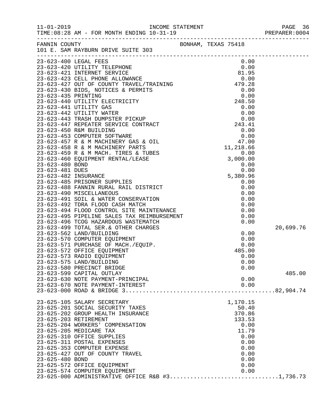|                 |                                                                                                                                                                                                                |  |          | PREPARER: 0004 |
|-----------------|----------------------------------------------------------------------------------------------------------------------------------------------------------------------------------------------------------------|--|----------|----------------|
|                 | FANNIN COUNTY<br>101 E. SAM RAYBURN DRIVE SUITE 303                                                                                                                                                            |  |          |                |
|                 |                                                                                                                                                                                                                |  |          |                |
|                 |                                                                                                                                                                                                                |  |          |                |
|                 |                                                                                                                                                                                                                |  |          |                |
|                 |                                                                                                                                                                                                                |  |          |                |
|                 |                                                                                                                                                                                                                |  |          |                |
|                 |                                                                                                                                                                                                                |  |          |                |
|                 |                                                                                                                                                                                                                |  |          |                |
|                 |                                                                                                                                                                                                                |  |          |                |
|                 |                                                                                                                                                                                                                |  |          |                |
|                 |                                                                                                                                                                                                                |  |          |                |
|                 |                                                                                                                                                                                                                |  |          |                |
|                 |                                                                                                                                                                                                                |  |          |                |
|                 |                                                                                                                                                                                                                |  |          |                |
|                 |                                                                                                                                                                                                                |  |          |                |
|                 |                                                                                                                                                                                                                |  |          |                |
|                 |                                                                                                                                                                                                                |  |          |                |
|                 |                                                                                                                                                                                                                |  |          |                |
|                 |                                                                                                                                                                                                                |  |          |                |
|                 |                                                                                                                                                                                                                |  |          |                |
|                 |                                                                                                                                                                                                                |  |          |                |
|                 |                                                                                                                                                                                                                |  |          |                |
|                 |                                                                                                                                                                                                                |  |          |                |
|                 |                                                                                                                                                                                                                |  |          |                |
|                 |                                                                                                                                                                                                                |  |          |                |
|                 |                                                                                                                                                                                                                |  |          |                |
|                 |                                                                                                                                                                                                                |  |          |                |
|                 |                                                                                                                                                                                                                |  |          |                |
|                 |                                                                                                                                                                                                                |  |          |                |
|                 | 23-623-499 TOTAL SER.& OTHER CHARGES<br>23-623-562 LAND/BUILDING<br>23-623-570 COMPUTER EQUIPMENT<br>23-623-571 PURCHASE OF MACH./EQUIP.<br>23-623-571 PURCHASE OF MACH./EQUIP.<br>23-623-572 OFFICE EQUIPMENT |  |          | 20,699.76      |
|                 |                                                                                                                                                                                                                |  | 0.00     |                |
|                 |                                                                                                                                                                                                                |  | 0.00     |                |
|                 |                                                                                                                                                                                                                |  | 0.00     |                |
|                 |                                                                                                                                                                                                                |  | 485.00   |                |
|                 |                                                                                                                                                                                                                |  | 0.00     |                |
|                 | 23-623-575 LAND/BUILDING                                                                                                                                                                                       |  | 0.00     |                |
|                 | 23-623-580 PRECINCT BRIDGE                                                                                                                                                                                     |  | 0.00     |                |
|                 | 23-623-599 CAPITAL OUTLAY                                                                                                                                                                                      |  |          | 485.00         |
|                 | 23-623-630 NOTE PAYMENT-PRINCIPAL                                                                                                                                                                              |  | 0.00     |                |
|                 | 23-623-670 NOTE PAYMENT-INTEREST                                                                                                                                                                               |  | 0.00     |                |
|                 |                                                                                                                                                                                                                |  |          |                |
|                 | 23-625-105 SALARY SECRETARY                                                                                                                                                                                    |  | 1,170.15 |                |
|                 | 23-625-201 SOCIAL SECURITY TAXES                                                                                                                                                                               |  | 50.40    |                |
|                 | 23-625-202 GROUP HEALTH INSURANCE                                                                                                                                                                              |  | 370.86   |                |
|                 | 23-625-203 RETIREMENT                                                                                                                                                                                          |  | 133.53   |                |
|                 | 23-625-204 WORKERS' COMPENSATION                                                                                                                                                                               |  | 0.00     |                |
|                 | 23-625-205 MEDICARE TAX                                                                                                                                                                                        |  | 11.79    |                |
|                 | 23-625-310 OFFICE SUPPLIES                                                                                                                                                                                     |  | 0.00     |                |
|                 | 23-625-311 POSTAL EXPENSES                                                                                                                                                                                     |  | 0.00     |                |
|                 | 23-625-353 COMPUTER EXPENSE                                                                                                                                                                                    |  | 0.00     |                |
|                 | 23-625-427 OUT OF COUNTY TRAVEL                                                                                                                                                                                |  | 0.00     |                |
| 23-625-480 BOND |                                                                                                                                                                                                                |  | 0.00     |                |
|                 | 23-625-572 OFFICE EQUIPMENT                                                                                                                                                                                    |  | 0.00     |                |
|                 | 23-625-574 COMPUTER EQUIPMENT                                                                                                                                                                                  |  | 0.00     |                |

23-625-000 ADMINISTRATIVE OFFICE R&B #3................................1,736.73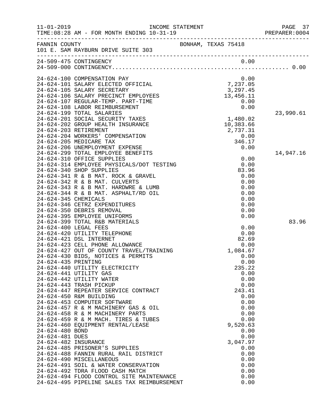| $11 - 01 - 2019$ |                                                                              |                     |           |           |              | PREPARER: 0004 | PAGE 37 |
|------------------|------------------------------------------------------------------------------|---------------------|-----------|-----------|--------------|----------------|---------|
|                  | FANNIN COUNTY<br>101 E. SAM RAYBURN DRIVE SUITE 303                          | BONHAM, TEXAS 75418 |           |           |              |                |         |
|                  |                                                                              |                     |           |           |              |                |         |
|                  | 24-509-475 CONTINGENCY                                                       |                     |           | 0.00      |              |                |         |
|                  |                                                                              |                     |           |           |              |                |         |
|                  | 24-624-100 COMPENSATION PAY                                                  |                     |           |           | 0.00         |                |         |
|                  | 24-624-101 SALARY ELECTED OFFICIAL                                           | 7,237.05            |           |           |              |                |         |
|                  | 24-624-105 SALARY SECRETARY                                                  |                     |           | 3,297.45  |              |                |         |
|                  | 24-624-106 SALARY PRECINCT EMPLOYEES                                         |                     | 13,456.11 |           |              |                |         |
|                  | 24-624-107 REGULAR-TEMP. PART-TIME<br>24-624-108 LABOR REIMBURSEMENT         |                     |           | 0.00      | 0.00         |                |         |
|                  | 24-624-199 TOTAL SALARIES                                                    |                     |           |           |              | 23,990.61      |         |
|                  | 24-624-201 SOCIAL SECURITY TAXES                                             |                     | 1,480.02  |           |              |                |         |
|                  | 24-624-202 GROUP HEALTH INSURANCE                                            |                     |           | 10,383.66 |              |                |         |
|                  | 24-624-203 RETIREMENT                                                        |                     |           | 2,737.31  |              |                |         |
|                  | 24-624-204 WORKERS' COMPENSATION                                             |                     |           |           | 0.00         |                |         |
|                  | 24-624-205 MEDICARE TAX<br>24-624-206 UNEMPLOYMENT EXPENSE                   |                     |           | 346.17    | 0.00         |                |         |
|                  | 24-624-299 TOTAL EMPLOYEE BENEFITS                                           |                     |           |           |              | 14,947.16      |         |
|                  | 24-624-310 OFFICE SUPPLIES                                                   |                     |           |           | 0.00         |                |         |
|                  | 24-624-314 EMPLOYEE PHYSICALS/DOT TESTING                                    |                     |           | 0.00      |              |                |         |
|                  | 24-624-340 SHOP SUPPLIES                                                     |                     |           | 83.96     |              |                |         |
|                  | 24-624-341 R & B MAT. ROCK & GRAVEL                                          |                     |           |           | 0.00         |                |         |
|                  | 24-624-342 R & B MAT. CULVERTS                                               |                     |           |           | 0.00         |                |         |
|                  | 24-624-343 R & B MAT. HARDWRE & LUMB<br>24-624-344 R & B MAT. ASPHALT/RD OIL |                     |           |           | 0.00<br>0.00 |                |         |
|                  | 24-624-345 CHEMICALS                                                         |                     |           |           | 0.00         |                |         |
|                  | 24-624-346 CETRZ EXPENDITURES                                                |                     |           |           | 0.00         |                |         |
|                  | 24-624-350 DEBRIS REMOVAL                                                    |                     |           |           | 0.00         |                |         |
|                  | 24-624-395 EMPLOYEE UNIFORMS                                                 |                     |           |           | 0.00         |                |         |
|                  | 24-624-399 TOTAL R&B MATERIALS                                               |                     |           |           |              |                | 83.96   |
|                  | 24-624-400 LEGAL FEES<br>24-624-420 UTILITY TELEPHONE                        |                     |           | 0.00      | 0.00         |                |         |
|                  | 24-624-421 DSL INTERNET                                                      |                     |           | 82.69     |              |                |         |
|                  | 24-624-423 CELL PHONE ALLOWANCE                                              |                     |           |           | 0.00         |                |         |
|                  | 24-624-427 OUT OF COUNTY TRAVEL/TRAINING                                     |                     |           | 1,084.67  |              |                |         |
|                  | 24-624-430 BIDS, NOTICES & PERMITS                                           |                     |           |           | 0.00         |                |         |
|                  | 24-624-435 PRINTING                                                          |                     |           |           | 0.00         |                |         |
|                  | 24-624-440 UTILITY ELECTRICITY<br>24-624-441 UTILITY GAS                     |                     |           | 235.22    | 0.00         |                |         |
|                  | 24-624-442 UTILITY WATER                                                     |                     |           |           | 0.00         |                |         |
|                  | 24-624-443 TRASH PICKUP                                                      |                     |           |           | 0.00         |                |         |
|                  | 24-624-447 REPEATER SERVICE CONTRACT                                         |                     |           | 243.41    |              |                |         |
|                  | 24-624-450 R&M BUILDING                                                      |                     |           |           | 0.00         |                |         |
|                  | 24-624-453 COMPUTER SOFTWARE                                                 |                     |           |           | 0.00         |                |         |
|                  | 24-624-457 R & M MACHINERY GAS & OIL<br>24-624-458 R & M MACHINERY PARTS     |                     |           |           | 0.00<br>0.00 |                |         |
|                  | 24-624-459 R & M MACH. TIRES & TUBES                                         |                     |           |           | 0.00         |                |         |
|                  | 24-624-460 EQUIPMENT RENTAL/LEASE                                            |                     |           | 9,520.63  |              |                |         |
| 24-624-480 BOND  |                                                                              |                     |           |           | 0.00         |                |         |
| 24-624-481 DUES  |                                                                              |                     |           |           | 0.00         |                |         |
|                  | 24-624-482 INSURANCE                                                         |                     |           | 3,047.97  |              |                |         |
|                  | 24-624-485 PRISONER'S SUPPLIES<br>24-624-488 FANNIN RURAL RAIL DISTRICT      |                     |           |           | 0.00<br>0.00 |                |         |
|                  | 24-624-490 MISCELLANEOUS                                                     |                     |           |           | 0.00         |                |         |
|                  | 24-624-491 SOIL & WATER CONSERVATION                                         |                     |           |           | 0.00         |                |         |
|                  | 24-624-492 TDRA FLOOD CASH MATCH                                             |                     |           |           | 0.00         |                |         |
|                  | 24-624-494 FLOOD CONTROL SITE MAINTENANCE                                    |                     |           |           | 0.00         |                |         |
|                  | 24-624-495 PIPELINE SALES TAX REIMBURSEMENT                                  |                     |           |           | 0.00         |                |         |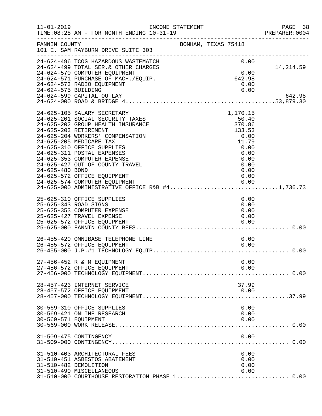| $11 - 01 - 2019$                         | INCOME STATEMENT<br>TIME: 08:28 AM - FOR MONTH ENDING 10-31-19                                                                                                                                                                                                                                                                                                                                                                                        |                     |                                                                                                                | PAGE 38<br>PREPARER<br>--------------------------------<br>PREPARER:0004 |
|------------------------------------------|-------------------------------------------------------------------------------------------------------------------------------------------------------------------------------------------------------------------------------------------------------------------------------------------------------------------------------------------------------------------------------------------------------------------------------------------------------|---------------------|----------------------------------------------------------------------------------------------------------------|--------------------------------------------------------------------------|
| FANNIN COUNTY                            | 101 E. SAM RAYBURN DRIVE SUITE 303                                                                                                                                                                                                                                                                                                                                                                                                                    | BONHAM, TEXAS 75418 |                                                                                                                |                                                                          |
|                                          | 24-624-496 TCOG HAZARDOUS WASTEMATCH<br>24-624-499 TOTAL SER. & OTHER CHARGES<br>24-624-570 COMPUTER EQUIPMENT<br>24-624-571 PURCHASE OF MACH./EQUIP.<br>24-624-573 RADIO EQUIPMENT                                                                                                                                                                                                                                                                   |                     | 0.00<br>0.00<br>642.98<br>0.00                                                                                 | 14,214.59                                                                |
| 24-624-575 BUILDING                      | 24-624-599 CAPITAL OUTLAY                                                                                                                                                                                                                                                                                                                                                                                                                             |                     | 0.00                                                                                                           | 642.98                                                                   |
| 24-625-203 RETIREMENT<br>24-625-480 BOND | 24-625-105 SALARY SECRETARY<br>24-625-201 SOCIAL SECURITY TAXES<br>24-625-202 GROUP HEALTH INSURANCE<br>24-625-204 WORKERS' COMPENSATION<br>24-625-205 MEDICARE TAX<br>24-625-310 OFFICE SUPPLIES<br>24-625-311 POSTAL EXPENSES<br>24-625-353 COMPUTER EXPENSE<br>24-625-427 OUT OF COUNTY TRAVEL<br>24-625-572 OFFICE EQUIPMENT<br>24-625-574 COMPUTER EQUIPMENT<br>24-625-574 COMPUTER EQUIPMENT<br>24-625-000 ADMINISTRATIVE OFFICE R&B #41,736.73 |                     | 1,170.15<br>50.40<br>370.86<br>133.53<br>0.00<br>11.79<br>0.00<br>0.00<br>0.00<br>0.00<br>0.00<br>0.00<br>0.00 |                                                                          |
| 25-625-343 ROAD SIGNS                    | 25-625-310 OFFICE SUPPLIES<br>25-625-353 COMPUTER EXPENSE<br>25-625-427 TRAVEL EXPENSE<br>25-625-572 OFFICE EQUIPMENT                                                                                                                                                                                                                                                                                                                                 |                     | 0.00<br>0.00<br>0.00<br>0.00<br>0.00                                                                           |                                                                          |
|                                          | 26-455-420 OMNIBASE TELEPHONE LINE<br>26-455-572 OFFICE EQUIPMENT                                                                                                                                                                                                                                                                                                                                                                                     |                     | 0.00<br>0.00                                                                                                   |                                                                          |
|                                          | 27-456-452 R & M EQUIPMENT<br>27-456-572 OFFICE EQUIPMENT                                                                                                                                                                                                                                                                                                                                                                                             |                     | 0.00<br>0.00                                                                                                   |                                                                          |
|                                          | 28-457-423 INTERNET SERVICE<br>28-457-572 OFFICE EQUIPMENT                                                                                                                                                                                                                                                                                                                                                                                            |                     | 37.99<br>0.00                                                                                                  |                                                                          |
| 30-569-571 EQUIPMENT                     | 30-569-310 OFFICE SUPPLIES<br>30-569-421 ONLINE RESEARCH                                                                                                                                                                                                                                                                                                                                                                                              |                     | 0.00<br>0.00<br>0.00                                                                                           |                                                                          |
|                                          | 31-509-475 CONTINGENCY                                                                                                                                                                                                                                                                                                                                                                                                                                |                     | 0.00                                                                                                           | 0.00                                                                     |
| 31-510-482 DEMOLITION                    | 31-510-403 ARCHITECTURAL FEES<br>31-510-451 ASBESTOS ABATEMENT<br>31-510-490 MISCELLANEOUS<br>31-510-000 COURTHOUSE RESTORATION PHASE 1 0.00                                                                                                                                                                                                                                                                                                          |                     | 0.00<br>0.00<br>0.00<br>0.00                                                                                   |                                                                          |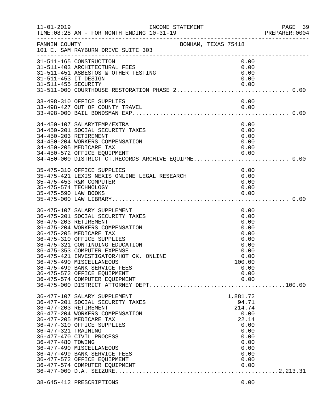| $11 - 01 - 2019$                         | INCOME STATEMENT<br>TIME: 08:28 AM - FOR MONTH ENDING 10-31-19                                                                                                                                                                                                                                                                                                                                                                |                                                                                                              | PAGE 39<br>PREPARER: 0004 |
|------------------------------------------|-------------------------------------------------------------------------------------------------------------------------------------------------------------------------------------------------------------------------------------------------------------------------------------------------------------------------------------------------------------------------------------------------------------------------------|--------------------------------------------------------------------------------------------------------------|---------------------------|
| FANNIN COUNTY                            | BONHAM, TEXAS 75418<br>101 E. SAM RAYBURN DRIVE SUITE 303                                                                                                                                                                                                                                                                                                                                                                     |                                                                                                              |                           |
| 31-511-453 IT DESIGN                     | 31-511-165 CONSTRUCTION<br>31-511-403 ARCHITECTURAL FEES<br>31-511-451 ASBESTOS & OTHER TESTING                                                                                                                                                                                                                                                                                                                               | 0.00<br>0.00<br>0.00<br>0.00                                                                                 |                           |
|                                          | 33-498-310 OFFICE SUPPLIES                                                                                                                                                                                                                                                                                                                                                                                                    | 0.00                                                                                                         |                           |
|                                          | 34-450-107 SALARYTEMP/EXTRA<br>34-450-201 SOCIAL SECURITY TAXES<br>34-450-203 RETIREMENT<br>34-450-204 WORKERS COMPENSATION<br>34-450-205 MEDICARE TAX<br>34-450-572 OFFICE EQUIPMENT 0.00<br>34-450-000 DISTRICT CT.RECORDS ARCHIVE EQUIPME0.00                                                                                                                                                                              | 0.00<br>0.00<br>0.00<br>0.00<br>0.00                                                                         |                           |
| 35-475-590 LAW BOOKS                     | 35-475-310 OFFICE SUPPLIES<br>35-475-421 LEXIS NEXIS ONLINE LEGAL RESEARCH<br>35-475-453 R&M COMPUTER<br>35-475-574 TECHNOLOGY                                                                                                                                                                                                                                                                                                | 0.00<br>0.00<br>0.00<br>0.00<br>0.00                                                                         |                           |
|                                          | 36-475-107 SALARY SUPPLEMENT<br>36-475-201 SOCIAL SECURITY TAXES<br>36-475-203 RETIREMENT<br>36-475-204 WORKERS COMPENSATION<br>36-475-205 MEDICARE TAX<br>36-475-310 OFFICE SUPPLIES<br>36-475-321 CONTINUING EDUCATION<br>36-475-353 COMPUTER EXPENSE<br>36-475-421 INVESTIGATOR/HOT CK. ONLINE<br>36-475-490 MISCELLANEOUS<br>36-475-499 BANK SERVICE FEES<br>36-475-572 OFFICE EQUIPMENT<br>36-475-574 COMPUTER EQUIPMENT | 0.00<br>0.00<br>0.00<br>0.00<br>0.00<br>0.00<br>0.00<br>0.00<br>0.00<br>100.00<br>0.00<br>0.00<br>0.00       |                           |
| 36-477-321 TRAINING<br>36-477-480 TOWING | 36-477-107 SALARY SUPPLEMENT<br>36-477-201 SOCIAL SECURITY TAXES<br>36-477-203 RETIREMENT<br>36-477-204 WORKERS COMPENSATION<br>36-477-205 MEDICARE TAX<br>36-477-310 OFFICE SUPPLIES<br>36-477-470 CIVIL PROCESS<br>36-477-490 MISCELLANEOUS<br>36-477-499 BANK SERVICE FEES<br>36-477-572 OFFICE EQUIPMENT<br>36-477-574 COMPUTER EQUIPMENT                                                                                 | 1,881.72<br>94.71<br>214.74<br>0.00<br>22.14<br>0.00<br>0.00<br>0.00<br>0.00<br>0.00<br>0.00<br>0.00<br>0.00 |                           |
|                                          | 38-645-412 PRESCRIPTIONS                                                                                                                                                                                                                                                                                                                                                                                                      | 0.00                                                                                                         |                           |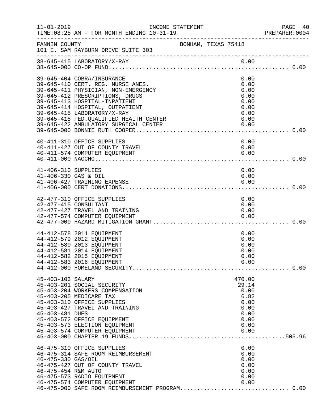| $11 - 01 - 2019$                            | INCOME STATEMENT<br>TIME: 08:28 AM - FOR MONTH ENDING 10-31-19                                                                                                                                                                                                                                                                   |                     |                                                                                 | PAGE 40<br>PREPARER:0004 |
|---------------------------------------------|----------------------------------------------------------------------------------------------------------------------------------------------------------------------------------------------------------------------------------------------------------------------------------------------------------------------------------|---------------------|---------------------------------------------------------------------------------|--------------------------|
| FANNIN COUNTY                               | ____________________________________<br>101 E. SAM RAYBURN DRIVE SUITE 303                                                                                                                                                                                                                                                       | BONHAM, TEXAS 75418 |                                                                                 |                          |
|                                             |                                                                                                                                                                                                                                                                                                                                  |                     |                                                                                 |                          |
|                                             | 39-645-404 COBRA/INSURANCE<br>39-645-410 CERT. REG. NURSE ANES.<br>39-645-411 PHYSICIAN, NON-EMERGENCY<br>39-645-412 PRESCRIPTIONS, DRUGS<br>39-645-413 HOSPITAL-INPATIENT<br>39-645-414 HOSPITAL, OUTPATIENT<br>39-645-415 LABORATORY/X-RAY<br>39-645-418 FED. QUALIFIED HEALTH CENTER<br>39-645-422 AMBULATORY SURGICAL CENTER |                     | 0.00<br>0.00<br>0.00<br>0.00<br>0.00<br>0.00<br>0.00<br>0.00<br>0.00            |                          |
|                                             | 40-411-310 OFFICE SUPPLIES<br>40-411-427 OUT OF COUNTY TRAVEL<br>40-411-574 COMPUTER EQUIPMENT                                                                                                                                                                                                                                   |                     | 0.00<br>0.00<br>0.00                                                            |                          |
| 41-406-310 SUPPLIES<br>41-406-330 GAS & OIL | 41-406-427 TRAINING EXPENSE                                                                                                                                                                                                                                                                                                      |                     | 0.00<br>0.00<br>0.00                                                            |                          |
| 42-477-415 CONSULTANT                       | 42-477-310 OFFICE SUPPLIES<br>42-477-427 TRAVEL AND TRAINING<br>42-477-574 COMPUTER EQUIPMENT                                                                                                                                                                                                                                    |                     | 0.00<br>0.00<br>0.00<br>0.00                                                    |                          |
|                                             | 44-412-578 2011 EQUIPMENT<br>44-412-579 2012 EQUIPMENT<br>44-412-580 2013 EQUIPMENT<br>44-412-581 2014 EQUIPMENT<br>44-412-582 2015 EQUIPMENT<br>44-412-583 2016 EQUIPMENT                                                                                                                                                       |                     | 0.00<br>0.00<br>0.00<br>0.00<br>0.00<br>0.00                                    |                          |
| 45-403-103 SALARY<br>45-403-481 DUES        | 45-403-201 SOCIAL SECURITY<br>45-403-204 WORKERS COMPENSATION<br>45-403-205 MEDICARE TAX<br>45-403-310 OFFICE SUPPLIES<br>45-403-427 TRAVEL AND TRAINING<br>45-403-572 OFFICE EQUIPMENT<br>45-403-573 ELECTION EQUIPMENT<br>45-403-574 COMPUTER EQUIPMENT                                                                        |                     | 470.00<br>29.14<br>0.00<br>6.82<br>0.00<br>0.00<br>0.00<br>0.00<br>0.00<br>0.00 |                          |
| 46-475-330 GAS/OIL<br>46-475-454 R&M AUTO   | 46-475-310 OFFICE SUPPLIES<br>46-475-314 SAFE ROOM REIMBURSEMENT<br>46-475-427 OUT OF COUNTY TRAVEL<br>46-475-573 RADIO EQUIPMENT<br>46-475-574 COMPUTER EQUIPMENT                                                                                                                                                               |                     | 0.00<br>0.00<br>0.00<br>0.00<br>0.00<br>0.00<br>0.00                            |                          |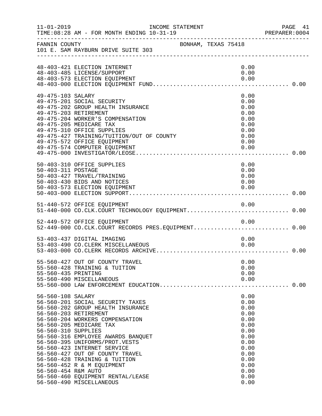| $11 - 01 - 2019$                                                | INCOME STATEMENT<br>TIME: 08:28 AM - FOR MONTH ENDING 10-31-19                                                                                                                                                                                                                                                                                                                                                                         |                     |                                                                                                                              | PAGE 41<br>PREPARER: 0004 |
|-----------------------------------------------------------------|----------------------------------------------------------------------------------------------------------------------------------------------------------------------------------------------------------------------------------------------------------------------------------------------------------------------------------------------------------------------------------------------------------------------------------------|---------------------|------------------------------------------------------------------------------------------------------------------------------|---------------------------|
| FANNIN COUNTY                                                   | 101 E. SAM RAYBURN DRIVE SUITE 303                                                                                                                                                                                                                                                                                                                                                                                                     | BONHAM, TEXAS 75418 |                                                                                                                              |                           |
|                                                                 | 48-403-421 ELECTION INTERNET<br>48-403-485 LICENSE/SUPPORT<br>48-403-573 ELECTION EQUIPMENT                                                                                                                                                                                                                                                                                                                                            |                     | 0.00<br>0.00<br>0.00                                                                                                         |                           |
| 49-475-103 SALARY                                               | 49-475-201 SOCIAL SECURITY<br>49-475-202 GROUP HEALTH INSURANCE<br>49-475-203 RETIREMENT<br>49-475-204 WORKER'S COMPENSATION<br>49-475-205 MEDICARE TAX<br>49-475-310 OFFICE SUPPLIES<br>49-475-427 TRAINING/TUITION/OUT OF COUNTY<br>49-475-572 OFFICE EQUIPMENT<br>49-475-574 COMPUTER EQUIPMENT                                                                                                                                     |                     | 0.00<br>0.00<br>0.00<br>0.00<br>0.00<br>0.00<br>0.00<br>0.00<br>0.00<br>0.00                                                 |                           |
| 50-403-311 POSTAGE                                              | 50-403-310 OFFICE SUPPLIES<br>50-403-427 TRAVEL/TRAINING<br>50-403-430 BIDS AND NOTICES<br>50-403-573 ELECTION EQUIPMENT                                                                                                                                                                                                                                                                                                               |                     | 0.00<br>0.00<br>0.00<br>0.00<br>0.00                                                                                         |                           |
|                                                                 |                                                                                                                                                                                                                                                                                                                                                                                                                                        |                     |                                                                                                                              |                           |
|                                                                 | 52-449-572 OFFICE EQUIPMENT<br>52-449-000 CO.CLK.COURT RECORDS PRES.EQUIPMENT 0.00                                                                                                                                                                                                                                                                                                                                                     |                     | 0.00                                                                                                                         |                           |
|                                                                 | 53-403-437 DIGITAL IMAGING<br>53-403-490 CO.CLERK MISCELLANEOUS                                                                                                                                                                                                                                                                                                                                                                        |                     | 0.00<br>0.00                                                                                                                 |                           |
| 55-560-435 PRINTING                                             | 55-560-427 OUT OF COUNTY TRAVEL<br>55-560-428 TRAINING & TUITION<br>55-560-490 MISCELLANEOUS                                                                                                                                                                                                                                                                                                                                           |                     | 0.00<br>0.00<br>0.00<br>0.00                                                                                                 |                           |
| 56-560-108 SALARY<br>56-560-310 SUPPLIES<br>56-560-454 R&M AUTO | 56-560-201 SOCIAL SECURITY TAXES<br>56-560-202 GROUP HEALTH INSURANCE<br>56-560-203 RETIREMENT<br>56-560-204 WORKERS COMPENSATION<br>56-560-205 MEDICARE TAX<br>56-560-316 EMPLOYEE AWARDS BANQUET<br>56-560-395 UNIFORMS/PROT.VESTS<br>56-560-423 INTERNET SERVICE<br>56-560-427 OUT OF COUNTY TRAVEL<br>56-560-428 TRAINING & TUITION<br>56-560-452 R & M EQUIPMENT<br>56-560-460 EQUIPMENT RENTAL/LEASE<br>56-560-490 MISCELLANEOUS |                     | 0.00<br>0.00<br>0.00<br>0.00<br>0.00<br>0.00<br>0.00<br>0.00<br>0.00<br>0.00<br>0.00<br>0.00<br>0.00<br>0.00<br>0.00<br>0.00 |                           |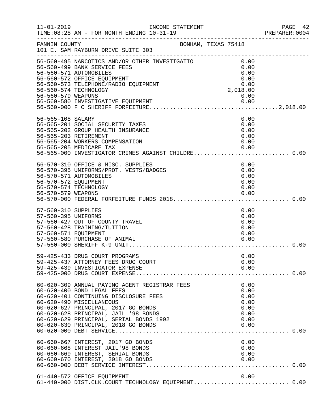| $11 - 01 - 2019$                                                   | TIME: 08:28 AM - FOR MONTH ENDING 10-31-19                                                                                                                                                                                                     |                                                                                                      | PAGE 42<br>PREPARER: 0004 |
|--------------------------------------------------------------------|------------------------------------------------------------------------------------------------------------------------------------------------------------------------------------------------------------------------------------------------|------------------------------------------------------------------------------------------------------|---------------------------|
| FANNIN COUNTY                                                      | _____________________________________<br>BONHAM, TEXAS 75418<br>101 E. SAM RAYBURN DRIVE SUITE 303<br>____________________________                                                                                                             |                                                                                                      |                           |
| 56-560-579 WEAPONS                                                 | 56-560-495 NARCOTICS AND/OR OTHER INVESTIGATIO<br>56-560-499 BANK SERVICE FEES<br>56-560-571 AUTOMOBILES<br>56-560-572 OFFICE EQUIPMENT<br>56-560-573 TELEPHONE/RADIO EQUIPMENT<br>56-560-574 TECHNOLOGY<br>56-560-580 INVESTIGATIVE EQUIPMENT | 0.00<br>0.00<br>0.00<br>$\begin{smallmatrix} &0.00\ 0.00\ 0.00\end{smallmatrix}$<br>2,018.00<br>0.00 |                           |
| 56-565-108 SALARY                                                  | 56-565-201 SOCIAL SECURITY TAXES<br>56-565-202 GROUP HEALTH INSURANCE<br>56-565-203 RETIREMENT<br>56-565-204 WORKERS COMPENSATION<br>56-565-205 MEDICARE TAX<br>56-565-000 INVESTIGATOR CRIMES AGAINST CHILDRE 0.00                            | 0.00<br>0.00<br>0.00<br>0.00<br>0.00<br>0.00                                                         |                           |
| 56-570-572 EQUIPMENT                                               | 56-570-310 OFFICE & MISC. SUPPLIES<br>56-570-395 UNIFORMS/PROT. VESTS/BADGES<br>56-570-571 AUTOMOBILES<br>56-570-574 TECHNOLOGY                                                                                                                | 0.00<br>0.00<br>0.00<br>0.00<br>0.00                                                                 |                           |
| 57-560-310 SUPPLIES<br>57-560-395 UNIFORMS<br>57-560-571 EQUIPMENT | 57-560-427 OUT OF COUNTY TRAVEL<br>57-560-428 TRAINING/TUITION                                                                                                                                                                                 | 0.00<br>0.00<br>0.00<br>0.00<br>0.00                                                                 |                           |
|                                                                    | 59-425-433 DRUG COURT PROGRAMS<br>59-425-437 ATTORNEY FEES DRUG COURT<br>59-425-439 INVESTIGATOR EXPENSE                                                                                                                                       | 0.00<br>0.00<br>0.00                                                                                 |                           |
|                                                                    | 60-620-309 ANNUAL PAYING AGENT REGISTRAR FEES<br>60-620-400 BOND LEGAL FEES<br>60-620-401 CONTINUING DISCLOSURE FEES<br>60-620-490 MISCELLANEOUS<br>60-620-627 PRINCIPAL, 2017 GO BONDS<br>60-620-628 PRINCIPAL, JAIL '98 BONDS                | 0.00<br>0.00<br>0.00<br>0.00<br>0.00<br>0.00                                                         |                           |
|                                                                    | 60-660-667 INTEREST, 2017 GO BONDS<br>60-660-668 INTEREST JAIL'98 BONDS<br>60-660-669 INTEREST, SERIAL BONDS<br>60-660-670 INTEREST, 2018 GO BONDS                                                                                             | 0.00<br>0.00<br>0.00<br>0.00                                                                         |                           |
|                                                                    | 61-440-572 OFFICE EQUIPMENT<br>61-440-000 DIST.CLK.COURT TECHNOLOGY EQUIPMENT 0.00                                                                                                                                                             | 0.00                                                                                                 |                           |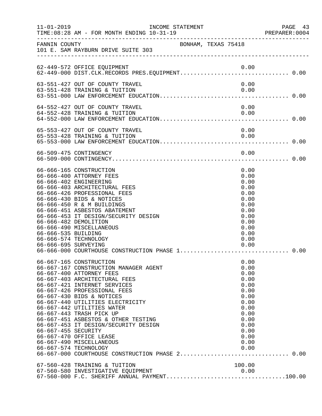| $11 - 01 - 2019$                            |                                                                                                                                                                                                                                                                                                                                                                                                                                                                                         | INCOME STATEMENT | PAGE 43<br>PREPARER: 0004                                                                                                    |
|---------------------------------------------|-----------------------------------------------------------------------------------------------------------------------------------------------------------------------------------------------------------------------------------------------------------------------------------------------------------------------------------------------------------------------------------------------------------------------------------------------------------------------------------------|------------------|------------------------------------------------------------------------------------------------------------------------------|
|                                             | FANNIN COUNTY SONHAM, TEXAS 75418<br>101 E. SAM RAYBURN DRIVE SUITE 303                                                                                                                                                                                                                                                                                                                                                                                                                 |                  |                                                                                                                              |
|                                             | 62-449-572 OFFICE EQUIPMENT                                                                                                                                                                                                                                                                                                                                                                                                                                                             | 0.00             |                                                                                                                              |
|                                             | 63-551-427 OUT OF COUNTY TRAVEL<br>63-551-428 TRAINING & TUITION                                                                                                                                                                                                                                                                                                                                                                                                                        |                  | 0.00<br>0.00                                                                                                                 |
|                                             | 64-552-427 OUT OF COUNTY TRAVEL<br>64-552-428 TRAINING & TUITION                                                                                                                                                                                                                                                                                                                                                                                                                        | 0.00             | 0.00                                                                                                                         |
|                                             | 65-553-427 OUT OF COUNTY TRAVEL<br>65-553-428 TRAINING & TUITION                                                                                                                                                                                                                                                                                                                                                                                                                        | 0.00             | 0.00                                                                                                                         |
|                                             | 66-509-475 CONTINGENCY                                                                                                                                                                                                                                                                                                                                                                                                                                                                  |                  | 0.00                                                                                                                         |
| 66-666-535 BUILDING<br>66-666-695 SURVEYING | 66-666-165 CONSTRUCTION<br>66-666-400 ATTORNEY FEES<br>66-666-402 ENGINEERING<br>66-666-403 ARCHITECTURAL FEES<br>66-666-426 PROFESSIONAL FEES<br>66-666-430 BIDS & NOTICES<br>66-666-450 R & M BUILDINGS<br>66-666-451 ASBESTOS ABATEMENT<br>66-666-453 IT DESIGN/SECURITY DESIGN<br>66-666-482 DEMOLITION<br>66-666-490 MISCELLANEOUS<br>66-666-574 TECHNOLOGY<br>66-666-000 COURTHOUSE CONSTRUCTION PHASE 1                                                                          |                  | 0.00<br>0.00<br>0.00<br>0.00<br>0.00<br>0.00<br>0.00<br>0.00<br>0.00<br>0.00<br>0.00<br>0.00<br>0.00<br>0.00<br>0.00         |
| 66-667-455 SECURITY                         | 66-667-165 CONSTRUCTION<br>66-667-167 CONSTRUCTION MANAGER AGENT<br>66-667-400 ATTORNEY FEES<br>66-667-403 ARCHITECTURAL FEES<br>66-667-421 INTERNET SERVICES<br>66-667-426 PROFESSIONAL FEES<br>66-667-430 BIDS & NOTICES<br>66-667-440 UTILITIES ELECTRICITY<br>66-667-442 UTILITIES WATER<br>66-667-443 TRASH PICK UP<br>66-667-451 ASBESTOS & OTHER TESTING<br>66-667-453 IT DESIGN/SECURITY DESIGN<br>66-667-470 OFFICE LEASE<br>66-667-490 MISCELLANEOUS<br>66-667-574 TECHNOLOGY |                  | 0.00<br>0.00<br>0.00<br>0.00<br>0.00<br>0.00<br>0.00<br>0.00<br>0.00<br>0.00<br>0.00<br>0.00<br>0.00<br>0.00<br>0.00<br>0.00 |
|                                             | 67-560-428 TRAINING & TUITION                                                                                                                                                                                                                                                                                                                                                                                                                                                           | 100.00           |                                                                                                                              |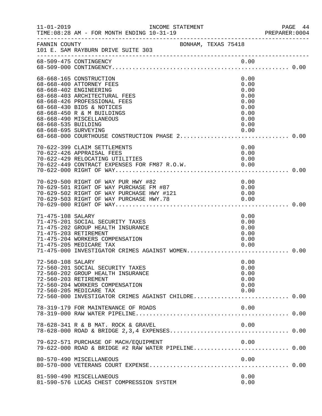| $11 - 01 - 2019$                            | INCOME STATEMENT<br>TIME: 08:28 AM - FOR MONTH ENDING 10-31-19                                                                                                                                                                                     |                                                                              | PAGE 44<br>PREPARER: 0004 |
|---------------------------------------------|----------------------------------------------------------------------------------------------------------------------------------------------------------------------------------------------------------------------------------------------------|------------------------------------------------------------------------------|---------------------------|
| FANNIN COUNTY                               | BONHAM, TEXAS 75418<br>101 E. SAM RAYBURN DRIVE SUITE 303                                                                                                                                                                                          |                                                                              |                           |
|                                             | 68-509-475 CONTINGENCY                                                                                                                                                                                                                             | 0.00                                                                         |                           |
| 68-668-535 BUILDING<br>68-668-695 SURVEYING | 68-668-165 CONSTRUCTION<br>68-668-400 ATTORNEY FEES<br>68-668-402 ENGINEERING<br>68-668-403 ARCHITECTURAL FEES<br>68-668-426 PROFESSIONAL FEES<br>68-668-430 BIDS & NOTICES<br>68-668-450 R & M BUILDINGS<br>68-668-490 MISCELLANEOUS              | 0.00<br>0.00<br>0.00<br>0.00<br>0.00<br>0.00<br>0.00<br>0.00<br>0.00<br>0.00 |                           |
|                                             | 70-622-399 CLAIM SETTLEMENTS<br>70-622-426 APPRAISAL FEES<br>70-622-429 RELOCATING UTILITIES<br>70-622-449 CONTRACT EXPENSES FOR FM87 R.O.W. 6.00                                                                                                  | 0.00<br>0.00<br>0.00                                                         |                           |
|                                             | 70-629-500 RIGHT OF WAY PUR HWY #82<br>70-629-500 RIGHT OF WAY PUR HWY #82<br>70-629-501 RIGHT OF WAY PURCHASE FM #87<br>70-629-502 RIGHT OF WAY PURCHASE HWY #121 0.00<br>70-629-503 RIGHT OF WAY PURCHASE HWY.78 0.00<br>70-629-000 RIGHT OF WAY | 0.00                                                                         |                           |
| 71-475-108 SALARY                           | 71-475-201 SOCIAL SECURITY TAXES<br>71-475-202 GROUP HEALTH INSURANCE<br>71-475-203 RETIREMENT<br>71-475-204 WORKERS COMPENSATION<br>71-475-205 MEDICARE TAX<br>71-475-000 INVESTIGATOR CRIMES AGAINST WOMEN 0.00                                  | 0.00<br>0.00<br>0.00<br>0.00<br>0.00<br>0.00                                 |                           |
| 72-560-108 SALARY                           | 72-560-201 SOCIAL SECURITY TAXES<br>72-560-202 GROUP HEALTH INSURANCE<br>72-560-203 RETIREMENT<br>72-560-204 WORKERS COMPENSATION<br>72-560-205 MEDICARE TAX<br>72-560-000 INVESTIGATOR CRIMES AGAINST CHILDRE 0.00                                | 0.00<br>0.00<br>0.00<br>0.00<br>0.00<br>0.00                                 |                           |
|                                             | 78-319-179 FOR MAINTENANCE OF ROADS                                                                                                                                                                                                                | 0.00                                                                         |                           |
|                                             | 78-628-341 R & B MAT. ROCK & GRAVEL                                                                                                                                                                                                                | 0.00                                                                         |                           |
|                                             | 79-622-571 PURCHASE OF MACH/EQUIPMENT                                                                                                                                                                                                              | 0.00                                                                         |                           |
|                                             | 80-570-490 MISCELLANEOUS                                                                                                                                                                                                                           | 0.00                                                                         |                           |
|                                             | 81-590-490 MISCELLANEOUS<br>81-590-576 LUCAS CHEST COMPRESSION SYSTEM                                                                                                                                                                              | 0.00<br>0.00                                                                 |                           |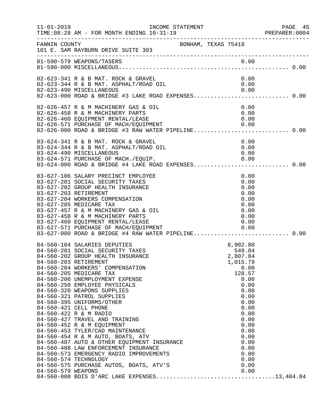| $11 - 01 - 2019$   | INCOME STATEMENT<br>TIME: 08:28 AM - FOR MONTH ENDING 10-31-19<br>______________________________________                                                                                                                                                                                                                                                                                                                                                                                                                                                                                                                                                                                                                                                                                                   |                                                                                                                                                                                                      | PAGE 45<br>PREPARER: 0004 |
|--------------------|------------------------------------------------------------------------------------------------------------------------------------------------------------------------------------------------------------------------------------------------------------------------------------------------------------------------------------------------------------------------------------------------------------------------------------------------------------------------------------------------------------------------------------------------------------------------------------------------------------------------------------------------------------------------------------------------------------------------------------------------------------------------------------------------------------|------------------------------------------------------------------------------------------------------------------------------------------------------------------------------------------------------|---------------------------|
| FANNIN COUNTY      | BONHAM, TEXAS 75418<br>101 E. SAM RAYBURN DRIVE SUITE 303                                                                                                                                                                                                                                                                                                                                                                                                                                                                                                                                                                                                                                                                                                                                                  |                                                                                                                                                                                                      |                           |
|                    |                                                                                                                                                                                                                                                                                                                                                                                                                                                                                                                                                                                                                                                                                                                                                                                                            |                                                                                                                                                                                                      |                           |
|                    | 82-623-341 R & B MAT. ROCK & GRAVEL<br>82-623-344 R & B MAT. ASPHALT/ROAD OIL<br>82-623-490 MISCELLANEOUS<br>82-623-000 ROAD & BRIDGE #3 LAKE ROAD EXPENSES 0.00                                                                                                                                                                                                                                                                                                                                                                                                                                                                                                                                                                                                                                           | 0.00<br>0.00<br>0.00                                                                                                                                                                                 |                           |
|                    | 82-626-457 R & M MACHINERY GAS & OIL<br>82-626-458 R & M MACHINERY PARTS<br>82-626-460 EQUIPMENT RENTAL/LEASE<br>82-626-571 PURCHASE OF MACH/EQUIPMENT<br>82-626-571 PURCHASE OF MACH/EQUIPMENT 0.00<br>82-626-000 ROAD & BRIDGE #3 RAW WATER PIPELINE0.00                                                                                                                                                                                                                                                                                                                                                                                                                                                                                                                                                 | 0.00<br>0.00<br>0.00<br>0.00                                                                                                                                                                         |                           |
|                    | 83-624-341 R & B MAT. ROCK & GRAVEL<br>83-624-344 R & B MAT. ASPHALT/ROAD OIL<br>83-624-490 MISCELLANEOUS<br>83-624-571 PURCHASE OF MACH./EQUIP. 0.00<br>83-624-000 ROAD & BRIDGE #4 LAKE ROAD EXPENSES0.00                                                                                                                                                                                                                                                                                                                                                                                                                                                                                                                                                                                                | 0.00<br>0.00<br>0.00                                                                                                                                                                                 |                           |
|                    | 83-627-106 SALARY PRECINCT EMPLOYEE<br>83-627-201 SOCIAL SECURITY TAXES<br>83-627-202 GROUP HEALTH INSURANCE<br>83-627-203 RETIREMENT<br>83-627-204 WORKERS COMPENSATION<br>83-627-205 MEDICARE TAX<br>83-627-457 R & M MACHINERY GAS & OIL<br>83-627-458 R & M MACHINERY PARTS<br>83-627-460 EQUIPMENT RENTAL/LEASE<br>83-627-571 PURCHASE OF MACH/EQUIPMENT 0.00<br>83-627-000 ROAD & BRIDGE #4 RAW WATER PIPELINE0.00                                                                                                                                                                                                                                                                                                                                                                                   | 0.00<br>0.00<br>0.00<br>0.00<br>0.00<br>0.00<br>0.00<br>0.00<br>0.00                                                                                                                                 |                           |
| 84-560-579 WEAPONS | 84-560-104 SALARIES DEPUTIES<br>84-560-201 SOCIAL SECURITY TAXES<br>84-560-202 GROUP HEALTH INSURANCE<br>84-560-203 RETIREMENT<br>84-560-204 WORKERS' COMPENSATION<br>84-560-205 MEDICARE TAX<br>84-560-206 UNEMPLOYMENT EXPENSE<br>84-560-250 EMPLOYEE PHYSICALS<br>84-560-320 WEAPONS SUPPLIES<br>84-560-321 PATROL SUPPLIES<br>84-560-395 UNIFORMS/OTHER<br>84-560-421 CELL PHONE<br>84-560-422 R & M RADIO<br>84-560-427 TRAVEL AND TRAINING<br>84-560-452 R & M EQUIPMENT<br>84-560-453 TYLER/CAD MAINTENANCE<br>84-560-454 R & M AUTO, BOATS, ATV<br>84-560-487 AUTO & OTHER EQUIPMENT INSURANCE<br>84-560-488 LAW ENFORCEMENT INSURANCE<br>84-560-488 LAW E<br>84-560-573 EMERGENCY RADIO IMPROVEMENTS<br>84-560-574 TECHNOLOGY<br>84-560-574 TECHNOLOGY<br>84-560-575 PURCHASE AUTOS, BOATS, ATV'S | 8,902.80<br>549.84<br>2,807.84<br>1,015.79<br>0.00<br>128.57<br>0.00<br>0.00<br>0.00<br>0.00<br>0.00<br>0.00<br>0.00<br>0.00<br>0.00<br>0.00<br>0.00<br>0.00<br>0.00<br>0.00<br>0.00<br>0.00<br>0.00 |                           |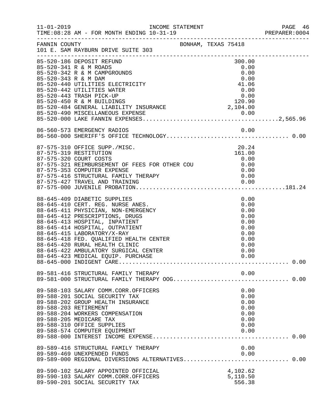|                      |                                                                                                                |  |                        | PREPARER: 0004 |
|----------------------|----------------------------------------------------------------------------------------------------------------|--|------------------------|----------------|
|                      | FANNIN COUNTY<br>101 E. SAM RAYBURN DRIVE SUITE 303                                                            |  |                        |                |
|                      | 85-520-186 DEPOSIT REFUND<br>85-520-341 R & M ROADS<br>85-520-342 R & M CAMPGROUNDS                            |  | 300.00<br>0.00<br>0.00 |                |
| 85-520-343 R & M DAM | 85-520-440 UTILITIES ELECTRICITY<br>85-520-442 UTILITIES WATER                                                 |  | 0.00<br>41.06<br>0.00  |                |
|                      | 85-520-443 TRASH PICK-UP                                                                                       |  | 0.00                   |                |
|                      |                                                                                                                |  |                        |                |
|                      |                                                                                                                |  |                        |                |
|                      | 87-575-310 OFFICE SUPP./MISC.<br>87-575-319 RESTITUTION                                                        |  | 20.24<br>161.00        |                |
|                      | 87-575-320 COURT COSTS<br>87-575-321 REIMBURSEMENT OF FEES FOR OTHER COU $0.00$<br>87-575-331 COMPUTER EXPENSE |  | 0.00<br>0.00           |                |
|                      | 87-575-416 STRUCTURAL FAMILY THERAPY<br>87-575-427 TRAVEL AND THAT IN THERAPY                                  |  |                        |                |
|                      | 88-645-409 DIABETIC SUPPLIES                                                                                   |  | 0.00                   |                |
|                      | 88-645-410 CERT. REG. NURSE ANES.<br>88-645-411 PHYSICIAN, NON-EMERGENCY                                       |  | 0.00<br>0.00           |                |
|                      | 88-645-412 PRESCRIPTIONS, DRUGS<br>88-645-413 HOSPITAL, INPATIENT<br>88-645-414 HOSPITAL, OUTPATIENT           |  | 0.00<br>0.00<br>0.00   |                |
|                      | 88-645-415 LABORATORY/X-RAY<br>88-645-418 FED. QUALIFIED HEALTH CENTER                                         |  | 0.00<br>0.00           |                |
|                      | 88-645-420 RURAL HEALTH CLINIC<br>88-645-422 AMBULATORY SURGICAL CENTER<br>88-645-423 MEDICAL EQUIP. PURCHASE  |  | 0.00<br>0.00<br>0.00   |                |
|                      |                                                                                                                |  |                        |                |
|                      |                                                                                                                |  |                        |                |
|                      | 89-588-103 SALARY COMM.CORR.OFFICERS<br>89-588-201 SOCIAL SECURITY TAX                                         |  | 0.00<br>0.00           |                |
|                      | 89-588-202 GROUP HEALTH INSURANCE<br>89-588-203 RETIREMENT<br>89-588-204 WORKERS COMPENSATION                  |  | 0.00<br>0.00<br>0.00   |                |
|                      | 89-588-205 MEDICARE TAX<br>89-588-310 OFFICE SUPPLIES                                                          |  | 0.00<br>0.00           |                |
|                      | 89-588-574 COMPUTER EQUIPMENT                                                                                  |  | 0.00                   |                |
|                      | 89-589-416 STRUCTURAL FAMILY THERAPY<br>89-589-469 UNEXPENDED FUNDS                                            |  | 0.00<br>0.00           |                |
|                      | 89-589-000 REGIONAL DIVERSIONS ALTERNATIVES 0.00<br>89-590-102 SALARY APPOINTED OFFICIAL                       |  | 4,102.62               |                |
|                      | 89-590-103 SALARY COMM.CORR.OFFICERS<br>89-590-201 SOCIAL SECURITY TAX                                         |  | 5,110.50<br>556.38     |                |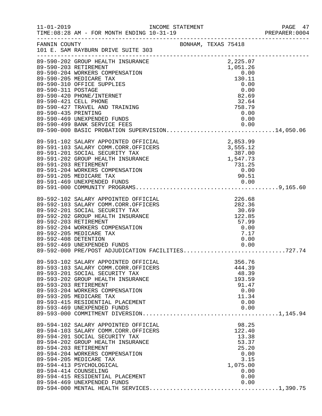|                                                                                                                                                                                                                                                                                                                                                |                |  |                                                                            | PREPARER: 0004 |
|------------------------------------------------------------------------------------------------------------------------------------------------------------------------------------------------------------------------------------------------------------------------------------------------------------------------------------------------|----------------|--|----------------------------------------------------------------------------|----------------|
| FANNIN COUNTY<br>101 E. SAM RAYBURN DRIVE SUITE 303                                                                                                                                                                                                                                                                                            |                |  |                                                                            |                |
| ANNIN COUNTY<br>101 E. SAM RAYBURN DRIVE SUITE<br>39-590-202 GROUP HEALTH INSURANCE<br>89-590-203 RETIREMENT INSURANCE<br>89-590-203 NEDICARE TAX<br>89-590-205 MEDICARE TAX<br>89-590-310 OFFICE SUPPLIES<br>89-590-310 OFFICE SUPPLIES<br>89<br>89-590-499 BANK SERVICE FEES 0.00<br>89-590-000 BASIC PROBATION SUPERVISION14,050.06         | $\overline{S}$ |  |                                                                            |                |
| 89-591-102 SALARY APPOINTED OFFICIAL<br>89-591-103 SALARY COMM.CORR.OFFICERS<br>89-591-201 SOCIAL SECURITY TAX<br>89-591-202 GROUP HEALTH INSURANCE<br>89-591-203 RETIREMENT<br>89-591-203 RETIREMENT<br>89-591-203 RETIREMENT<br>89-591-204                                                                                                   |                |  |                                                                            |                |
| 89-592-102 SALARY APPOINTED OFFICIAL<br>89-592-103 SALARY COMM.CORR.OFFICERS<br>89-592-201 SOCIAL SECURITY TAX<br>89-592-202 GROUP HEALTH INSURANCE<br>89-592-203 RETIREMENT<br>89-592-204 WORKERS COMPENSATION<br>89-592-205 MEDICARE TAX<br>89-592-408 DETENTION<br>89-592-469 UNEXPENDED FUNDS                                              | EXECUTION      |  | TAL<br>ERS 226.68 282.36 30.69 122.85 57.99 0.00 7<br>7.17<br>0.00<br>0.00 |                |
| 89-593-102 SALARY APPOINTED OFFICIAL<br>89-593-103 SALARY COMM.CORR.OFFICERS<br>89-593-201 SOCIAL SECURITY TAX<br>89-593-202 GROUP HEALTH INSURANCE<br>89-593-203 RETIREMENT<br>89-593-204 WORKERS COMPENSATION<br>89-593-205 MEDICARE TAX                                                                                                     |                |  | 356.76<br>444.39<br>48.39<br>193.59<br>91.47<br>0.00<br>11.34              |                |
| 89-594-102 SALARY APPOINTED OFFICIAL 89-594-103 SALARY COMM.CORR.OFFICERS 122.40<br>89-594-201 SOCIAL SECURITY TAX 13.38<br>89-594-202 GROUP HEALTH INSURANCE 53.37<br>89-594-203 RETIREMENT 25.20<br>89-594-203 RETIREMENT<br>89-594-204 WORKERS COMPENSATION<br>89-594-205 MEDICARE TAX<br>89-594-413 PSYCHOLOGICAL<br>89-594-414 COUNSELING |                |  | 25.20<br>0.00<br>3.15<br>1,075.00<br>0.00                                  |                |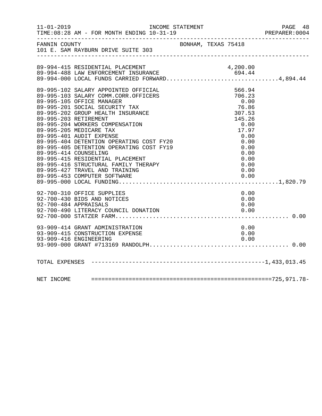|                                                | FANNIN COUNTY<br>101 E. SAM RAYBURN DRIVE SUITE 303                                                                                                                                                                                                                                                                                                                                                                                                                              |                                                                                                                                                   |  |
|------------------------------------------------|----------------------------------------------------------------------------------------------------------------------------------------------------------------------------------------------------------------------------------------------------------------------------------------------------------------------------------------------------------------------------------------------------------------------------------------------------------------------------------|---------------------------------------------------------------------------------------------------------------------------------------------------|--|
|                                                | 89-994-415 RESIDENTIAL PLACEMENT<br>89-994-488 LAW ENFORCEMENT INSURANCE 694.44<br>89-994-000 LOCAL FUNDS CARRIED FORWARD4,894.44                                                                                                                                                                                                                                                                                                                                                |                                                                                                                                                   |  |
| 89-995-203 RETIREMENT<br>89-995-414 COUNSELING | 89-995-102 SALARY APPOINTED OFFICIAL<br>89-995-103 SALARY COMM.CORR.OFFICERS<br>89-995-105 OFFICE MANAGER<br>89-995-201 SOCIAL SECURITY TAX<br>89-995-202 GROUP HEALTH INSURANCE<br>89-995-204 WORKERS COMPENSATION<br>89-995-205 MEDICARE TAX<br>89-995-401 AUDIT EXPENSE<br>89-995-404 DETENTION OPERATING COST FY20<br>89-995-405 DETENTION OPERATING COST FY19<br>89-995-415 RESIDENTIAL PLACEMENT<br>89-995-416 STRUCTURAL FAMILY THERAPY<br>89-995-427 TRAVEL AND TRAINING | 566.94<br>706.23<br>0.00<br>76.86<br>$76.86$<br>$307.53$<br>$145.26$<br>$0.00$<br>$17.97$<br>0.00<br>0.00<br>0.00<br>0.00<br>0.00<br>0.00<br>0.00 |  |
|                                                | 92-700-310 OFFICE SUPPLIES<br>92-700-430 BIDS AND NOTICES<br>92-700-484 APPRAISALS<br>93-909-414 GRANT ADMINISTRATION                                                                                                                                                                                                                                                                                                                                                            | 0.00<br>0.00<br>0.00<br>0.00                                                                                                                      |  |
|                                                | 93-909-415 CONSTRUCTION EXPENSE                                                                                                                                                                                                                                                                                                                                                                                                                                                  | 0.00                                                                                                                                              |  |
|                                                |                                                                                                                                                                                                                                                                                                                                                                                                                                                                                  |                                                                                                                                                   |  |
|                                                |                                                                                                                                                                                                                                                                                                                                                                                                                                                                                  |                                                                                                                                                   |  |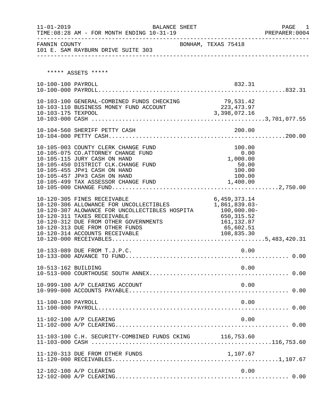| $11 - 01 - 2019$    | BALANCE SHEET                                                                                                                                                                                                                                                                     |                                                                                           | PAGE 1<br>PREPARER:0004 |
|---------------------|-----------------------------------------------------------------------------------------------------------------------------------------------------------------------------------------------------------------------------------------------------------------------------------|-------------------------------------------------------------------------------------------|-------------------------|
| FANNIN COUNTY       | 101 E. SAM RAYBURN DRIVE SUITE 303                                                                                                                                                                                                                                                | BONHAM, TEXAS 75418                                                                       |                         |
|                     | ***** ASSETS *****                                                                                                                                                                                                                                                                |                                                                                           |                         |
| 10-100-100 PAYROLL  |                                                                                                                                                                                                                                                                                   | 832.31                                                                                    |                         |
| 10-103-175 TEXPOOL  | 10-103-100 GENERAL-COMBINED FUNDS CHECKING<br>10-103-110 BUSINESS MONEY FUND ACCOUNT                                                                                                                                                                                              | 79,531.42<br>(223, 473.97)<br>3,398,072.16                                                |                         |
|                     |                                                                                                                                                                                                                                                                                   |                                                                                           |                         |
|                     | 10-105-003 COUNTY CLERK CHANGE FUND<br>10-105-075 CO.ATTORNEY CHANGE FUND<br>10-105-115 JURY CASH ON HAND<br>10-105-450 DISTRICT CLK.CHANGE FUND<br>10-105-455 JP#1 CASH ON HAND<br>10-105-457 JP#3 CASH ON HAND                                                                  | 100.00<br>0.00<br>1,000.00<br>50.00<br>100.00<br>100.00                                   |                         |
|                     | 10-120-305 FINES RECEIVABLE<br>10-120-306 ALLOWANCE FOR UNCOLLECTIBLES<br>10-120-307 ALOWANCE FOR UNCOLLECTIBLES HOSPITA 100,000.00-<br>10-120-311 TAXES RECEIVABLE<br>10-120-312 DUE FROM OTHER GOVERNMENTS<br>10-120-313 DUE FROM OTHER FUNDS<br>10-120-314 ACCOUNTS RECEIVABLE | 6, 459, 373. 14<br>1,861,839.03-<br>650, 315.52<br>161, 132.87<br>65,602.51<br>108,835.30 |                         |
|                     | 10-133-089 DUE FROM T.J.P.C.                                                                                                                                                                                                                                                      | 0.00                                                                                      |                         |
| 10-513-162 BUILDING |                                                                                                                                                                                                                                                                                   | 0.00                                                                                      |                         |
|                     | 10-999-100 A/P CLEARING ACCOUNT                                                                                                                                                                                                                                                   | 0.00                                                                                      |                         |
| 11-100-100 PAYROLL  |                                                                                                                                                                                                                                                                                   | 0.00                                                                                      |                         |
|                     | 11-102-100 A/P CLEARING                                                                                                                                                                                                                                                           | 0.00                                                                                      |                         |
|                     | 11-103-100 C.H. SECURITY-COMBINED FUNDS CKING 116,753.60                                                                                                                                                                                                                          |                                                                                           |                         |
|                     | 11-120-313 DUE FROM OTHER FUNDS                                                                                                                                                                                                                                                   | 1,107.67                                                                                  |                         |
|                     | 12-102-100 A/P CLEARING                                                                                                                                                                                                                                                           | 0.00                                                                                      |                         |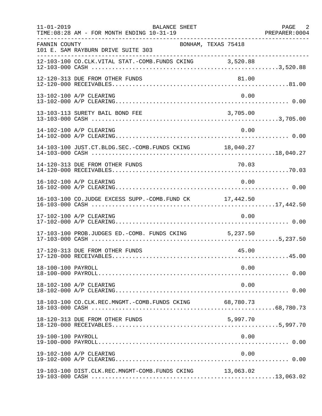| $11 - 01 - 2019$   | BALANCE SHEET<br>TIME: 08:28 AM - FOR MONTH ENDING 10-31-19<br>. _ _ _ _ _ _ _ _ _ _ _ _ _ _ _ |          | PAGE 2 |
|--------------------|------------------------------------------------------------------------------------------------|----------|--------|
| FANNIN COUNTY      | BONHAM, TEXAS 75418<br>101 E. SAM RAYBURN DRIVE SUITE 303                                      |          |        |
|                    | 12-103-100 CO.CLK.VITAL STAT.-COMB.FUNDS CKING 3,520.88                                        |          |        |
|                    | 12-120-313 DUE FROM OTHER FUNDS                                                                | 81.00    |        |
|                    | 13-102-100 A/P CLEARING                                                                        | 0.00     |        |
|                    | 13-103-113 SURETY BAIL BOND FEE                                                                | 3,705.00 |        |
|                    | 14-102-100 A/P CLEARING                                                                        | 0.00     |        |
|                    | 14-103-100 JUST.CT.BLDG.SEC.-COMB.FUNDS CKING 18,040.27                                        |          |        |
|                    | 14-120-313 DUE FROM OTHER FUNDS                                                                |          |        |
|                    | 16-102-100 A/P CLEARING                                                                        | 0.00     |        |
|                    | 16-103-100 CO.JUDGE EXCESS SUPP.-COMB.FUND CK 17,442.50                                        |          |        |
|                    | 17-102-100 A/P CLEARING                                                                        | 0.00     |        |
|                    | 17-103-100 PROB.JUDGES ED.-COMB. FUNDS CKING 5,237.50                                          |          |        |
|                    | 17-120-313 DUE FROM OTHER FUNDS                                                                | 45.00    |        |
| 18-100-100 PAYROLL |                                                                                                | 0.00     |        |
|                    | 18-102-100 A/P CLEARING                                                                        | 0.00     |        |
|                    | 18-103-100 CO.CLK.REC.MNGMT.-COMB.FUNDS CKING 68,780.73                                        |          |        |
|                    | 18-120-313 DUE FROM OTHER FUNDS                                                                | 5,997.70 |        |
| 19-100-100 PAYROLL |                                                                                                | 0.00     |        |
|                    | 19-102-100 A/P CLEARING                                                                        | 0.00     |        |
|                    | 19-103-100 DIST.CLK.REC.MNGMT-COMB.FUNDS CKING 13,063.02                                       |          |        |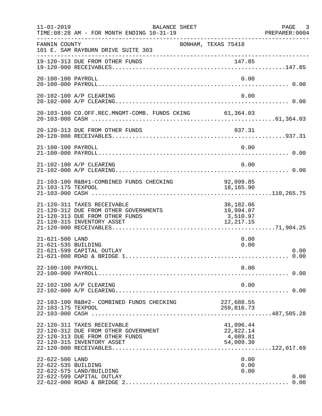| $11 - 01 - 2019$                       | BALANCE SHEET<br>TIME: 08:28 AM - FOR MONTH ENDING 10-31-19                                                                           |                                                 | PAGE 3<br>PREPARER: 0004 |
|----------------------------------------|---------------------------------------------------------------------------------------------------------------------------------------|-------------------------------------------------|--------------------------|
| FANNIN COUNTY                          | 101 E. SAM RAYBURN DRIVE SUITE 303                                                                                                    | BONHAM, TEXAS 75418                             |                          |
|                                        | 19-120-313 DUE FROM OTHER FUNDS                                                                                                       |                                                 |                          |
| 20-100-100 PAYROLL                     |                                                                                                                                       | 0.00                                            |                          |
|                                        | 20-102-100 A/P CLEARING                                                                                                               | 0.00                                            |                          |
|                                        | 20-103-100 CO.OFF.REC.MNGMT-COMB. FUNDS CKING 61,364.03                                                                               |                                                 |                          |
|                                        |                                                                                                                                       | 937.31                                          |                          |
| 21-100-100 PAYROLL                     |                                                                                                                                       | 0.00                                            |                          |
|                                        | 21-102-100 A/P CLEARING                                                                                                               | 0.00                                            |                          |
| 21-103-175 TEXPOOL                     | 21-103-100 R&B#1-COMBINED FUNDS CHECKING                                                                                              | 92,099.85<br>18,165.90                          |                          |
|                                        | 21-120-311 TAXES RECEIVABLE<br>21-120-312 DUE FROM OTHER GOVERNMENTS<br>21-120-313 DUE FROM OTHER FUNDS<br>21-120-315 INVENTORY ASSET | 36,182.06<br>19,994.07<br>3,510.97<br>12,217.15 |                          |
| 21-621-500 LAND<br>21-621-535 BUILDING | 21-621-599 CAPITAL OUTLAY                                                                                                             | 0.00<br>0.00                                    | 0.00<br>0.00             |
| 22-100-100 PAYROLL                     |                                                                                                                                       | 0.00                                            |                          |
|                                        | 22-102-100 A/P CLEARING                                                                                                               | 0.00                                            |                          |
| 22-103-175 TEXPOOL                     | 22-103-100 R&B#2- COMBINED FUNDS CHECKING                                                                                             | 227,688.55<br>259,816.73                        |                          |
|                                        | 22-120-311 TAXES RECEIVABLE<br>22-120-312 DUE FROM OTHER GOVERNMENT<br>22-120-313 DUE FROM OTHER FUNDS<br>22-120-315 INVENTORY ASSET  | 41,096.44<br>22,822.14<br>4,089.81<br>54,009.30 |                          |
| 22-622-500 LAND<br>22-622-535 BUILDING | 22-622-575 LAND/BUILDING<br>22-622-599 CAPITAL OUTLAY                                                                                 | 0.00<br>0.00<br>0.00                            | 0.00<br>0.00             |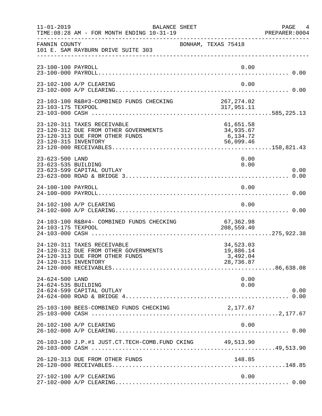| $11 - 01 - 2019$                       | BALANCE SHEET<br>TIME: 08:28 AM - FOR MONTH ENDING 10-31-19                                             |                                                 | PAGE 4<br>PREPARER: 0004 |
|----------------------------------------|---------------------------------------------------------------------------------------------------------|-------------------------------------------------|--------------------------|
| FANNIN COUNTY                          | 101 E. SAM RAYBURN DRIVE SUITE 303                                                                      | BONHAM, TEXAS 75418                             |                          |
| 23-100-100 PAYROLL                     |                                                                                                         | 0.00                                            |                          |
|                                        | 23-102-100 A/P CLEARING                                                                                 | 0.00                                            |                          |
|                                        |                                                                                                         |                                                 |                          |
| 23-120-315 INVENTORY                   | 23-120-311 TAXES RECEIVABLE<br>23-120-312 DUE FROM OTHER GOVERNMENTS<br>23-120-313 DUE FROM OTHER FUNDS | 61,651.58<br>34,935.67<br>6,134.72<br>56,099.46 |                          |
| 23-623-500 LAND<br>23-623-535 BUILDING | 23-623-599 CAPITAL OUTLAY                                                                               | 0.00<br>0.00                                    | 0.00                     |
| 24-100-100 PAYROLL                     |                                                                                                         | 0.00                                            |                          |
|                                        | 24-102-100 A/P CLEARING                                                                                 | 0.00                                            |                          |
| 24-103-175 TEXPOOL                     | 24-103-100 R&B#4- COMBINED FUNDS CHECKING                                                               | 67,362.98<br>208,559.40                         |                          |
| 24-120-315 INVENTORY                   | 24-120-311 TAXES RECEIVABLE<br>24-120-312 DUE FROM OTHER GOVERNMENTS<br>24-120-313 DUE FROM OTHER FUNDS | 34,523.03<br>19,886.14<br>3,492.04<br>28,736.87 |                          |
| 24-624-500 LAND<br>24-624-535 BUILDING | 24-624-599 CAPITAL OUTLAY                                                                               | 0.00<br>0.00                                    | 0.00                     |
|                                        | 25-103-100 BEES-COMBINED FUNDS CHECKING                                                                 | 2,177.67                                        |                          |
|                                        | 26-102-100 A/P CLEARING                                                                                 | 0.00                                            |                          |
|                                        | 26-103-100 J.P.#1 JUST.CT.TECH-COMB.FUND CKING 49,513.90                                                |                                                 |                          |
|                                        | 26-120-313 DUE FROM OTHER FUNDS                                                                         | 148.85                                          |                          |
|                                        | 27-102-100 A/P CLEARING                                                                                 | 0.00                                            |                          |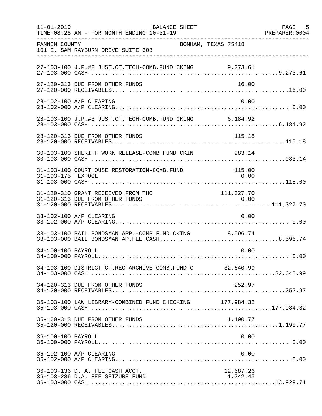| $11 - 01 - 2019$   | BALANCE SHEET<br>TIME: 08:28 AM - FOR MONTH ENDING 10-31-19                                            |                       | PAGE 5<br>PREPARER: 0004 |
|--------------------|--------------------------------------------------------------------------------------------------------|-----------------------|--------------------------|
| FANNIN COUNTY      | 101 E. SAM RAYBURN DRIVE SUITE 303                                                                     | BONHAM, TEXAS 75418   |                          |
|                    | 27-103-100 J.P.#2 JUST.CT.TECH-COMB.FUND CKING 9,273.61                                                |                       |                          |
|                    | 27-120-313 DUE FROM OTHER FUNDS                                                                        | 16.00                 |                          |
|                    | 28-102-100 A/P CLEARING                                                                                | 0.00                  |                          |
|                    | 28-103-100 J.P.#3 JUST.CT.TECH-COMB.FUND CKING 6,184.92                                                |                       |                          |
|                    | 28-120-313 DUE FROM OTHER FUNDS                                                                        | 115.18                |                          |
|                    | 30-103-100 SHERIFF WORK RELEASE-COMB FUND CKIN 983.14                                                  |                       |                          |
| 31-103-175 TEXPOOL | 31-103-100 COURTHOUSE RESTORATION-COMB.FUND                                                            | 115.00<br>0.00        |                          |
|                    | 31-120-310 GRANT RECEIVED FROM THC<br>31-120-313 DUE FROM OTHER FUNDS                                  | 111, 327.70           |                          |
|                    | 33-102-100 A/P CLEARING                                                                                | 0.00                  |                          |
|                    | 33-103-100 BAIL BONDSMAN APP.-COMB FUND CKING 8,596.74<br>33-103-000 BAIL BONDSMAN AP.FEE CASH8,596.74 |                       |                          |
| 34-100-100 PAYROLL |                                                                                                        | 0.00                  |                          |
|                    | 34-103-100 DISTRICT CT.REC.ARCHIVE COMB.FUND C 32,640.99                                               |                       |                          |
|                    | 34-120-313 DUE FROM OTHER FUNDS                                                                        | 252.97                |                          |
|                    | 35-103-100 LAW LIBRARY-COMBINED FUND CHECKING 177,984.32                                               |                       |                          |
|                    | 35-120-313 DUE FROM OTHER FUNDS                                                                        | 1,190.77              |                          |
| 36-100-100 PAYROLL |                                                                                                        | 0.00                  |                          |
|                    | 36-102-100 A/P CLEARING                                                                                | 0.00                  |                          |
|                    | 36-103-136 D. A. FEE CASH ACCT.<br>36-103-236 D.A. FEE SEIZURE FUND                                    | 12,687.26<br>1,242.45 |                          |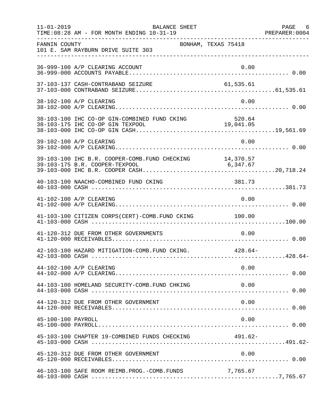|                    | $11 - 01 - 2019$<br>BALANCE SHEET<br>TIME: 08:28 AM - FOR MONTH ENDING 10-31-19 |          | PAGE 6 |
|--------------------|---------------------------------------------------------------------------------|----------|--------|
| FANNIN COUNTY      | BONHAM, TEXAS 75418<br>101 E. SAM RAYBURN DRIVE SUITE 303                       |          |        |
|                    | 36-999-100 A/P CLEARING ACCOUNT                                                 | 0.00     |        |
|                    |                                                                                 |          |        |
|                    | 38-102-100 A/P CLEARING                                                         | 0.00     |        |
|                    |                                                                                 |          |        |
|                    | 39-102-100 A/P CLEARING                                                         | 0.00     |        |
|                    |                                                                                 |          |        |
|                    | 40-103-100 NAACHO-COMBINED FUND CKING                                           | 381.73   |        |
|                    | 41-102-100 A/P CLEARING                                                         | 0.00     |        |
|                    | 41-103-100 CITIZEN CORPS(CERT)-COMB. FUND CKING 100.00                          |          |        |
|                    | 41-120-312 DUE FROM OTHER GOVERNMENTS                                           | 0.00     |        |
|                    | 42-103-100 HAZARD MITIGATION-COMB. FUND CKING. 428.64-                          |          |        |
|                    | 44-102-100 A/P CLEARING                                                         | 0.00     |        |
|                    | 44-103-100 HOMELAND SECURITY-COMB.FUND CHKING                                   | 0.00     |        |
|                    | 44-120-312 DUE FROM OTHER GOVERNMENT                                            | 0.00     |        |
| 45-100-100 PAYROLL |                                                                                 | 0.00     |        |
|                    | 45-103-100 CHAPTER 19-COMBINED FUNDS CHECKING 491.62-                           |          |        |
|                    | 45-120-312 DUE FROM OTHER GOVERNMENT                                            | 0.00     |        |
|                    | 46-103-100 SAFE ROOM REIMB. PROG. - COMB. FUNDS                                 | 7,765.67 |        |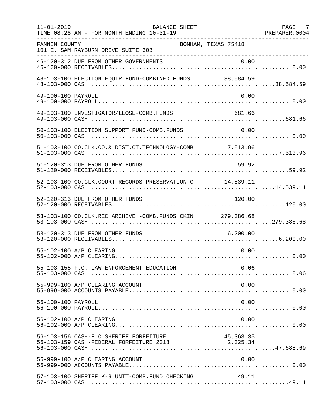| $11 - 01 - 2019$   | BALANCE SHEET<br>TIME: 08:28 AM - FOR MONTH ENDING 10-31-19<br>. _ _ _ _ _ _ _ _ _ _ _ _ _ _ _ _ |             | PAGE 7 |
|--------------------|--------------------------------------------------------------------------------------------------|-------------|--------|
| FANNIN COUNTY      | BONHAM, TEXAS 75418<br>101 E. SAM RAYBURN DRIVE SUITE 303                                        |             |        |
|                    |                                                                                                  |             |        |
|                    |                                                                                                  |             |        |
| 49-100-100 PAYROLL |                                                                                                  | 0.00        |        |
|                    | 49-103-100 INVESTIGATOR/LEOSE-COMB.FUNDS                                                         | 681.66      |        |
|                    | 50-103-100 ELECTION SUPPORT FUND-COMB. FUNDS                                                     | 0.00        |        |
|                    | 51-103-100 CO.CLK.CO.& DIST.CT.TECHNOLOGY-COMB 7,513.96                                          |             |        |
|                    | 51-120-313 DUE FROM OTHER FUNDS                                                                  | 59.92       |        |
|                    | 52-103-100 CO.CLK.COURT RECORDS PRESERVATION-C 14,539.11                                         |             |        |
|                    | 52-120-313 DUE FROM OTHER FUNDS                                                                  | 120.00      |        |
|                    | 53-103-100 CO.CLK.REC.ARCHIVE -COMB.FUNDS CKIN 279,386.68                                        |             |        |
|                    | 53-120-313 DUE FROM OTHER FUNDS                                                                  |             |        |
|                    | 55-102-100 A/P CLEARING                                                                          | 0.00        |        |
|                    | 55-103-155 F.C. LAW ENFORCEMENT EDUCATION                                                        | 0.06        |        |
|                    | 55-999-100 A/P CLEARING ACCOUNT                                                                  | 0.00        |        |
| 56-100-100 PAYROLL |                                                                                                  | 0.00        |        |
|                    | 56-102-100 A/P CLEARING                                                                          | 0.00        |        |
|                    | 56-103-156 CASH-F C SHERIFF FORFEITURE<br>56-103-159 CASH-FEDERAL FORFEITURE 2018 2,325.34       | 45, 363. 35 |        |
|                    | 56-999-100 A/P CLEARING ACCOUNT                                                                  | 0.00        |        |
|                    | 57-103-100 SHERIFF K-9 UNIT-COMB.FUND CHECKING                                                   | 49.11       |        |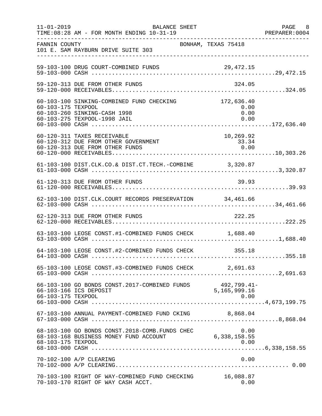| $11 - 01 - 2019$   | <b>BALANCE SHEET</b><br>TIME: 08:28 AM - FOR MONTH ENDING 10-31-19                                        |                                    | PAGE 8<br>PREPARER:0004 |
|--------------------|-----------------------------------------------------------------------------------------------------------|------------------------------------|-------------------------|
| FANNIN COUNTY      | 101 E. SAM RAYBURN DRIVE SUITE 303                                                                        | BONHAM, TEXAS 75418                |                         |
|                    | 59-103-100 DRUG COURT-COMBINED FUNDS                                                                      |                                    |                         |
|                    | 59-120-313 DUE FROM OTHER FUNDS                                                                           | 324.05                             |                         |
| 60-103-175 TEXPOOL | 60-103-100 SINKING-COMBINED FUND CHECKING<br>60-103-260 SINKING-CASH 1998<br>60-103-275 TEXPOOL-1998 JAIL | 172,636.40<br>0.00<br>0.00<br>0.00 |                         |
|                    | 60-120-311 TAXES RECEIVABLE<br>60-120-312 DUE FROM OTHER GOVERNMENT<br>60-120-313 DUE FROM OTHER FUNDS    | 10,269.92<br>33.34<br>0.00         |                         |
|                    | 61-103-100 DIST.CLK.CO.& DIST.CT.TECH.-COMBINE 3,320.87                                                   |                                    |                         |
|                    | 61-120-313 DUE FROM OTHER FUNDS                                                                           | 39.93                              |                         |
|                    | 62-103-100 DIST.CLK.COURT RECORDS PRESERVATION 34,461.66                                                  |                                    |                         |
|                    | 62-120-313 DUE FROM OTHER FUNDS                                                                           | 222.25                             |                         |
|                    | 63-103-100 LEOSE CONST.#1-COMBINED FUNDS CHECK 1,688.40                                                   |                                    |                         |
|                    | 64-103-100 LEOSE CONST.#2-COMBINED FUNDS CHECK 355.18                                                     |                                    |                         |
|                    | 65-103-100 LEOSE CONST.#3-COMBINED FUNDS CHECK 2,691.63                                                   |                                    |                         |
| 66-103-175 TEXPOOL | 66-103-100 GO BONDS CONST.2017-COMBINED FUNDS 492,799.41<br>66-103-166 TCS DEPOSIT 5,165,999.16           | 492,799.41-<br>0.00                |                         |
|                    | 67-103-100 ANNUAL PAYMENT-COMBINED FUND CKING 8,868.04                                                    |                                    |                         |
| 68-103-175 TEXPOOL | 68-103-100 GO BONDS CONST.2018-COMB.FUNDS CHEC<br>68-103-168 BUSINESS MONEY FUND ACCOUNT                  | 0.00<br>6,338,158.55<br>0.00       |                         |
|                    | 70-102-100 A/P CLEARING                                                                                   | 0.00                               |                         |
|                    | 70-103-100 RIGHT OF WAY-COMBINED FUND CHECKING<br>70-103-170 RIGHT OF WAY CASH ACCT.                      | 16,088.87<br>0.00                  |                         |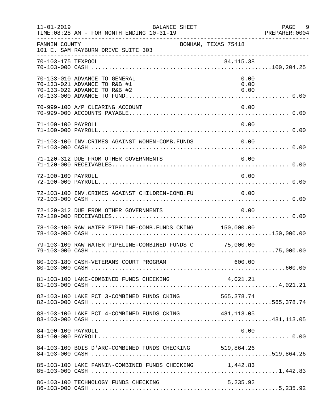| $11 - 01 - 2019$   | <b>BALANCE SHEET</b><br>TIME: 08:28 AM - FOR MONTH ENDING 10-31-19                            |                      | PAGE<br>9<br>PREPARER: 0004 |
|--------------------|-----------------------------------------------------------------------------------------------|----------------------|-----------------------------|
| FANNIN COUNTY      | BONHAM, TEXAS 75418<br>101 E. SAM RAYBURN DRIVE SUITE 303                                     |                      |                             |
| 70-103-175 TEXPOOL |                                                                                               | 84, 115.38           |                             |
|                    | 70-133-010 ADVANCE TO GENERAL<br>70-133-021 ADVANCE TO R&B #1<br>70-133-022 ADVANCE TO R&B #2 | 0.00<br>0.00<br>0.00 |                             |
|                    | 70-999-100 A/P CLEARING ACCOUNT                                                               | 0.00                 |                             |
| 71-100-100 PAYROLL |                                                                                               | 0.00                 |                             |
|                    | 71-103-100 INV. CRIMES AGAINST WOMEN-COMB. FUNDS                                              | $\sim 0.00$          |                             |
|                    | 71-120-312 DUE FROM OTHER GOVERNMENTS                                                         | 0.00                 |                             |
| 72-100-100 PAYROLL |                                                                                               | 0.00                 |                             |
|                    | 72-103-100 INV.CRIMES AGAINST CHILDREN-COMB.FU                                                | 0.00                 |                             |
|                    | 72-120-312 DUE FROM OTHER GOVERNMENTS                                                         | 0.00                 |                             |
|                    | 78-103-100 RAW WATER PIPELINE-COMB. FUNDS CKING 150,000.00                                    |                      |                             |
|                    | 79-103-100 RAW WATER PIPELINE-COMBINED FUNDS C 75,000.00                                      |                      |                             |
|                    |                                                                                               |                      |                             |
|                    |                                                                                               |                      |                             |
|                    |                                                                                               |                      |                             |
|                    | 83-103-100 LAKE PCT 4-COMBINED FUNDS CKING 481,113.05                                         |                      |                             |
| 84-100-100 PAYROLL |                                                                                               | 0.00                 |                             |
|                    | 84-103-100 BOIS D'ARC-COMBINED FUNDS CHECKING 519,864.26                                      |                      |                             |
|                    | 85-103-100 LAKE FANNIN-COMBINED FUNDS CHECKING 1,442.83                                       |                      |                             |
|                    | 86-103-100 TECHNOLOGY FUNDS CHECKING                                                          | 5,235.92             |                             |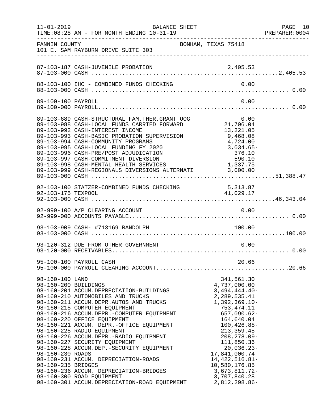|                                                                                   | $11 - 01 - 2019$<br>BALANCE SHEET<br>TIME: 08:28 AM - FOR MONTH ENDING 10-31-19                                                                                                                                                                                                                                                                                                                                                                                                                                                                                                                     |                                                                                                                                                                                                                                                                                                                         | PAGE 10<br>PREPARER: 0004 |
|-----------------------------------------------------------------------------------|-----------------------------------------------------------------------------------------------------------------------------------------------------------------------------------------------------------------------------------------------------------------------------------------------------------------------------------------------------------------------------------------------------------------------------------------------------------------------------------------------------------------------------------------------------------------------------------------------------|-------------------------------------------------------------------------------------------------------------------------------------------------------------------------------------------------------------------------------------------------------------------------------------------------------------------------|---------------------------|
| FANNIN COUNTY                                                                     | BONHAM, TEXAS 75418<br>101 E. SAM RAYBURN DRIVE SUITE 303                                                                                                                                                                                                                                                                                                                                                                                                                                                                                                                                           |                                                                                                                                                                                                                                                                                                                         |                           |
|                                                                                   |                                                                                                                                                                                                                                                                                                                                                                                                                                                                                                                                                                                                     |                                                                                                                                                                                                                                                                                                                         |                           |
|                                                                                   |                                                                                                                                                                                                                                                                                                                                                                                                                                                                                                                                                                                                     |                                                                                                                                                                                                                                                                                                                         |                           |
| 89-100-100 PAYROLL                                                                |                                                                                                                                                                                                                                                                                                                                                                                                                                                                                                                                                                                                     | 0.00                                                                                                                                                                                                                                                                                                                    |                           |
|                                                                                   | 89-103-689 CASH-STRUCTURAL FAM.THER.GRANT OOG<br>89-103-988 CASH-LOCAL FUNDS CARRIED FORWARD<br>89-103-992 CASH-INTEREST INCOME<br>89-103-993 CASH-BASIC PROBATION SUPERVISION<br>89-103-994 CASH-COMMUNITY PROGRAMS<br>89-103-995 CASH-LOCAL FUNDING FY 2020<br>89-103-996 CASH-PRE/POST ADJUDICATION<br>89-103-997 CASH-COMMITMENT DIVERSION<br>89-103-998 CASH-MENTAL HEALTH SERVICES 1,337.75<br>89-103-999 CASH-REGIONALS DIVERSIONS ALTERNATI 3,000.00                                                                                                                                        | G $0.00$<br>21,706.04<br>13, 221.05<br>9,468.08<br>4,724.00<br>$3,034.65-$<br>376.10<br>590.10                                                                                                                                                                                                                          |                           |
|                                                                                   | 92-103-100 STATZER-COMBINED FUNDS CHECKING 5,313.87<br>92-103-175 TEXPOOL 41,029.17                                                                                                                                                                                                                                                                                                                                                                                                                                                                                                                 |                                                                                                                                                                                                                                                                                                                         |                           |
|                                                                                   |                                                                                                                                                                                                                                                                                                                                                                                                                                                                                                                                                                                                     |                                                                                                                                                                                                                                                                                                                         |                           |
|                                                                                   | 93-103-909 CASH- #713169 RANDOLPH                                                                                                                                                                                                                                                                                                                                                                                                                                                                                                                                                                   | 100.00                                                                                                                                                                                                                                                                                                                  |                           |
|                                                                                   | 93-120-312 DUE FROM OTHER GOVERNMENT                                                                                                                                                                                                                                                                                                                                                                                                                                                                                                                                                                | 0.00                                                                                                                                                                                                                                                                                                                    |                           |
|                                                                                   | 95-100-100 PAYROLL CASH                                                                                                                                                                                                                                                                                                                                                                                                                                                                                                                                                                             | 20.66                                                                                                                                                                                                                                                                                                                   |                           |
| 98-160-100 LAND<br>98-160-200 BUILDINGS<br>98-160-230 ROADS<br>98-160-235 BRIDGES | 98-160-201 ACCUM.DEPRECIATION-BUILDINGS<br>98-160-210 AUTOMOBILES AND TRUCKS<br>98-160-211 ACCUM.DEPR.AUTOS AND TRUCKS<br>98-160-215 COMPUTER EQUIPMENT<br>98-160-216 ACCUM.DEPR.-COMPUTER EQUIPMENT<br>98-160-220 OFFICE EQUIPMENT<br>98-160-221 ACCUM. DEPR.-OFFICE EQUIPMENT<br>98-160-225 RADIO EQUIPMENT<br>98-160-226 ACCUM.DEPR.-RADIO EQUIPMENT<br>98-160-227 SECURITY EQUIPMENT<br>98-160-228 ACCUM.DEP.-SECURITY EQUIPMENT<br>98-160-231 ACCUM. DEPRECIATION-ROADS<br>98-160-236 ACCUM. DEPRECIATION-BRIDGES<br>98-160-300 ROAD EQUIPMENT<br>98-160-301 ACCUM.DEPRECIATION-ROAD EQUIPMENT | 341,561.30<br>4,737,000.00<br>$3,494,444.40-$<br>2,289,535.41<br>$1,392,369.10-$<br>753, 474.11<br>$657,090.62-$<br>164,640.04<br>$100, 426.88 -$<br>213, 359.45<br>$208, 278.09 -$<br>111,850.36<br>20,036.23-<br>17,841,000.74<br>14, 422, 516.81-<br>10,580,176.85<br>3,673,811.72-<br>3,707,840.28<br>2,812,298.86- |                           |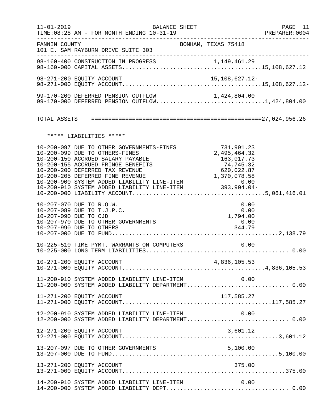| $11 - 01 - 2019$      | BALANCE SHEET                                                                                                                                                                                                                                                                                                                                                                                    |                                                                     | PAGE 11<br>PREPARER:0004 |
|-----------------------|--------------------------------------------------------------------------------------------------------------------------------------------------------------------------------------------------------------------------------------------------------------------------------------------------------------------------------------------------------------------------------------------------|---------------------------------------------------------------------|--------------------------|
| FANNIN COUNTY         | 101 E. SAM RAYBURN DRIVE SUITE 303                                                                                                                                                                                                                                                                                                                                                               | BONHAM, TEXAS 75418                                                 |                          |
|                       |                                                                                                                                                                                                                                                                                                                                                                                                  |                                                                     |                          |
|                       |                                                                                                                                                                                                                                                                                                                                                                                                  |                                                                     |                          |
|                       | 99-170-200 DEFERRED PENSION OUTFLOW<br>99-170-200 DEFERRED PENSION OUTFLOW 1,424,804.00<br>99-170-000 DEFERRED PENSION OUTFLOW1,424,804.00                                                                                                                                                                                                                                                       |                                                                     |                          |
|                       |                                                                                                                                                                                                                                                                                                                                                                                                  |                                                                     |                          |
|                       | ***** LIABILITIES *****                                                                                                                                                                                                                                                                                                                                                                          |                                                                     |                          |
|                       | 10-200-097 DUE TO OTHER GOVERNMENTS-FINES<br>10-200-099 DUE TO OTHERS-FINES<br>10-200-150 ACCRUED SALARY PAYABLE<br>10-200-155 ACCRUED FRINGE BENEFITS<br>10-200-200 DEFERRED TAX REVENUE<br>10-200-200 DEFERRED TINE REVENUE<br>10-200-205 DEFERRED FINE REVENUE<br>1,370,078.58<br>10-200-900 SYSTEM ADDED LIABILITY LINE-ITEM 0.00<br>10-200-910 SYSTEM ADDED LIABILITY LINE-ITEM 393,904.04- | 731,991.23<br>2,495,464.32<br>163,017.73<br>74,745.32<br>620,022.87 |                          |
| 10-207-090 DUE TO CJD | 10-207-070 DUE TO R.O.W.<br>10-207-089 DUE TO T.J.P.C.<br>10-207-970 DUE TO OTHER GOVERNMENTS<br>10-207-990 DUE TO OTHERS                                                                                                                                                                                                                                                                        | 0.00<br>0.00<br>1,794.00<br>0.00<br>344.79                          |                          |
|                       |                                                                                                                                                                                                                                                                                                                                                                                                  | 0.00                                                                |                          |
|                       |                                                                                                                                                                                                                                                                                                                                                                                                  |                                                                     |                          |
|                       | 11-200-910 SYSTEM ADDED LIABILITY LINE-ITEM $0.00$<br>11-200-000 SYSTEM ADDED LIABILITY DEPARTMENT0.00                                                                                                                                                                                                                                                                                           |                                                                     |                          |
|                       | 11-271-200 EQUITY ACCOUNT                                                                                                                                                                                                                                                                                                                                                                        |                                                                     |                          |
|                       | 12-200-910 SYSTEM ADDED LIABILITY LINE-ITEM<br>12-200-000 SYSTEM ADDED LIABILITY DEPARTMENT 0.00                                                                                                                                                                                                                                                                                                 | 0.00                                                                |                          |
|                       | 12-271-200 EQUITY ACCOUNT                                                                                                                                                                                                                                                                                                                                                                        | 3,601.12                                                            |                          |
|                       | 13-207-097 DUE TO OTHER GOVERNMENTS                                                                                                                                                                                                                                                                                                                                                              |                                                                     |                          |
|                       | 13-271-200 EQUITY ACCOUNT                                                                                                                                                                                                                                                                                                                                                                        | 375.00                                                              |                          |
|                       | 14-200-910 SYSTEM ADDED LIABILITY LINE-ITEM                                                                                                                                                                                                                                                                                                                                                      | 0.00                                                                |                          |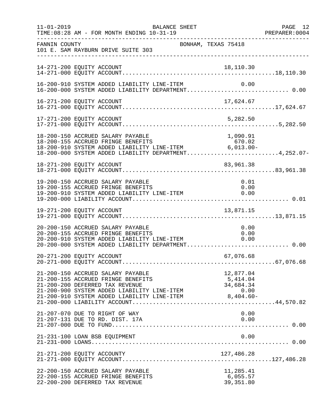| $11 - 01 - 2019$ | BALANCE SHEET<br>TIME: 08:28 AM - FOR MONTH ENDING 10-31-19                                                                                                                                                                          |                                                           | PAGE 12<br>PREPARER:0004 |
|------------------|--------------------------------------------------------------------------------------------------------------------------------------------------------------------------------------------------------------------------------------|-----------------------------------------------------------|--------------------------|
| FANNIN COUNTY    | 101 E. SAM RAYBURN DRIVE SUITE 303                                                                                                                                                                                                   | BONHAM, TEXAS 75418                                       |                          |
|                  | 14-271-200 EQUITY ACCOUNT                                                                                                                                                                                                            | 18,110.30                                                 |                          |
|                  | 16-200-910 SYSTEM ADDED LIABILITY LINE-ITEM                                                                                                                                                                                          | 0.00                                                      |                          |
|                  |                                                                                                                                                                                                                                      |                                                           |                          |
|                  | 17-271-200 EQUITY ACCOUNT                                                                                                                                                                                                            | 5,282.50                                                  |                          |
|                  | 18-200-150 ACCRUED SALARY PAYABLE<br>18-200-155 ACCRUED FRINGE BENEFITS<br>18-200-910 SYSTEM ADDED LIABILITY LINE-ITEM 6,013.00-<br>18-200-000 SYSTEM ADDED LIABILITY DEPARTMENT4,252.07-                                            | 1,090.91                                                  |                          |
|                  | 18-271-200 EQUITY ACCOUNT                                                                                                                                                                                                            | 83,961.38                                                 |                          |
|                  | 19-200-150 ACCRUED SALARY PAYABLE<br>19-200-155 ACCRUED FRINGE BENEFITS<br>19-200-910 SYSTEM ADDED LIABILITY LINE-ITEM                                                                                                               | 0.01<br>0.00<br>0.00                                      |                          |
|                  | 19-271-200 EQUITY ACCOUNT                                                                                                                                                                                                            | 13,871.15                                                 |                          |
|                  | 20-200-150 ACCRUED SALARY PAYABLE<br>20-200-155 ACCRUED FRINGE BENEFITS<br>20-200-910 SYSTEM ADDED LIABILITY LINE-ITEM 0.00<br>20.200.000 SYSTEM ADDED LIABILITY LINE-ITEM 0.00<br>20-200-000 SYSTEM ADDED LIABILITY DEPARTMENT 0.00 | 0.00                                                      |                          |
|                  | 20-271-200 EQUITY ACCOUNT                                                                                                                                                                                                            | 67,076.68                                                 |                          |
|                  | 21-200-150 ACCRUED SALARY PAYABLE<br>21-200-155 ACCRUED FRINGE BENEFITS<br>21-200-200 DEFERRED TAX REVENUE<br>21-200-900 SYSTEM ADDED LIABILITY LINE-ITEM<br>21-200-910 SYSTEM ADDED LIABILITY LINE-ITEM                             | 12,877.04<br>5,414.04<br>34,684.34<br>0.00<br>$8,404.60-$ |                          |
|                  | 21-207-070 DUE TO RIGHT OF WAY<br>21-207-131 DUE TO RD. DIST. 17A                                                                                                                                                                    | 0.00<br>0.00                                              |                          |
|                  | 21-231-100 LOAN BSB EQUIPMENT                                                                                                                                                                                                        | 0.00                                                      |                          |
|                  |                                                                                                                                                                                                                                      |                                                           |                          |
|                  | 22-200-150 ACCRUED SALARY PAYABLE<br>22-200-155 ACCRUED FRINGE BENEFITS<br>22-200-200 DEFERRED TAX REVENUE                                                                                                                           | 11,285.41<br>6,055.57<br>39, 351.80                       |                          |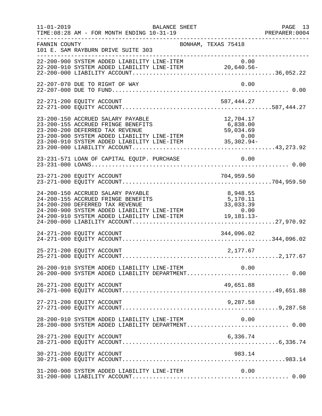| $11 - 01 - 2019$ | BALANCE SHEET<br>TIME: 08:28 AM - FOR MONTH ENDING 10-31-19                                                                                                                                                                                                                   |                                   | PAGE 13<br>PREPARER: 0004<br>_____________________ |
|------------------|-------------------------------------------------------------------------------------------------------------------------------------------------------------------------------------------------------------------------------------------------------------------------------|-----------------------------------|----------------------------------------------------|
| FANNIN COUNTY    | BONHAM, TEXAS 75418<br>101 E. SAM RAYBURN DRIVE SUITE 303                                                                                                                                                                                                                     |                                   |                                                    |
|                  | 22-200-900 SYSTEM ADDED LIABILITY LINE-ITEM $22-200-910$ SYSTEM ADDED LIABILITY LINE-ITEM $20,640.56-$                                                                                                                                                                        |                                   |                                                    |
|                  | 22-207-070 DUE TO RIGHT OF WAY                                                                                                                                                                                                                                                | 0.00                              |                                                    |
|                  | 22-271-200 EQUITY ACCOUNT                                                                                                                                                                                                                                                     | 587,444.27                        |                                                    |
|                  | 23-200-150 ACCRUED SALARY PAYABLE<br>23-200-155 ACCRUED FRINGE BENEFITS<br>23-200-200 DEFERRED TAX REVENUE<br>23-200-900 SYSTEM ADDED LIABILITY LINE-ITEM<br>23-200-910 SYSTEM ADDED LIABILITY LINE-ITEM<br>23-200-910 SYSTEM ADDED LIABILITY LINE-ITEM<br>23-200-000 LIABILI | 12,704.17                         |                                                    |
|                  | 23-231-571 LOAN OF CAPITAL EQUIP. PURCHASE                                                                                                                                                                                                                                    | 0.00                              |                                                    |
|                  |                                                                                                                                                                                                                                                                               |                                   |                                                    |
|                  | 24-200-150 ACCRUED SALARY PAYABLE<br>24-200-155 ACCRUED FRINGE BENEFITS<br>24-200-200 DEFERRED TAX REVENUE<br>24-200-900 SYSTEM ADDED LIABILITY LINE-ITEM<br>$24-200-900$ SYSTEM ADDED LIABILITY LINE-ITEM $0.00$<br>24-200-910 SYSTEM ADDED LIABILITY LINE-ITEM $19,181.13-$ | 8,948.55<br>5,170.11<br>33,033.39 |                                                    |
|                  | 24-271-200 EQUITY ACCOUNT                                                                                                                                                                                                                                                     | 344,096.02                        |                                                    |
|                  | 25-271-200 EQUITY ACCOUNT                                                                                                                                                                                                                                                     | 2,177.67                          |                                                    |
|                  | 26-200-910 SYSTEM ADDED LIABILITY LINE-ITEM<br>26-200-000 SYSTEM ADDED LIABILITY DEPARTMENT 0.00                                                                                                                                                                              | 0.00                              |                                                    |
|                  | 26-271-200 EQUITY ACCOUNT                                                                                                                                                                                                                                                     | 49,651.88                         |                                                    |
|                  |                                                                                                                                                                                                                                                                               |                                   |                                                    |
|                  | 28-200-910 SYSTEM ADDED LIABILITY LINE-ITEM<br>28-200-000 SYSTEM ADDED LIABILITY DEPARTMENT 0.00                                                                                                                                                                              | 0.00                              |                                                    |
|                  | 28-271-200 EQUITY ACCOUNT                                                                                                                                                                                                                                                     | 6,336.74                          |                                                    |
|                  | 30-271-200 EQUITY ACCOUNT                                                                                                                                                                                                                                                     | 983.14                            |                                                    |
|                  | 31-200-900 SYSTEM ADDED LIABILITY LINE-ITEM                                                                                                                                                                                                                                   | 0.00                              |                                                    |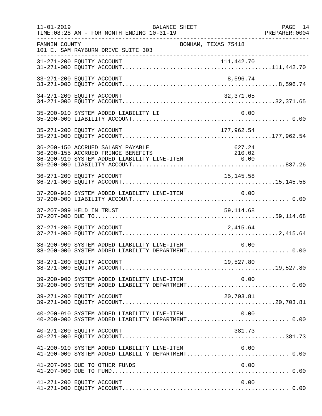| $11 - 01 - 2019$ | <b>BALANCE SHEET</b><br>TIME: 08:28 AM - FOR MONTH ENDING 10-31-19                                                                                                                    | PAGE 14<br>PREPARER: 0004 |
|------------------|---------------------------------------------------------------------------------------------------------------------------------------------------------------------------------------|---------------------------|
| FANNIN COUNTY    | --------------------------------------<br>BONHAM, TEXAS 75418<br>101 E. SAM RAYBURN DRIVE SUITE 303                                                                                   |                           |
|                  |                                                                                                                                                                                       |                           |
|                  | 33-271-200 EQUITY ACCOUNT<br>8,596.74                                                                                                                                                 |                           |
|                  | 34-271-200 EQUITY ACCOUNT<br>32,371.65                                                                                                                                                |                           |
|                  | 0.00<br>35-200-910 SYSTEM ADDED LIABILITY LI                                                                                                                                          |                           |
|                  | 177,962.54<br>35-271-200 EQUITY ACCOUNT                                                                                                                                               |                           |
|                  | 36-200-150 ACCRUED SALARY PAYABLE<br>627.24<br>36-200-155 ACCRUED FRINGE BENEFITS<br>210.02<br>36-200-155 ACCRUED FRINGE BENEFITS<br>36-200-910 SYSTEM ADDED LIABILITY LINE-ITEM 6.00 |                           |
|                  | 36-271-200 EQUITY ACCOUNT<br>15, 145.58                                                                                                                                               |                           |
|                  | 0.00<br>37-200-910 SYSTEM ADDED LIABILITY LINE-ITEM                                                                                                                                   |                           |
|                  | 37-207-099 HELD IN TRUST<br>59, 114.68                                                                                                                                                |                           |
|                  | 37-271-200 EQUITY ACCOUNT<br>2,415.64                                                                                                                                                 |                           |
|                  | 38-200-900 SYSTEM ADDED LIABILITY LINE-ITEM<br>0.00<br>38-200-000 SYSTEM ADDED LIABILITY DEPARTMENT 0.00                                                                              |                           |
|                  | 38-271-200 EQUITY ACCOUNT<br>19,527.80                                                                                                                                                |                           |
|                  | 39-200-900 SYSTEM ADDED LIABILITY LINE-ITEM 0.00<br>39-200-000 SYSTEM ADDED LIABILITY DEPARTMENT 0.00                                                                                 |                           |
|                  | 39-271-200 EQUITY ACCOUNT<br>20,703.81                                                                                                                                                |                           |
|                  | 40-200-910 SYSTEM ADDED LIABILITY LINE-ITEM<br>0.00                                                                                                                                   |                           |
|                  | 40-271-200 EQUITY ACCOUNT<br>381.73                                                                                                                                                   |                           |
|                  | 41-200-910 SYSTEM ADDED LIABILITY LINE-ITEM $0.00$<br>41-200-000 SYSTEM ADDED LIABILITY DEPARTMENT0.00                                                                                |                           |
|                  | 41-207-095 DUE TO OTHER FUNDS<br>0.00                                                                                                                                                 |                           |
|                  | 0.00<br>41-271-200 EQUITY ACCOUNT                                                                                                                                                     |                           |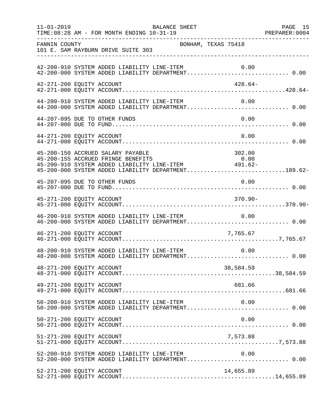| $11 - 01 - 2019$          | TIME: 08:28 AM - FOR MONTH ENDING 10-31-19  | BALANCE SHEET                               |                                                                                                                                                                                                                                                                                      | PAGE 15<br>PREPARER: 0004 |
|---------------------------|---------------------------------------------|---------------------------------------------|--------------------------------------------------------------------------------------------------------------------------------------------------------------------------------------------------------------------------------------------------------------------------------------|---------------------------|
| FANNIN COUNTY             | 101 E. SAM RAYBURN DRIVE SUITE 303          | BONHAM, TEXAS 75418                         |                                                                                                                                                                                                                                                                                      |                           |
|                           |                                             |                                             | 42-200-910 SYSTEM ADDED LIABILITY LINE-ITEM 0.00<br>42-200-000 SYSTEM ADDED LIABILITY DEPARTMENT 0.00                                                                                                                                                                                |                           |
| 42-271-200 EQUITY ACCOUNT |                                             |                                             | 428.64-                                                                                                                                                                                                                                                                              |                           |
|                           |                                             | 44-200-910 SYSTEM ADDED LIABILITY LINE-ITEM | 0.00<br>44-200-000 SYSTEM ADDED LIABILITY DEPARTMENT 0.00                                                                                                                                                                                                                            |                           |
|                           | 44-207-095 DUE TO OTHER FUNDS               |                                             | 0.00                                                                                                                                                                                                                                                                                 |                           |
| 44-271-200 EQUITY ACCOUNT |                                             |                                             | 0.00                                                                                                                                                                                                                                                                                 |                           |
|                           | 45-200-150 ACCRUED SALARY PAYABLE           |                                             | 302.00<br>45-200-155 ACCRUED FRINGE BENEFITS<br>45-200-910 SYSTEM ADDED LIABILITY LINE-ITEM 491.62-<br>45-200-000 SYSTEM ADDED LIABILITY DEPARTMENT189.62-                                                                                                                           |                           |
|                           | 45-207-095 DUE TO OTHER FUNDS               |                                             | 0.00                                                                                                                                                                                                                                                                                 |                           |
| 45-271-200 EQUITY ACCOUNT |                                             |                                             | $370.90 -$                                                                                                                                                                                                                                                                           |                           |
|                           | 46-200-910 SYSTEM ADDED LIABILITY LINE-ITEM |                                             | 0.00                                                                                                                                                                                                                                                                                 |                           |
| 46-271-200 EQUITY ACCOUNT |                                             |                                             | 7,765.67                                                                                                                                                                                                                                                                             |                           |
|                           |                                             |                                             | $\begin{array}{ll}48-200-910 & \text{SYSTEM} & \text{ADDED} & \text{LIABILITY} & \text{LINE-ITEM} & 0.00 \\ 48-200-000 & \text{SYSTEM} & \text{ADDED} & \text{LIABILITY} & \text{DEPARTMENT}.\dots\dots\dots\dots\dots\dots\dots\dots\dots\dots\dots \end{array} \label{eq:200-910}$ |                           |
| 48-271-200 EQUITY ACCOUNT |                                             |                                             | 38,584.59                                                                                                                                                                                                                                                                            |                           |
| 49-271-200 EQUITY ACCOUNT |                                             |                                             | 681.66                                                                                                                                                                                                                                                                               |                           |
|                           | 50-200-910 SYSTEM ADDED LIABILITY LINE-ITEM |                                             | 0.00<br>50-200-000 SYSTEM ADDED LIABILITY DEPARTMENT 0.00                                                                                                                                                                                                                            |                           |
| 50-271-200 EQUITY ACCOUNT |                                             |                                             | 0.00                                                                                                                                                                                                                                                                                 |                           |
| 51-271-200 EQUITY ACCOUNT |                                             |                                             | 7,573.88                                                                                                                                                                                                                                                                             |                           |
|                           |                                             | 52-200-910 SYSTEM ADDED LIABILITY LINE-ITEM | 0.00                                                                                                                                                                                                                                                                                 |                           |
| 52-271-200 EQUITY ACCOUNT |                                             |                                             | 14,655.89                                                                                                                                                                                                                                                                            |                           |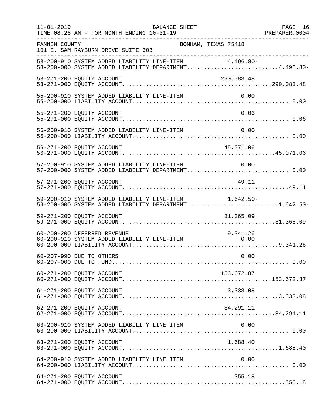| $11 - 01 - 2019$ | <b>BALANCE SHEET</b><br>TIME: 08:28 AM - FOR MONTH ENDING 10-31-19                                             | PAGE 16 |
|------------------|----------------------------------------------------------------------------------------------------------------|---------|
| FANNIN COUNTY    | BONHAM, TEXAS 75418<br>101 E. SAM RAYBURN DRIVE SUITE 303                                                      |         |
|                  | 53-200-910 SYSTEM ADDED LIABILITY LINE-ITEM 4,496.80-<br>53-200-000 SYSTEM ADDED LIABILITY DEPARTMENT4,496.80- |         |
|                  | 53-271-200 EQUITY ACCOUNT<br>290,083.48                                                                        |         |
|                  | 55-200-910 SYSTEM ADDED LIABILITY LINE-ITEM<br>0.00                                                            |         |
|                  | 0.06<br>55-271-200 EQUITY ACCOUNT                                                                              |         |
|                  | 56-200-910 SYSTEM ADDED LIABILITY LINE-ITEM<br>0.00                                                            |         |
|                  | 56-271-200 EQUITY ACCOUNT<br>45,071.06                                                                         |         |
|                  | 57-200-910 SYSTEM ADDED LIABILITY LINE-ITEM<br>0.00<br>57-200-000 SYSTEM ADDED LIABILITY DEPARTMENT 0.00       |         |
|                  | 49.11<br>57-271-200 EQUITY ACCOUNT                                                                             |         |
|                  | 59-200-910 SYSTEM ADDED LIABILITY LINE-ITEM 1,642.50-<br>59-200-000 SYSTEM ADDED LIABILITY DEPARTMENT1,642.50- |         |
|                  | 59-271-200 EQUITY ACCOUNT<br>31,365.09                                                                         |         |
|                  | 60-200-200 DEFERRED REVENUE<br>9,341.26<br>60-200-910 SYSTEM ADDED LIABILITY LINE-ITEM<br>0.00                 |         |
|                  | 0.00<br>60-207-990 DUE TO OTHERS                                                                               |         |
|                  | 153,672.87<br>60-271-200 EQUITY ACCOUNT                                                                        |         |
|                  | 61-271-200 EQUITY ACCOUNT<br>3,333.08                                                                          |         |
|                  | 62-271-200 EQUITY ACCOUNT<br>34,291.11                                                                         |         |
|                  | 63-200-910 SYSTEM ADDED LIABILITY LINE ITEM<br>0.00                                                            |         |
|                  | 1,688.40<br>63-271-200 EQUITY ACCOUNT                                                                          |         |
|                  | 64-200-910 SYSTEM ADDED LIABILITY LINE ITEM<br>0.00                                                            |         |
|                  | 64-271-200 EQUITY ACCOUNT<br>355.18                                                                            |         |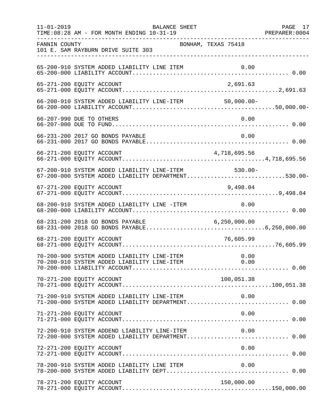| $11 - 01 - 2019$ | TIME: 08:28 AM - FOR MONTH ENDING 10-31-19                                                         | BALANCE SHEET       |              | PAGE 17 |
|------------------|----------------------------------------------------------------------------------------------------|---------------------|--------------|---------|
| FANNIN COUNTY    | 101 E. SAM RAYBURN DRIVE SUITE 303                                                                 | BONHAM, TEXAS 75418 |              |         |
|                  | 65-200-910 SYSTEM ADDED LIABILITY LINE ITEM                                                        |                     |              |         |
|                  | 65-271-200 EQUITY ACCOUNT                                                                          |                     | 2,691.63     |         |
|                  | 66-200-910 SYSTEM ADDED LIABILITY LINE-ITEM 50,000.00-                                             |                     |              |         |
|                  | 66-207-990 DUE TO OTHERS                                                                           |                     | 0.00         |         |
|                  | 66-231-200 2017 GO BONDS PAYABLE                                                                   |                     | 0.00         |         |
|                  | 66-271-200 EQUITY ACCOUNT                                                                          |                     | 4,718,695.56 |         |
|                  | 67-200-910 SYSTEM ADDED LIABILITY LINE-ITEM<br>67-200-000 SYSTEM ADDED LIABILITY DEPARTMENT530.00- |                     | $530.00 -$   |         |
|                  | 67-271-200 EQUITY ACCOUNT                                                                          |                     | 9,498.04     |         |
|                  | 68-200-910 SYSTEM ADDED LIABILITY LINE -ITEM                                                       |                     | 0.00         |         |
|                  |                                                                                                    |                     |              |         |
|                  | 68-271-200 EOUITY ACCOUNT                                                                          |                     | 76,605.99    |         |
|                  |                                                                                                    |                     |              |         |
|                  | 70-271-200 EQUITY ACCOUNT                                                                          |                     | 100,051.38   |         |
|                  | 71-200-910 SYSTEM ADDED LIABILITY LINE-ITEM<br>71-200-000 SYSTEM ADDED LIABILITY DEPARTMENT 0.00   |                     | 0.00         |         |
|                  | 71-271-200 EQUITY ACCOUNT                                                                          |                     | 0.00         |         |
|                  | 72-200-910 SYSTEM ADDEND LIABILITY LINE-ITEM<br>72-200-000 SYSTEM ADDED LIABILITY DEPARTMENT 0.00  |                     | 0.00         |         |
|                  | 72-271-200 EQUITY ACCOUNT                                                                          |                     | 0.00         |         |
|                  | 78-200-910 SYSTEM ADDED LIABILITY LINE ITEM                                                        |                     | 0.00         |         |
|                  | 78-271-200 EQUITY ACCOUNT                                                                          |                     | 150,000.00   |         |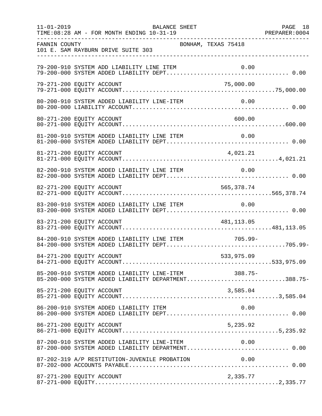| $11 - 01 - 2019$ | TIME: 08:28 AM - FOR MONTH ENDING 10-31-19                                                                 | BALANCE SHEET       |            | PAGE 18 |
|------------------|------------------------------------------------------------------------------------------------------------|---------------------|------------|---------|
| FANNIN COUNTY    | 101 E. SAM RAYBURN DRIVE SUITE 303                                                                         | BONHAM, TEXAS 75418 |            |         |
|                  | 79-200-910 SYSTEM ADD LIABILITY LINE ITEM                                                                  |                     |            |         |
|                  | 79-271-200 EQUITY ACCOUNT                                                                                  |                     | 75,000.00  |         |
|                  | 80-200-910 SYSTEM ADDED LIABILITY LINE-ITEM                                                                |                     | 0.00       |         |
|                  | 80-271-200 EQUITY ACCOUNT                                                                                  |                     | 600.00     |         |
|                  |                                                                                                            |                     |            |         |
|                  |                                                                                                            |                     |            |         |
|                  | 82-200-910 SYSTEM ADDED LIABILITY LINE ITEM                                                                |                     | 0.00       |         |
|                  | 82-271-200 EQUITY ACCOUNT                                                                                  |                     | 565,378.74 |         |
|                  | 83-200-910 SYSTEM ADDED LIABILITY LINE ITEM                                                                |                     | 0.00       |         |
|                  | 83-271-200 EQUITY ACCOUNT                                                                                  |                     | 481,113.05 |         |
|                  | 84-200-910 SYSTEM ADDED LIABILITY LINE ITEM 705.99-                                                        |                     |            |         |
|                  | 84-271-200 EQUITY ACCOUNT                                                                                  |                     | 533,975.09 |         |
|                  | 85-200-910 SYSTEM ADDED LIABILITY LINE-ITEM 388.75-<br>85-200-000 SYSTEM ADDED LIABILITY DEPARTMENT388.75- |                     |            |         |
|                  | 85-271-200 EQUITY ACCOUNT                                                                                  |                     | 3,585.04   |         |
|                  | 86-200-910 SYSTEM ADDED LIABILITY ITEM                                                                     |                     | 0.00       |         |
|                  | 86-271-200 EQUITY ACCOUNT                                                                                  |                     | 5,235.92   |         |
|                  | 87-200-910 SYSTEM ADDED LIABILITY LINE-ITEM 0.00<br>87-200-000 SYSTEM ADDED LIABILITY DEPARTMENT 0.00      |                     |            |         |
|                  | 87-202-319 A/P RESTITUTION-JUVENILE PROBATION                                                              |                     | 0.00       |         |
|                  | 87-271-200 EQUITY ACCOUNT                                                                                  |                     | 2,335.77   |         |